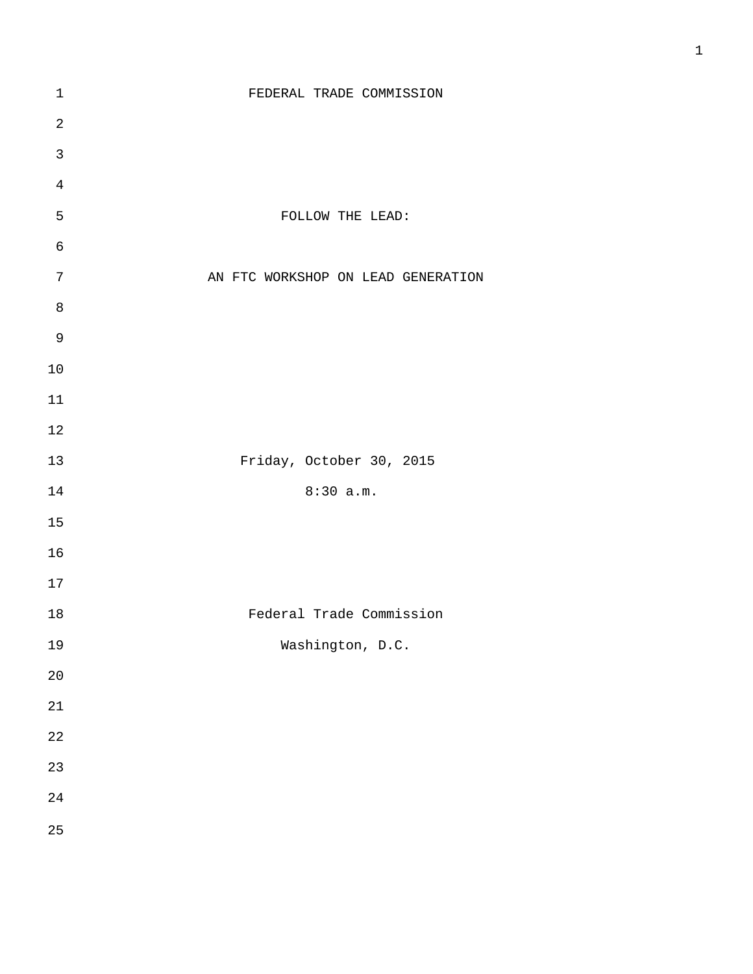| $\mathbf 1$  | FEDERAL TRADE COMMISSION           |
|--------------|------------------------------------|
| $\sqrt{2}$   |                                    |
| $\mathbf{3}$ |                                    |
| $\sqrt{4}$   |                                    |
| 5            | FOLLOW THE LEAD:                   |
| $\epsilon$   |                                    |
| $\sqrt{ }$   | AN FTC WORKSHOP ON LEAD GENERATION |
| $\,8\,$      |                                    |
| $\mathsf 9$  |                                    |
| $10$         |                                    |
| $11\,$       |                                    |
| $12\,$       |                                    |
| 13           | Friday, October 30, 2015           |
| 14           | 8:30 a.m.                          |
| 15           |                                    |
| 16           |                                    |
| $17$         |                                    |
| 18           | Federal Trade Commission           |
| 19           | Washington, D.C.                   |
| $20\,$       |                                    |
| 21           |                                    |
| 22           |                                    |
| 23           |                                    |
| 24           |                                    |
| 25           |                                    |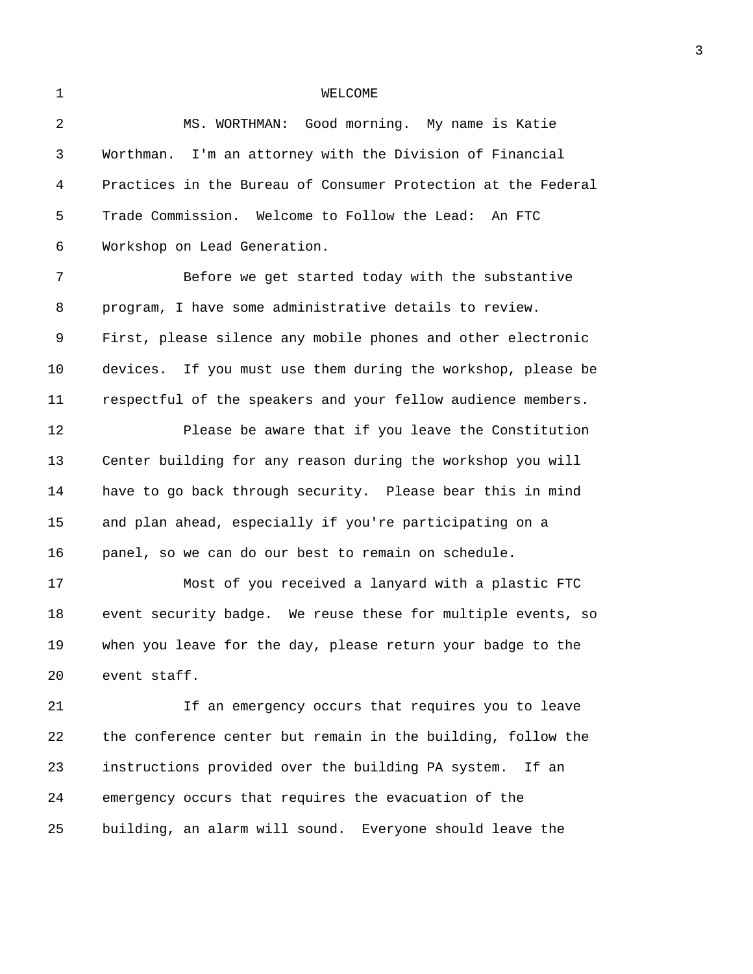## 1 WELCOME

| $\overline{2}$ | MS. WORTHMAN: Good morning. My name is Katie                  |  |  |  |  |  |
|----------------|---------------------------------------------------------------|--|--|--|--|--|
| 3              | Worthman. I'm an attorney with the Division of Financial      |  |  |  |  |  |
| 4              | Practices in the Bureau of Consumer Protection at the Federal |  |  |  |  |  |
| 5              | Trade Commission. Welcome to Follow the Lead: An FTC          |  |  |  |  |  |
| 6              | Workshop on Lead Generation.                                  |  |  |  |  |  |
| 7              | Before we get started today with the substantive              |  |  |  |  |  |
| 8              | program, I have some administrative details to review.        |  |  |  |  |  |
| 9              | First, please silence any mobile phones and other electronic  |  |  |  |  |  |
| 10             | devices. If you must use them during the workshop, please be  |  |  |  |  |  |
| 11             | respectful of the speakers and your fellow audience members.  |  |  |  |  |  |
| 12             | Please be aware that if you leave the Constitution            |  |  |  |  |  |
| 13             | Center building for any reason during the workshop you will   |  |  |  |  |  |
| 14             | have to go back through security. Please bear this in mind    |  |  |  |  |  |
| 15             | and plan ahead, especially if you're participating on a       |  |  |  |  |  |
| 16             | panel, so we can do our best to remain on schedule.           |  |  |  |  |  |
| 17             | Most of you received a lanyard with a plastic FTC             |  |  |  |  |  |
| 18             | event security badge. We reuse these for multiple events, so  |  |  |  |  |  |
| 19             | when you leave for the day, please return your badge to the   |  |  |  |  |  |
| 20             | event staff.                                                  |  |  |  |  |  |
| 21             | If an emergency occurs that requires you to leave             |  |  |  |  |  |
| 22             | the conference center but remain in the building, follow the  |  |  |  |  |  |
| 23             | instructions provided over the building PA system.<br>If an   |  |  |  |  |  |
| 24             | emergency occurs that requires the evacuation of the          |  |  |  |  |  |
| 25             | building, an alarm will sound. Everyone should leave the      |  |  |  |  |  |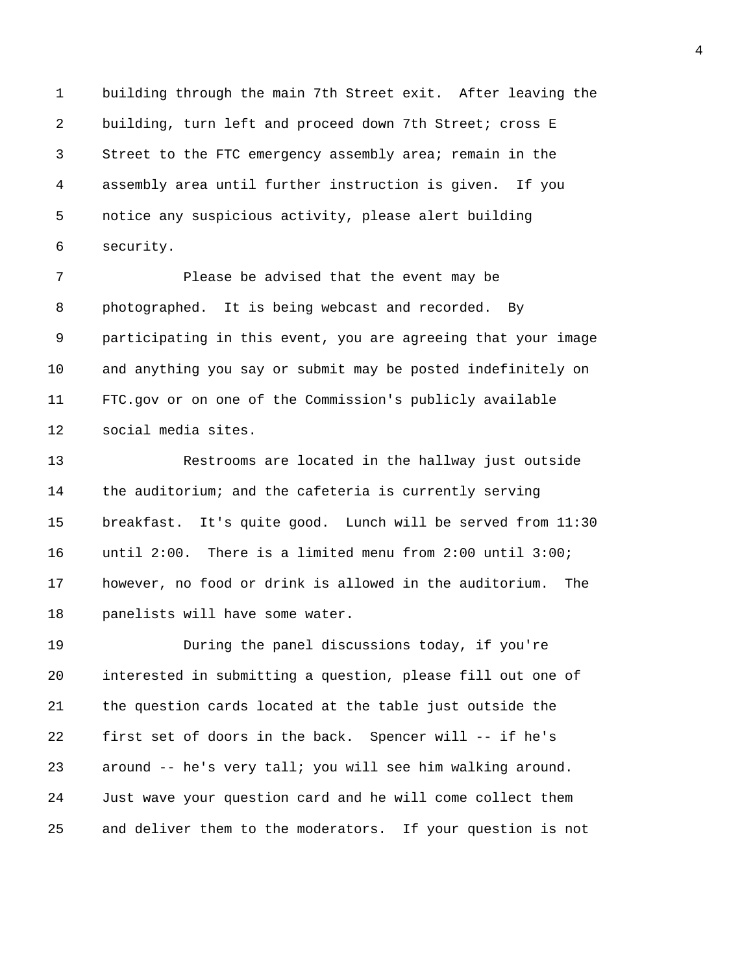1 building through the main 7th Street exit. After leaving the 2 building, turn left and proceed down 7th Street; cross E 3 Street to the FTC emergency assembly area; remain in the 4 assembly area until further instruction is given. If you 5 notice any suspicious activity, please alert building 6 security.

7 Please be advised that the event may be 8 photographed. It is being webcast and recorded. By 9 participating in this event, you are agreeing that your image 10 and anything you say or submit may be posted indefinitely on 11 FTC.gov or on one of the Commission's publicly available 12 social media sites.

13 Restrooms are located in the hallway just outside 14 the auditorium; and the cafeteria is currently serving 15 breakfast. It's quite good. Lunch will be served from 11:30 16 until 2:00. There is a limited menu from 2:00 until 3:00; 17 however, no food or drink is allowed in the auditorium. The 18 panelists will have some water.

19 During the panel discussions today, if you're 20 interested in submitting a question, please fill out one of 21 the question cards located at the table just outside the 22 first set of doors in the back. Spencer will -- if he's 23 around -- he's very tall; you will see him walking around. 24 Just wave your question card and he will come collect them 25 and deliver them to the moderators. If your question is not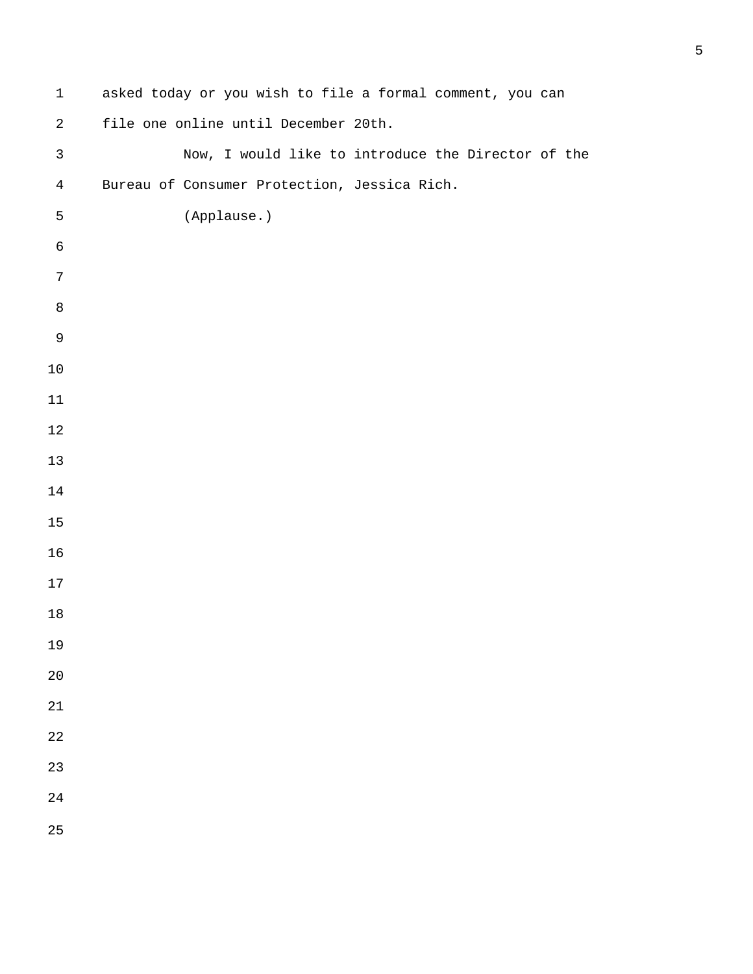| $\mathbf{1}$   | asked today or you wish to file a formal comment, you can |  |  |  |  |
|----------------|-----------------------------------------------------------|--|--|--|--|
| $\sqrt{2}$     | file one online until December 20th.                      |  |  |  |  |
| $\mathsf{3}$   | Now, I would like to introduce the Director of the        |  |  |  |  |
| $\overline{4}$ | Bureau of Consumer Protection, Jessica Rich.              |  |  |  |  |
| 5              | (Applause.)                                               |  |  |  |  |
| $\epsilon$     |                                                           |  |  |  |  |
| 7              |                                                           |  |  |  |  |
| $\,8\,$        |                                                           |  |  |  |  |
| $\mathsf 9$    |                                                           |  |  |  |  |
| 10             |                                                           |  |  |  |  |
| $11\,$         |                                                           |  |  |  |  |
| $12$           |                                                           |  |  |  |  |
| 13             |                                                           |  |  |  |  |
| 14             |                                                           |  |  |  |  |
| 15             |                                                           |  |  |  |  |
| 16             |                                                           |  |  |  |  |
| 17             |                                                           |  |  |  |  |
| 18             |                                                           |  |  |  |  |
| 19             |                                                           |  |  |  |  |
| 20             |                                                           |  |  |  |  |
| 21             |                                                           |  |  |  |  |
| 22             |                                                           |  |  |  |  |
| 23             |                                                           |  |  |  |  |
| 24             |                                                           |  |  |  |  |
| 25             |                                                           |  |  |  |  |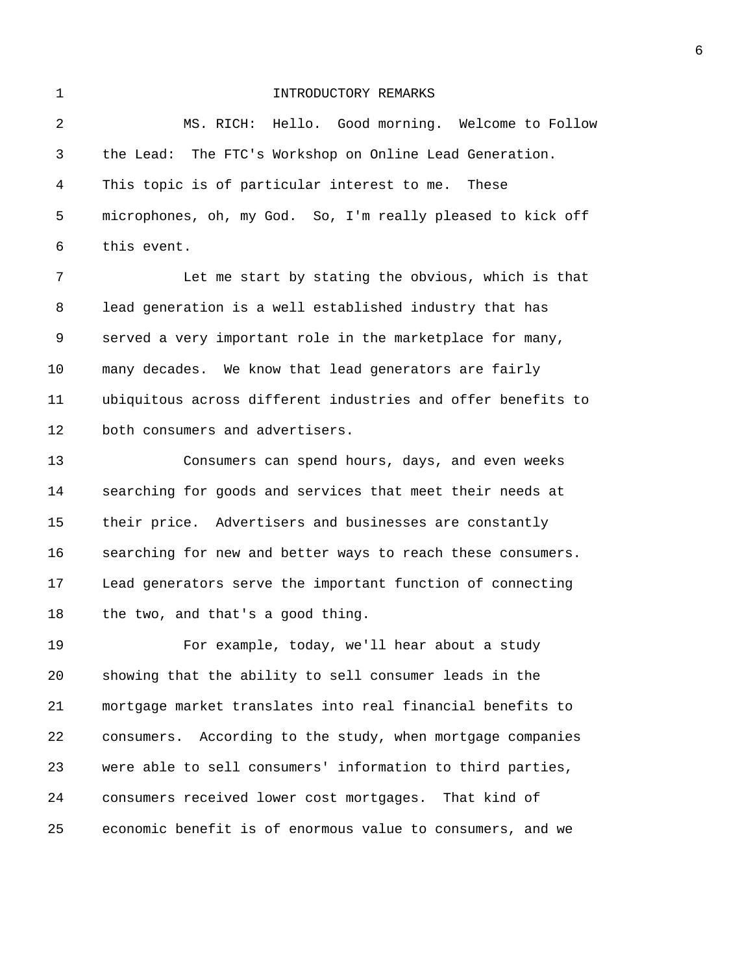## 1 INTRODUCTORY REMARKS

2 MS. RICH: Hello. Good morning. Welcome to Follow 3 the Lead: The FTC's Workshop on Online Lead Generation. 4 This topic is of particular interest to me. These 5 microphones, oh, my God. So, I'm really pleased to kick off 6 this event.

7 Let me start by stating the obvious, which is that 8 lead generation is a well established industry that has 9 served a very important role in the marketplace for many, 10 many decades. We know that lead generators are fairly 11 ubiquitous across different industries and offer benefits to 12 both consumers and advertisers.

13 Consumers can spend hours, days, and even weeks 14 searching for goods and services that meet their needs at 15 their price. Advertisers and businesses are constantly 16 searching for new and better ways to reach these consumers. 17 Lead generators serve the important function of connecting 18 the two, and that's a good thing.

19 For example, today, we'll hear about a study 20 showing that the ability to sell consumer leads in the 21 mortgage market translates into real financial benefits to 22 consumers. According to the study, when mortgage companies 23 were able to sell consumers' information to third parties, 24 consumers received lower cost mortgages. That kind of 25 economic benefit is of enormous value to consumers, and we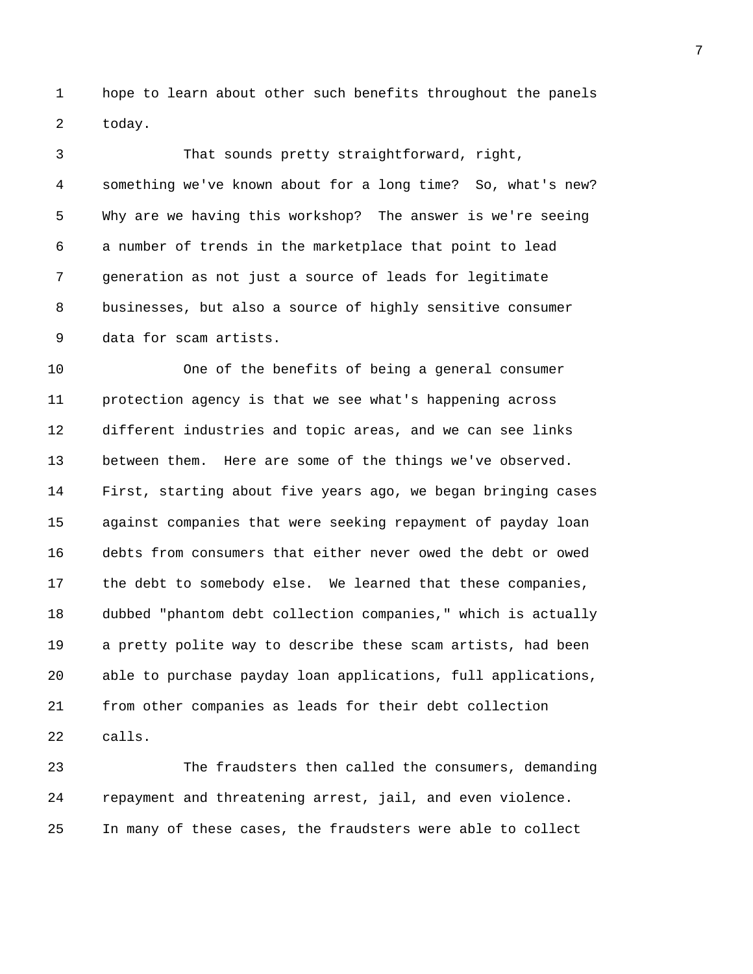1 hope to learn about other such benefits throughout the panels 2 today.

3 That sounds pretty straightforward, right, 4 something we've known about for a long time? So, what's new? 5 Why are we having this workshop? The answer is we're seeing 6 a number of trends in the marketplace that point to lead 7 generation as not just a source of leads for legitimate 8 businesses, but also a source of highly sensitive consumer 9 data for scam artists.

10 One of the benefits of being a general consumer 11 protection agency is that we see what's happening across 12 different industries and topic areas, and we can see links 13 between them. Here are some of the things we've observed. 14 First, starting about five years ago, we began bringing cases 15 against companies that were seeking repayment of payday loan 16 debts from consumers that either never owed the debt or owed 17 the debt to somebody else. We learned that these companies, 18 dubbed "phantom debt collection companies," which is actually 19 a pretty polite way to describe these scam artists, had been 20 able to purchase payday loan applications, full applications, 21 from other companies as leads for their debt collection 22 calls.

23 The fraudsters then called the consumers, demanding 24 repayment and threatening arrest, jail, and even violence. 25 In many of these cases, the fraudsters were able to collect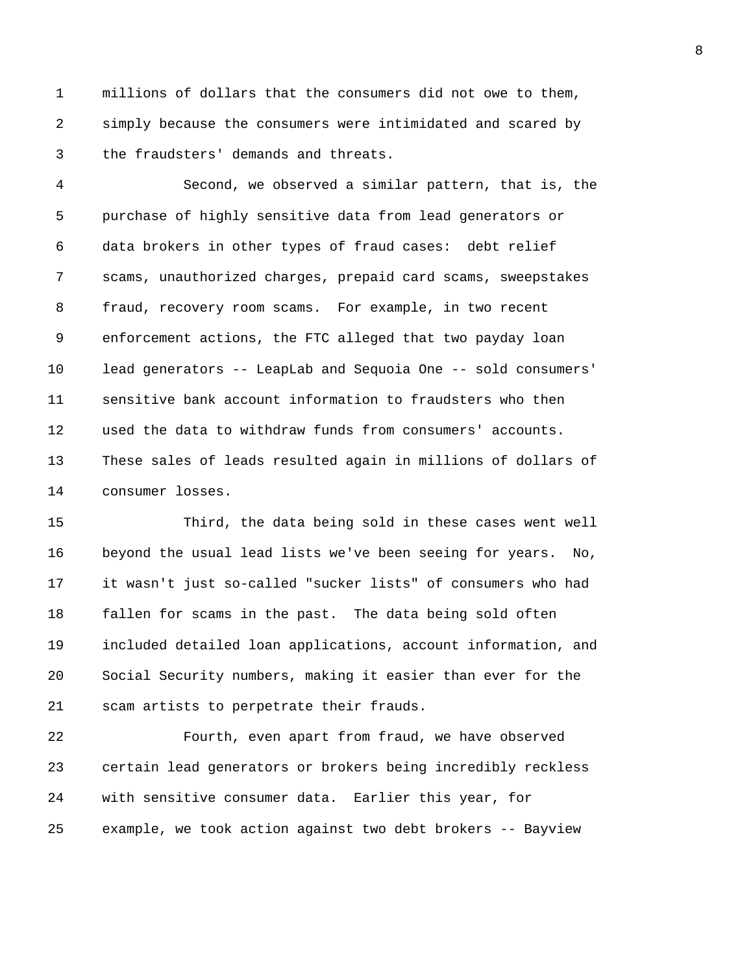1 millions of dollars that the consumers did not owe to them, 2 simply because the consumers were intimidated and scared by 3 the fraudsters' demands and threats.

4 Second, we observed a similar pattern, that is, the 5 purchase of highly sensitive data from lead generators or 6 data brokers in other types of fraud cases: debt relief 7 scams, unauthorized charges, prepaid card scams, sweepstakes 8 fraud, recovery room scams. For example, in two recent 9 enforcement actions, the FTC alleged that two payday loan 10 lead generators -- LeapLab and Sequoia One -- sold consumers' 11 sensitive bank account information to fraudsters who then 12 used the data to withdraw funds from consumers' accounts. 13 These sales of leads resulted again in millions of dollars of 14 consumer losses.

15 Third, the data being sold in these cases went well 16 beyond the usual lead lists we've been seeing for years. No, 17 it wasn't just so-called "sucker lists" of consumers who had 18 fallen for scams in the past. The data being sold often 19 included detailed loan applications, account information, and 20 Social Security numbers, making it easier than ever for the 21 scam artists to perpetrate their frauds.

22 Fourth, even apart from fraud, we have observed 23 certain lead generators or brokers being incredibly reckless 24 with sensitive consumer data. Earlier this year, for 25 example, we took action against two debt brokers -- Bayview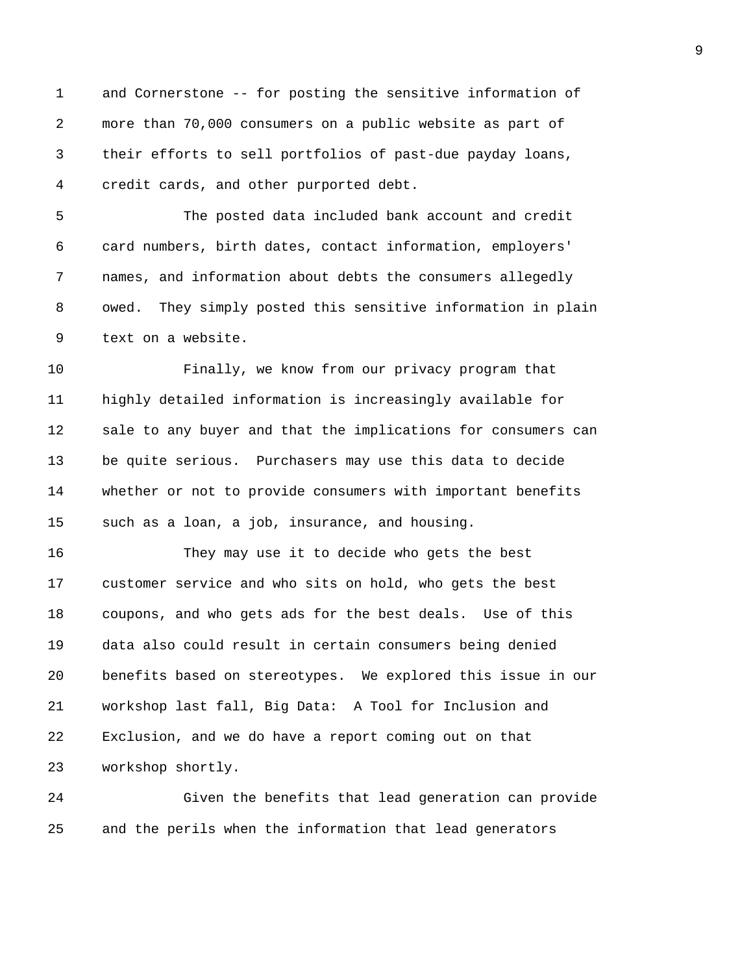1 and Cornerstone -- for posting the sensitive information of 2 more than 70,000 consumers on a public website as part of 3 their efforts to sell portfolios of past-due payday loans, 4 credit cards, and other purported debt.

5 The posted data included bank account and credit 6 card numbers, birth dates, contact information, employers' 7 names, and information about debts the consumers allegedly 8 owed. They simply posted this sensitive information in plain 9 text on a website.

10 Finally, we know from our privacy program that 11 highly detailed information is increasingly available for 12 sale to any buyer and that the implications for consumers can 13 be quite serious. Purchasers may use this data to decide 14 whether or not to provide consumers with important benefits 15 such as a loan, a job, insurance, and housing.

16 They may use it to decide who gets the best 17 customer service and who sits on hold, who gets the best 18 coupons, and who gets ads for the best deals. Use of this 19 data also could result in certain consumers being denied 20 benefits based on stereotypes. We explored this issue in our 21 workshop last fall, Big Data: A Tool for Inclusion and 22 Exclusion, and we do have a report coming out on that 23 workshop shortly.

24 Given the benefits that lead generation can provide 25 and the perils when the information that lead generators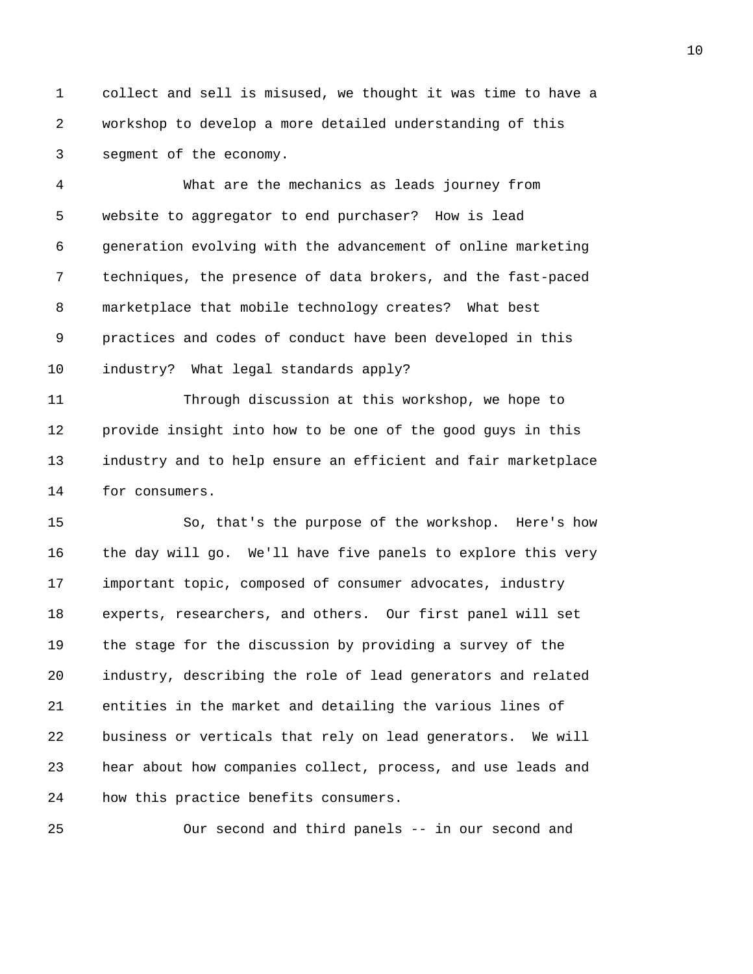1 collect and sell is misused, we thought it was time to have a 2 workshop to develop a more detailed understanding of this 3 segment of the economy.

4 What are the mechanics as leads journey from 5 website to aggregator to end purchaser? How is lead 6 generation evolving with the advancement of online marketing 7 techniques, the presence of data brokers, and the fast-paced 8 marketplace that mobile technology creates? What best 9 practices and codes of conduct have been developed in this 10 industry? What legal standards apply?

11 Through discussion at this workshop, we hope to 12 provide insight into how to be one of the good guys in this 13 industry and to help ensure an efficient and fair marketplace 14 for consumers.

15 So, that's the purpose of the workshop. Here's how 16 the day will go. We'll have five panels to explore this very 17 important topic, composed of consumer advocates, industry 18 experts, researchers, and others. Our first panel will set 19 the stage for the discussion by providing a survey of the 20 industry, describing the role of lead generators and related 21 entities in the market and detailing the various lines of 22 business or verticals that rely on lead generators. We will 23 hear about how companies collect, process, and use leads and 24 how this practice benefits consumers.

25 Our second and third panels -- in our second and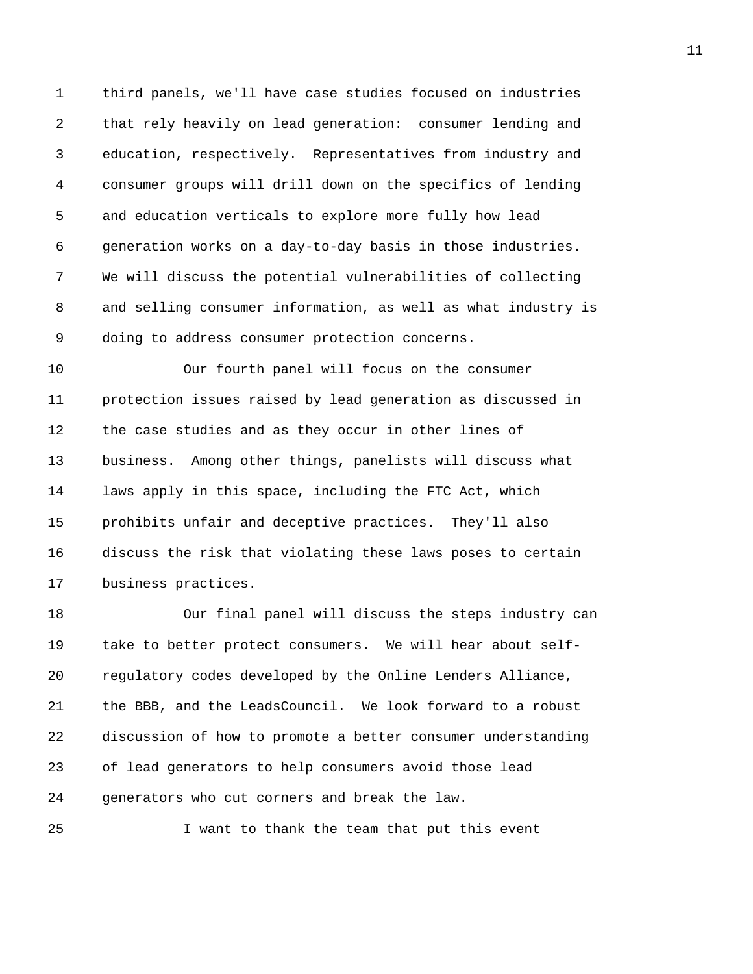1 third panels, we'll have case studies focused on industries 2 that rely heavily on lead generation: consumer lending and 3 education, respectively. Representatives from industry and 4 consumer groups will drill down on the specifics of lending 5 and education verticals to explore more fully how lead 6 generation works on a day-to-day basis in those industries. 7 We will discuss the potential vulnerabilities of collecting 8 and selling consumer information, as well as what industry is 9 doing to address consumer protection concerns.

10 Our fourth panel will focus on the consumer 11 protection issues raised by lead generation as discussed in 12 the case studies and as they occur in other lines of 13 business. Among other things, panelists will discuss what 14 laws apply in this space, including the FTC Act, which 15 prohibits unfair and deceptive practices. They'll also 16 discuss the risk that violating these laws poses to certain 17 business practices.

18 Our final panel will discuss the steps industry can 19 take to better protect consumers. We will hear about self-20 regulatory codes developed by the Online Lenders Alliance, 21 the BBB, and the LeadsCouncil. We look forward to a robust 22 discussion of how to promote a better consumer understanding 23 of lead generators to help consumers avoid those lead 24 generators who cut corners and break the law.

25 I want to thank the team that put this event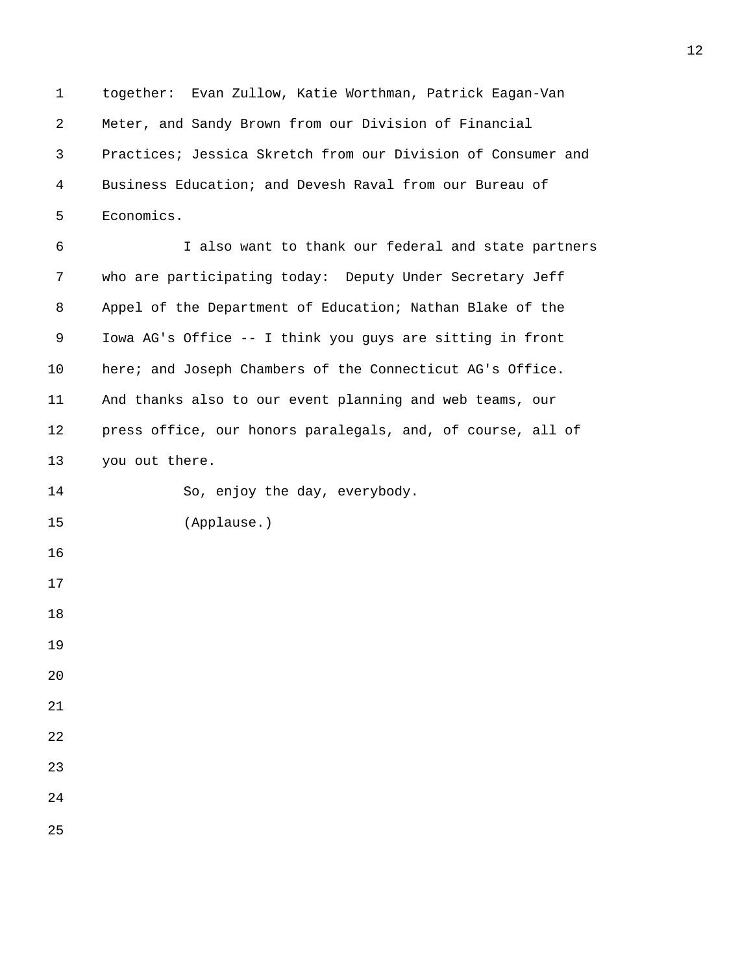1 together: Evan Zullow, Katie Worthman, Patrick Eagan-Van 2 Meter, and Sandy Brown from our Division of Financial 3 Practices; Jessica Skretch from our Division of Consumer and 4 Business Education; and Devesh Raval from our Bureau of 5 Economics.

6 I also want to thank our federal and state partners 7 who are participating today: Deputy Under Secretary Jeff 8 Appel of the Department of Education; Nathan Blake of the 9 Iowa AG's Office -- I think you guys are sitting in front 10 here; and Joseph Chambers of the Connecticut AG's Office. 11 And thanks also to our event planning and web teams, our 12 press office, our honors paralegals, and, of course, all of 13 you out there.

14 So, enjoy the day, everybody.

25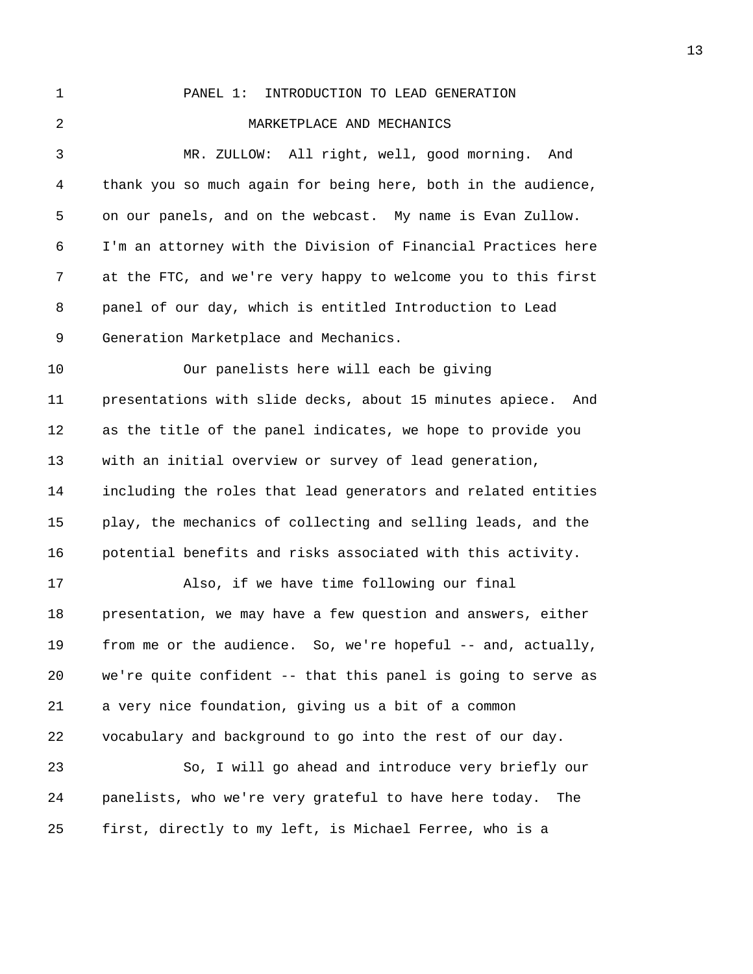1 PANEL 1: INTRODUCTION TO LEAD GENERATION 2 MARKETPLACE AND MECHANICS 3 MR. ZULLOW: All right, well, good morning. And 4 thank you so much again for being here, both in the audience, 5 on our panels, and on the webcast. My name is Evan Zullow. 6 I'm an attorney with the Division of Financial Practices here 7 at the FTC, and we're very happy to welcome you to this first 8 panel of our day, which is entitled Introduction to Lead 9 Generation Marketplace and Mechanics. 10 Our panelists here will each be giving 11 presentations with slide decks, about 15 minutes apiece. And 12 as the title of the panel indicates, we hope to provide you 13 with an initial overview or survey of lead generation, 14 including the roles that lead generators and related entities 15 play, the mechanics of collecting and selling leads, and the 16 potential benefits and risks associated with this activity. 17 Also, if we have time following our final 18 presentation, we may have a few question and answers, either 19 from me or the audience. So, we're hopeful -- and, actually, 20 we're quite confident -- that this panel is going to serve as 21 a very nice foundation, giving us a bit of a common 22 vocabulary and background to go into the rest of our day. 23 So, I will go ahead and introduce very briefly our 24 panelists, who we're very grateful to have here today. The 25 first, directly to my left, is Michael Ferree, who is a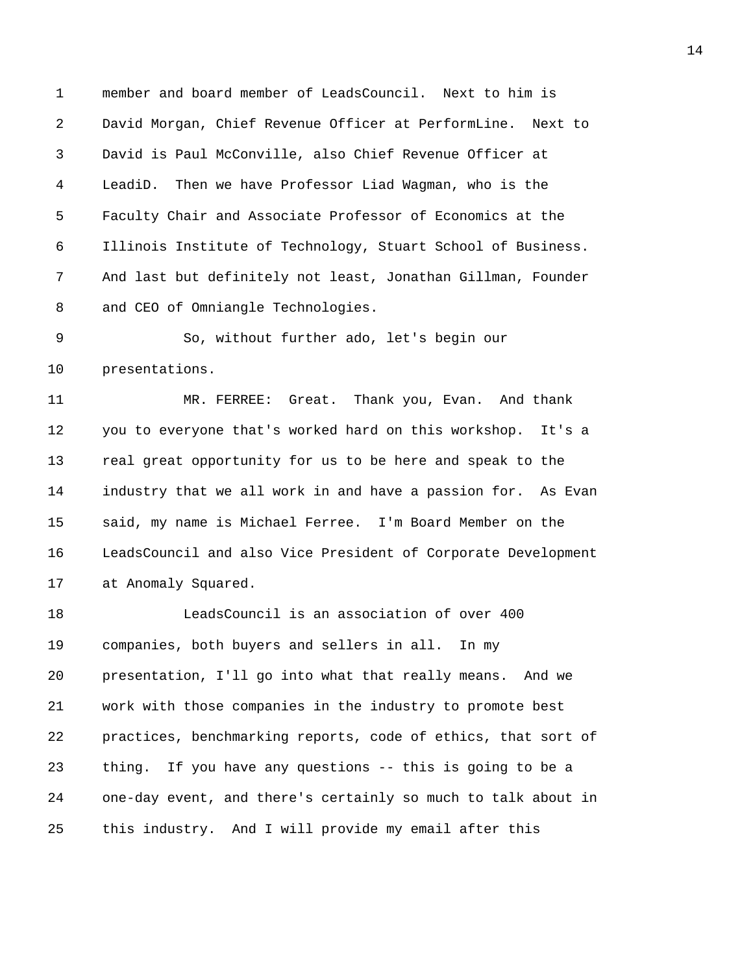1 member and board member of LeadsCouncil. Next to him is 2 David Morgan, Chief Revenue Officer at PerformLine. Next to 3 David is Paul McConville, also Chief Revenue Officer at 4 LeadiD. Then we have Professor Liad Wagman, who is the 5 Faculty Chair and Associate Professor of Economics at the 6 Illinois Institute of Technology, Stuart School of Business. 7 And last but definitely not least, Jonathan Gillman, Founder 8 and CEO of Omniangle Technologies.

9 So, without further ado, let's begin our 10 presentations.

11 MR. FERREE: Great. Thank you, Evan. And thank 12 you to everyone that's worked hard on this workshop. It's a 13 real great opportunity for us to be here and speak to the 14 industry that we all work in and have a passion for. As Evan 15 said, my name is Michael Ferree. I'm Board Member on the 16 LeadsCouncil and also Vice President of Corporate Development 17 at Anomaly Squared.

18 LeadsCouncil is an association of over 400 19 companies, both buyers and sellers in all. In my 20 presentation, I'll go into what that really means. And we 21 work with those companies in the industry to promote best 22 practices, benchmarking reports, code of ethics, that sort of 23 thing. If you have any questions -- this is going to be a 24 one-day event, and there's certainly so much to talk about in 25 this industry. And I will provide my email after this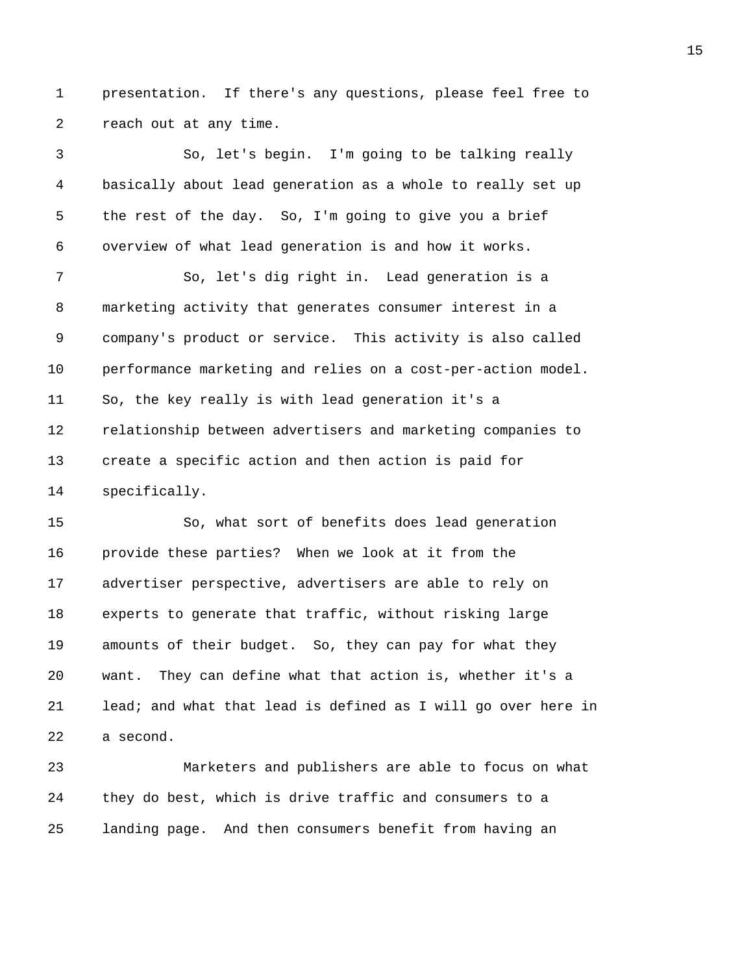1 presentation. If there's any questions, please feel free to 2 reach out at any time.

3 So, let's begin. I'm going to be talking really 4 basically about lead generation as a whole to really set up 5 the rest of the day. So, I'm going to give you a brief 6 overview of what lead generation is and how it works.

7 So, let's dig right in. Lead generation is a 8 marketing activity that generates consumer interest in a 9 company's product or service. This activity is also called 10 performance marketing and relies on a cost-per-action model. 11 So, the key really is with lead generation it's a 12 relationship between advertisers and marketing companies to 13 create a specific action and then action is paid for 14 specifically.

15 So, what sort of benefits does lead generation 16 provide these parties? When we look at it from the 17 advertiser perspective, advertisers are able to rely on 18 experts to generate that traffic, without risking large 19 amounts of their budget. So, they can pay for what they 20 want. They can define what that action is, whether it's a 21 lead; and what that lead is defined as I will go over here in 22 a second.

23 Marketers and publishers are able to focus on what 24 they do best, which is drive traffic and consumers to a 25 landing page. And then consumers benefit from having an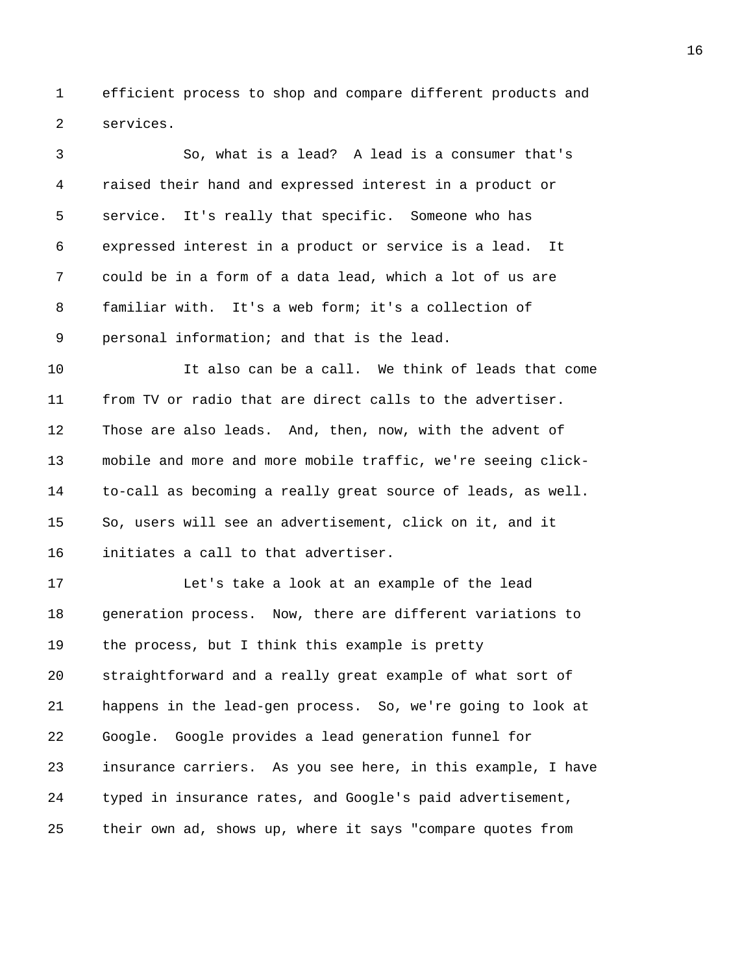1 efficient process to shop and compare different products and 2 services.

3 So, what is a lead? A lead is a consumer that's 4 raised their hand and expressed interest in a product or 5 service. It's really that specific. Someone who has 6 expressed interest in a product or service is a lead. It 7 could be in a form of a data lead, which a lot of us are 8 familiar with. It's a web form; it's a collection of 9 personal information; and that is the lead. 10 It also can be a call. We think of leads that come 11 from TV or radio that are direct calls to the advertiser. 12 Those are also leads. And, then, now, with the advent of 13 mobile and more and more mobile traffic, we're seeing click-

14 to-call as becoming a really great source of leads, as well. 15 So, users will see an advertisement, click on it, and it 16 initiates a call to that advertiser.

17 Let's take a look at an example of the lead 18 generation process. Now, there are different variations to 19 the process, but I think this example is pretty 20 straightforward and a really great example of what sort of 21 happens in the lead-gen process. So, we're going to look at 22 Google. Google provides a lead generation funnel for 23 insurance carriers. As you see here, in this example, I have 24 typed in insurance rates, and Google's paid advertisement, 25 their own ad, shows up, where it says "compare quotes from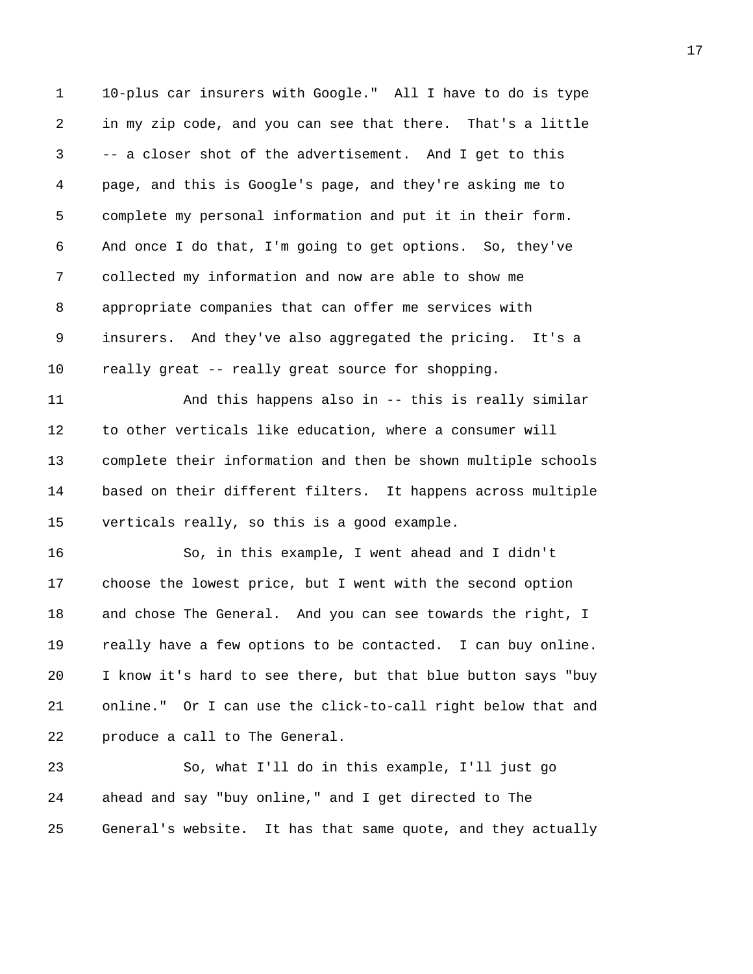1 10-plus car insurers with Google." All I have to do is type 2 in my zip code, and you can see that there. That's a little 3 -- a closer shot of the advertisement. And I get to this 4 page, and this is Google's page, and they're asking me to 5 complete my personal information and put it in their form. 6 And once I do that, I'm going to get options. So, they've 7 collected my information and now are able to show me 8 appropriate companies that can offer me services with 9 insurers. And they've also aggregated the pricing. It's a 10 really great -- really great source for shopping.

11 And this happens also in -- this is really similar 12 to other verticals like education, where a consumer will 13 complete their information and then be shown multiple schools 14 based on their different filters. It happens across multiple 15 verticals really, so this is a good example.

16 So, in this example, I went ahead and I didn't 17 choose the lowest price, but I went with the second option 18 and chose The General. And you can see towards the right, I 19 really have a few options to be contacted. I can buy online. 20 I know it's hard to see there, but that blue button says "buy 21 online." Or I can use the click-to-call right below that and 22 produce a call to The General.

23 So, what I'll do in this example, I'll just go 24 ahead and say "buy online," and I get directed to The 25 General's website. It has that same quote, and they actually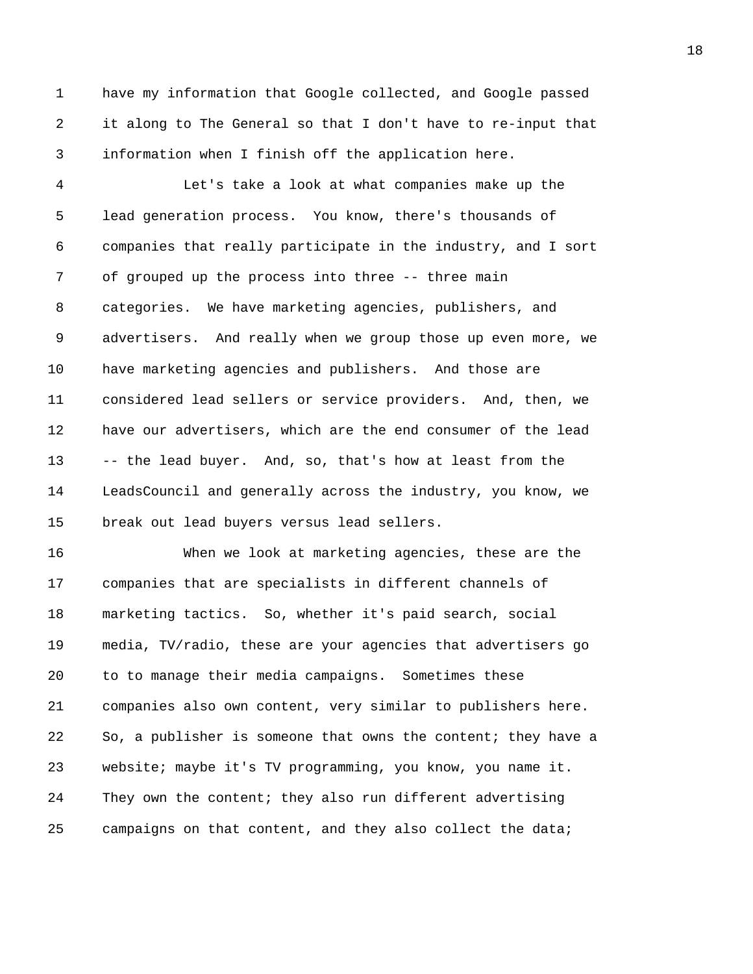1 have my information that Google collected, and Google passed 2 it along to The General so that I don't have to re-input that 3 information when I finish off the application here.

4 Let's take a look at what companies make up the 5 lead generation process. You know, there's thousands of 6 companies that really participate in the industry, and I sort 7 of grouped up the process into three -- three main 8 categories. We have marketing agencies, publishers, and 9 advertisers. And really when we group those up even more, we 10 have marketing agencies and publishers. And those are 11 considered lead sellers or service providers. And, then, we 12 have our advertisers, which are the end consumer of the lead 13 -- the lead buyer. And, so, that's how at least from the 14 LeadsCouncil and generally across the industry, you know, we 15 break out lead buyers versus lead sellers.

16 When we look at marketing agencies, these are the 17 companies that are specialists in different channels of 18 marketing tactics. So, whether it's paid search, social 19 media, TV/radio, these are your agencies that advertisers go 20 to to manage their media campaigns. Sometimes these 21 companies also own content, very similar to publishers here. 22 So, a publisher is someone that owns the content; they have a 23 website; maybe it's TV programming, you know, you name it. 24 They own the content; they also run different advertising 25 campaigns on that content, and they also collect the data;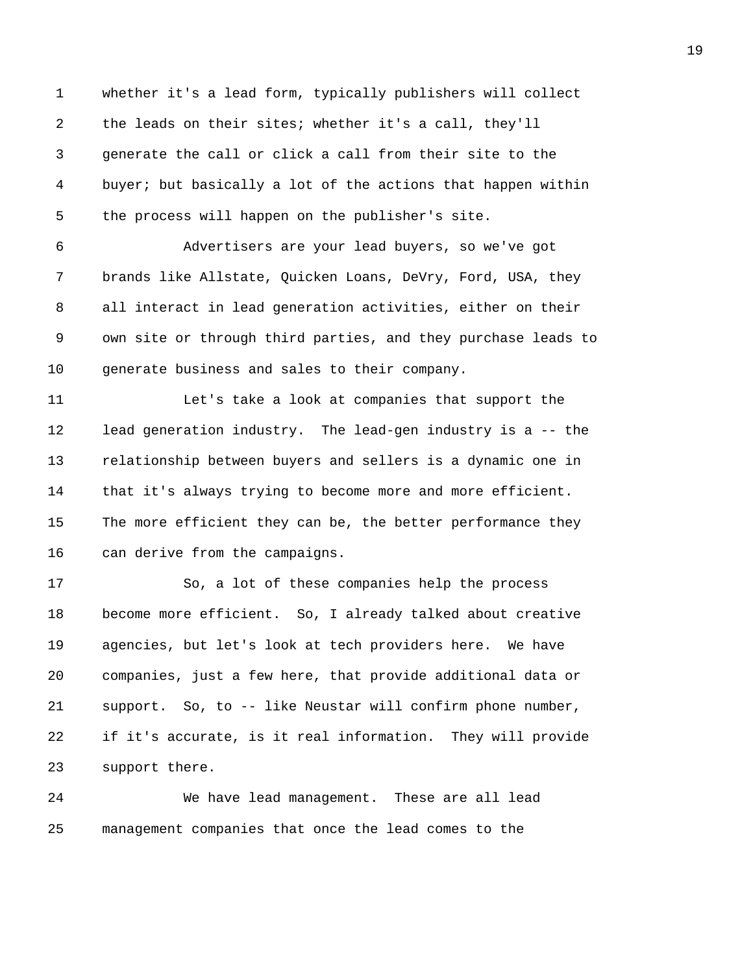1 whether it's a lead form, typically publishers will collect 2 the leads on their sites; whether it's a call, they'll 3 generate the call or click a call from their site to the 4 buyer; but basically a lot of the actions that happen within 5 the process will happen on the publisher's site.

6 Advertisers are your lead buyers, so we've got 7 brands like Allstate, Quicken Loans, DeVry, Ford, USA, they 8 all interact in lead generation activities, either on their 9 own site or through third parties, and they purchase leads to 10 generate business and sales to their company.

11 Let's take a look at companies that support the 12 lead generation industry. The lead-gen industry is a -- the 13 relationship between buyers and sellers is a dynamic one in 14 that it's always trying to become more and more efficient. 15 The more efficient they can be, the better performance they 16 can derive from the campaigns.

17 So, a lot of these companies help the process 18 become more efficient. So, I already talked about creative 19 agencies, but let's look at tech providers here. We have 20 companies, just a few here, that provide additional data or 21 support. So, to -- like Neustar will confirm phone number, 22 if it's accurate, is it real information. They will provide 23 support there.

24 We have lead management. These are all lead 25 management companies that once the lead comes to the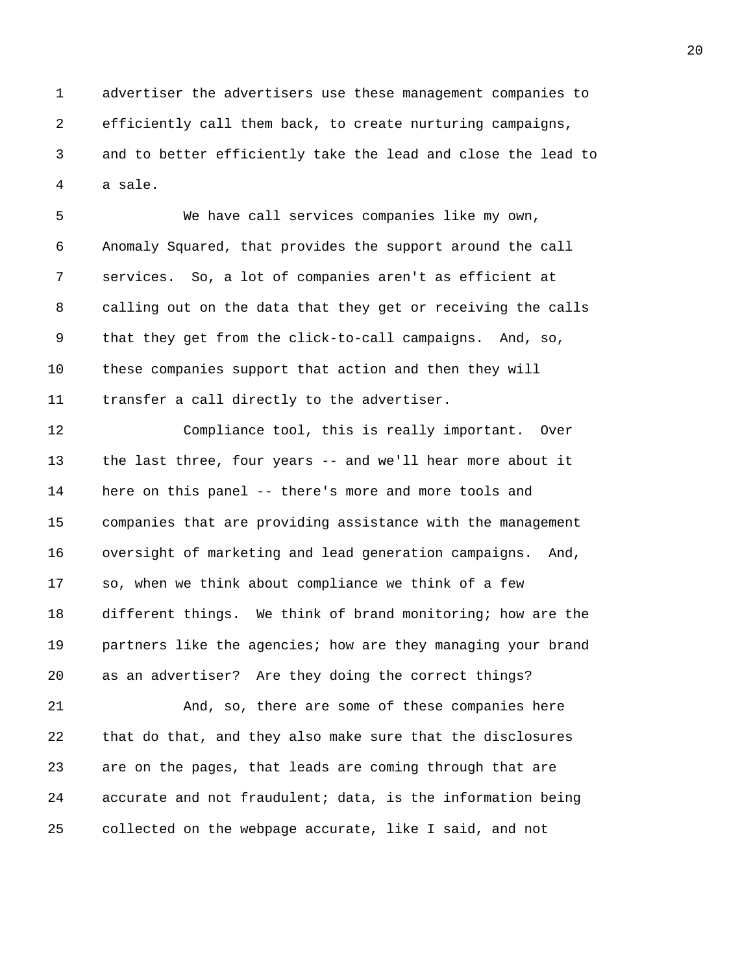1 advertiser the advertisers use these management companies to 2 efficiently call them back, to create nurturing campaigns, 3 and to better efficiently take the lead and close the lead to 4 a sale.

5 We have call services companies like my own, 6 Anomaly Squared, that provides the support around the call 7 services. So, a lot of companies aren't as efficient at 8 calling out on the data that they get or receiving the calls 9 that they get from the click-to-call campaigns. And, so, 10 these companies support that action and then they will 11 transfer a call directly to the advertiser.

12 Compliance tool, this is really important. Over 13 the last three, four years -- and we'll hear more about it 14 here on this panel -- there's more and more tools and 15 companies that are providing assistance with the management 16 oversight of marketing and lead generation campaigns. And, 17 so, when we think about compliance we think of a few 18 different things. We think of brand monitoring; how are the 19 partners like the agencies; how are they managing your brand 20 as an advertiser? Are they doing the correct things?

21 And, so, there are some of these companies here 22 that do that, and they also make sure that the disclosures 23 are on the pages, that leads are coming through that are 24 accurate and not fraudulent; data, is the information being 25 collected on the webpage accurate, like I said, and not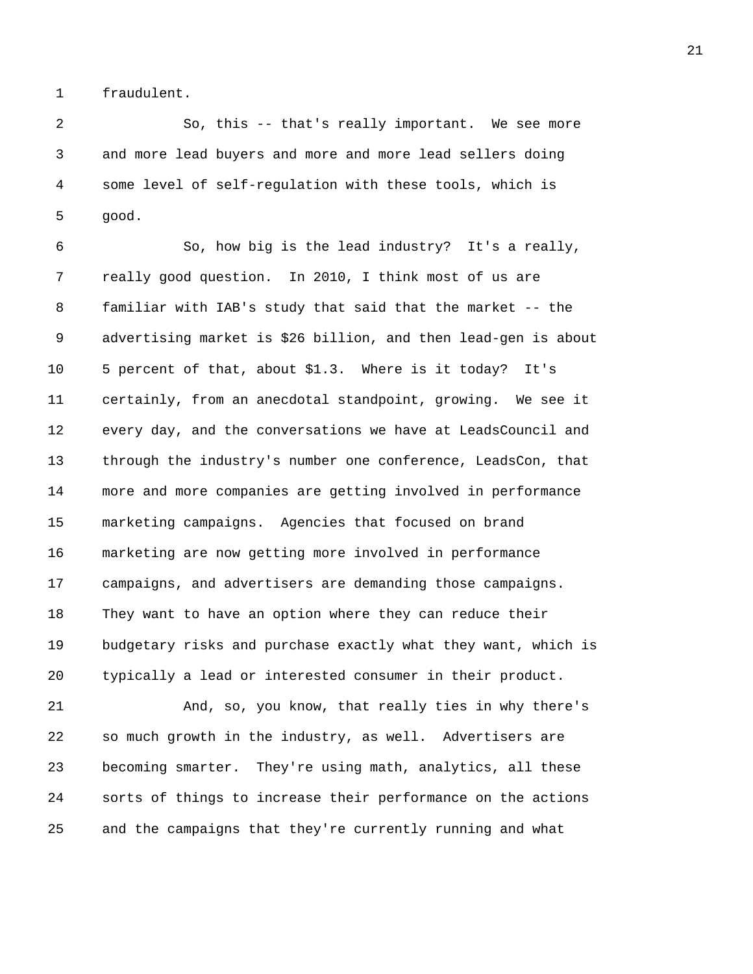1 fraudulent.

2 So, this -- that's really important. We see more 3 and more lead buyers and more and more lead sellers doing 4 some level of self-regulation with these tools, which is 5 good.

6 So, how big is the lead industry? It's a really, 7 really good question. In 2010, I think most of us are 8 familiar with IAB's study that said that the market -- the 9 advertising market is \$26 billion, and then lead-gen is about 10 5 percent of that, about \$1.3. Where is it today? It's 11 certainly, from an anecdotal standpoint, growing. We see it 12 every day, and the conversations we have at LeadsCouncil and 13 through the industry's number one conference, LeadsCon, that 14 more and more companies are getting involved in performance 15 marketing campaigns. Agencies that focused on brand 16 marketing are now getting more involved in performance 17 campaigns, and advertisers are demanding those campaigns. 18 They want to have an option where they can reduce their 19 budgetary risks and purchase exactly what they want, which is 20 typically a lead or interested consumer in their product.

21 And, so, you know, that really ties in why there's 22 so much growth in the industry, as well. Advertisers are 23 becoming smarter. They're using math, analytics, all these 24 sorts of things to increase their performance on the actions 25 and the campaigns that they're currently running and what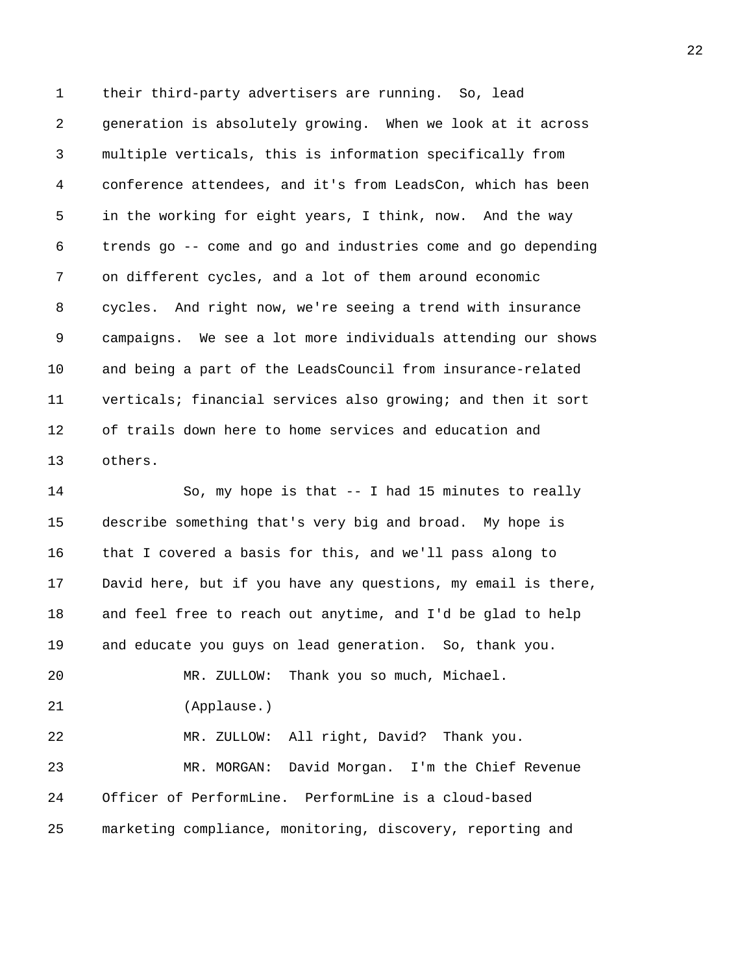1 their third-party advertisers are running. So, lead 2 generation is absolutely growing. When we look at it across 3 multiple verticals, this is information specifically from 4 conference attendees, and it's from LeadsCon, which has been 5 in the working for eight years, I think, now. And the way 6 trends go -- come and go and industries come and go depending 7 on different cycles, and a lot of them around economic 8 cycles. And right now, we're seeing a trend with insurance 9 campaigns. We see a lot more individuals attending our shows 10 and being a part of the LeadsCouncil from insurance-related 11 verticals; financial services also growing; and then it sort 12 of trails down here to home services and education and 13 others.

14 So, my hope is that -- I had 15 minutes to really 15 describe something that's very big and broad. My hope is 16 that I covered a basis for this, and we'll pass along to 17 David here, but if you have any questions, my email is there, 18 and feel free to reach out anytime, and I'd be glad to help 19 and educate you guys on lead generation. So, thank you. 20 MR. ZULLOW: Thank you so much, Michael. 21 (Applause.) 22 MR. ZULLOW: All right, David? Thank you. 23 MR. MORGAN: David Morgan. I'm the Chief Revenue 24 Officer of PerformLine. PerformLine is a cloud-based 25 marketing compliance, monitoring, discovery, reporting and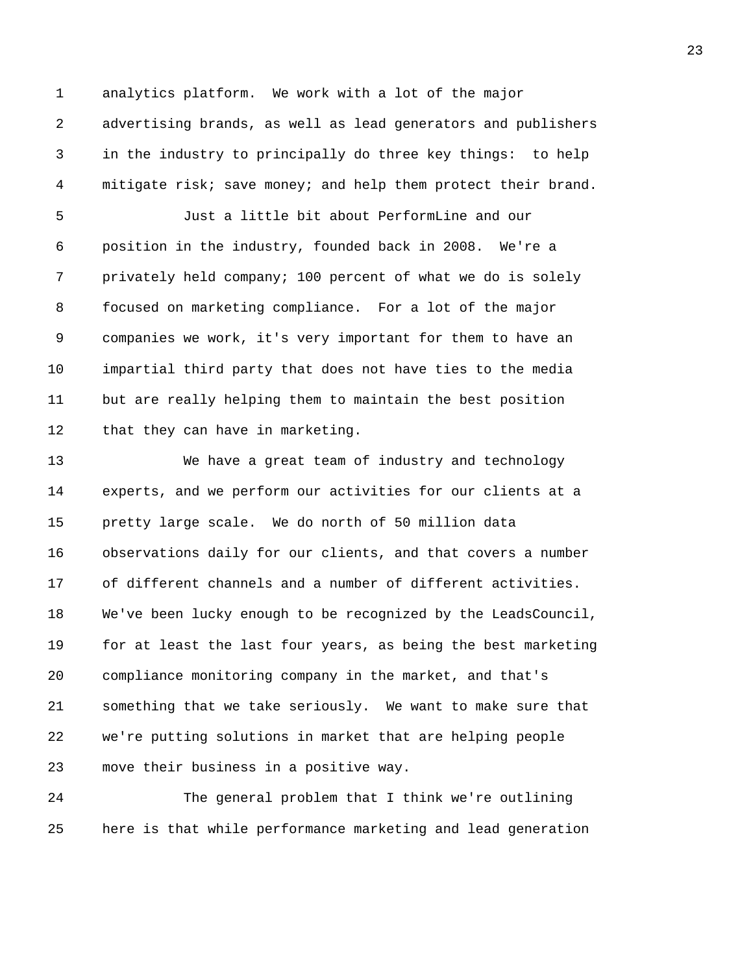1 analytics platform. We work with a lot of the major 2 advertising brands, as well as lead generators and publishers 3 in the industry to principally do three key things: to help 4 mitigate risk; save money; and help them protect their brand.

5 Just a little bit about PerformLine and our 6 position in the industry, founded back in 2008. We're a 7 privately held company; 100 percent of what we do is solely 8 focused on marketing compliance. For a lot of the major 9 companies we work, it's very important for them to have an 10 impartial third party that does not have ties to the media 11 but are really helping them to maintain the best position 12 that they can have in marketing.

13 We have a great team of industry and technology 14 experts, and we perform our activities for our clients at a 15 pretty large scale. We do north of 50 million data 16 observations daily for our clients, and that covers a number 17 of different channels and a number of different activities. 18 We've been lucky enough to be recognized by the LeadsCouncil, 19 for at least the last four years, as being the best marketing 20 compliance monitoring company in the market, and that's 21 something that we take seriously. We want to make sure that 22 we're putting solutions in market that are helping people 23 move their business in a positive way.

24 The general problem that I think we're outlining 25 here is that while performance marketing and lead generation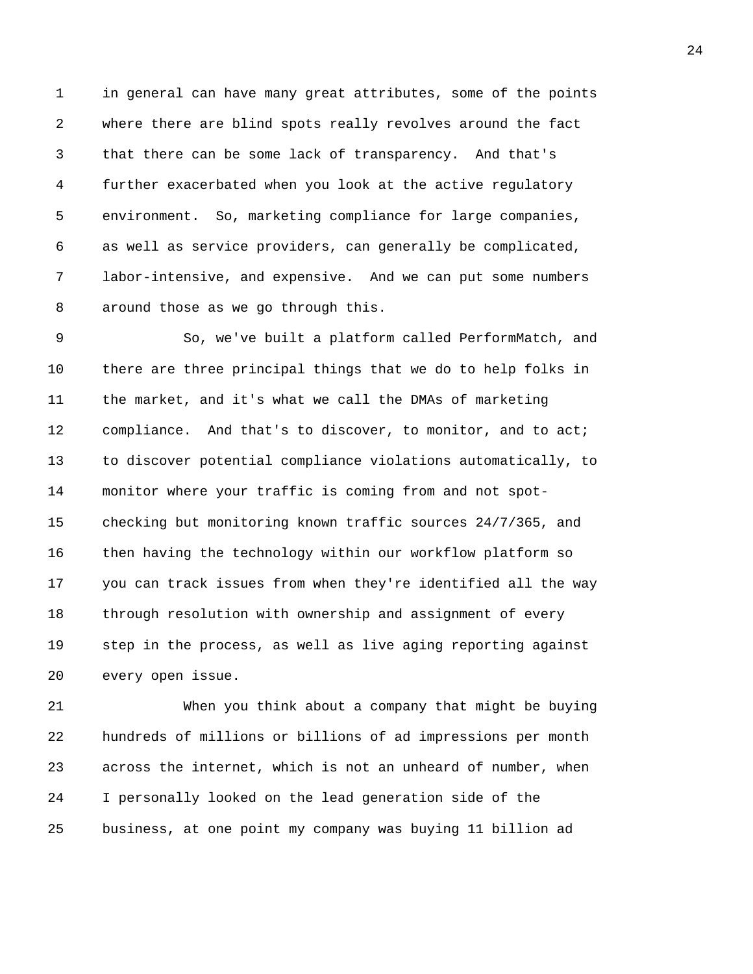1 in general can have many great attributes, some of the points 2 where there are blind spots really revolves around the fact 3 that there can be some lack of transparency. And that's 4 further exacerbated when you look at the active regulatory 5 environment. So, marketing compliance for large companies, 6 as well as service providers, can generally be complicated, 7 labor-intensive, and expensive. And we can put some numbers 8 around those as we go through this.

9 So, we've built a platform called PerformMatch, and 10 there are three principal things that we do to help folks in 11 the market, and it's what we call the DMAs of marketing 12 compliance. And that's to discover, to monitor, and to act; 13 to discover potential compliance violations automatically, to 14 monitor where your traffic is coming from and not spot-15 checking but monitoring known traffic sources 24/7/365, and 16 then having the technology within our workflow platform so 17 you can track issues from when they're identified all the way 18 through resolution with ownership and assignment of every 19 step in the process, as well as live aging reporting against 20 every open issue.

21 When you think about a company that might be buying 22 hundreds of millions or billions of ad impressions per month 23 across the internet, which is not an unheard of number, when 24 I personally looked on the lead generation side of the 25 business, at one point my company was buying 11 billion ad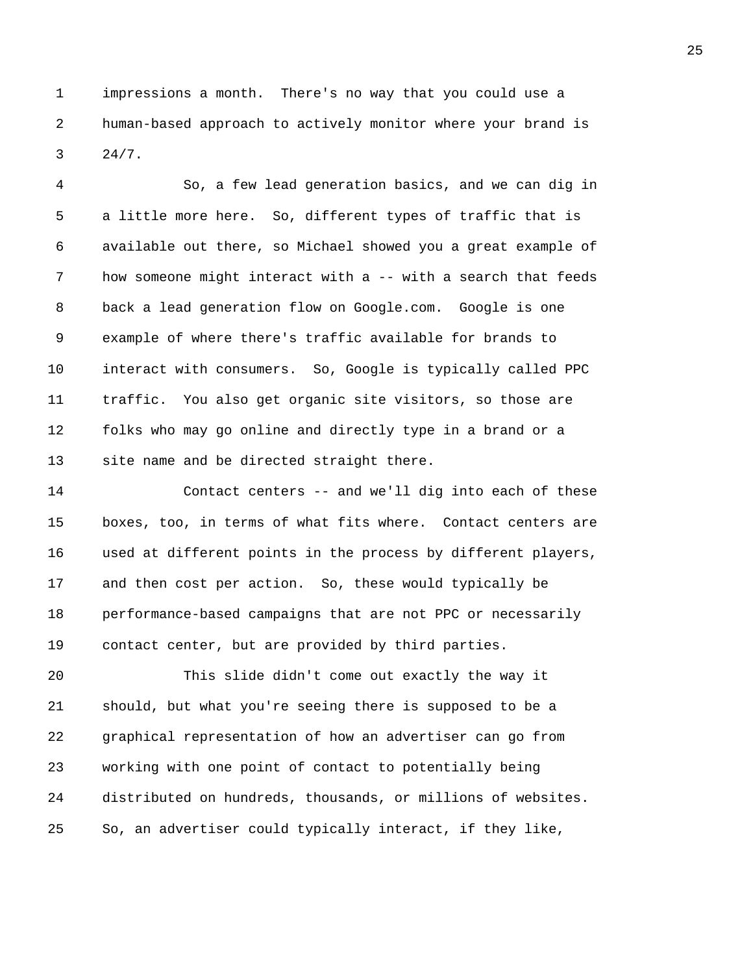1 impressions a month. There's no way that you could use a 2 human-based approach to actively monitor where your brand is 3 24/7.

4 So, a few lead generation basics, and we can dig in 5 a little more here. So, different types of traffic that is 6 available out there, so Michael showed you a great example of 7 how someone might interact with a -- with a search that feeds 8 back a lead generation flow on Google.com. Google is one 9 example of where there's traffic available for brands to 10 interact with consumers. So, Google is typically called PPC 11 traffic. You also get organic site visitors, so those are 12 folks who may go online and directly type in a brand or a 13 site name and be directed straight there.

14 Contact centers -- and we'll dig into each of these 15 boxes, too, in terms of what fits where. Contact centers are 16 used at different points in the process by different players, 17 and then cost per action. So, these would typically be 18 performance-based campaigns that are not PPC or necessarily 19 contact center, but are provided by third parties.

20 This slide didn't come out exactly the way it 21 should, but what you're seeing there is supposed to be a 22 graphical representation of how an advertiser can go from 23 working with one point of contact to potentially being 24 distributed on hundreds, thousands, or millions of websites. 25 So, an advertiser could typically interact, if they like,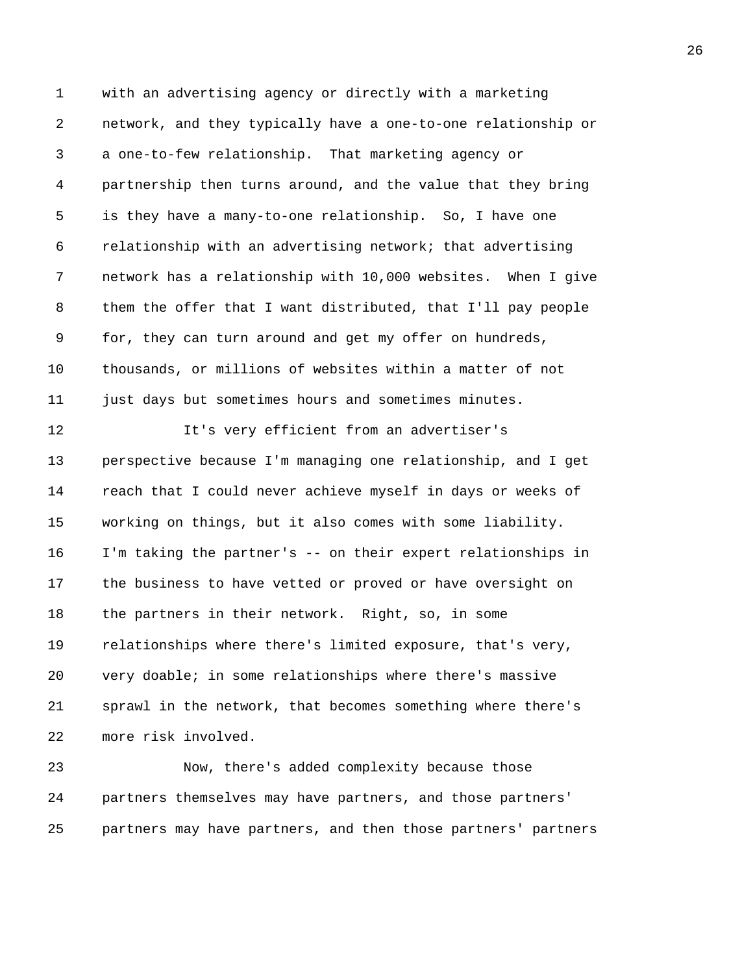1 with an advertising agency or directly with a marketing 2 network, and they typically have a one-to-one relationship or 3 a one-to-few relationship. That marketing agency or 4 partnership then turns around, and the value that they bring 5 is they have a many-to-one relationship. So, I have one 6 relationship with an advertising network; that advertising 7 network has a relationship with 10,000 websites. When I give 8 them the offer that I want distributed, that I'll pay people 9 for, they can turn around and get my offer on hundreds, 10 thousands, or millions of websites within a matter of not 11 just days but sometimes hours and sometimes minutes. 12 It's very efficient from an advertiser's 13 perspective because I'm managing one relationship, and I get 14 reach that I could never achieve myself in days or weeks of 15 working on things, but it also comes with some liability. 16 I'm taking the partner's -- on their expert relationships in 17 the business to have vetted or proved or have oversight on 18 the partners in their network. Right, so, in some 19 relationships where there's limited exposure, that's very, 20 very doable; in some relationships where there's massive 21 sprawl in the network, that becomes something where there's 22 more risk involved.

23 Now, there's added complexity because those 24 partners themselves may have partners, and those partners' 25 partners may have partners, and then those partners' partners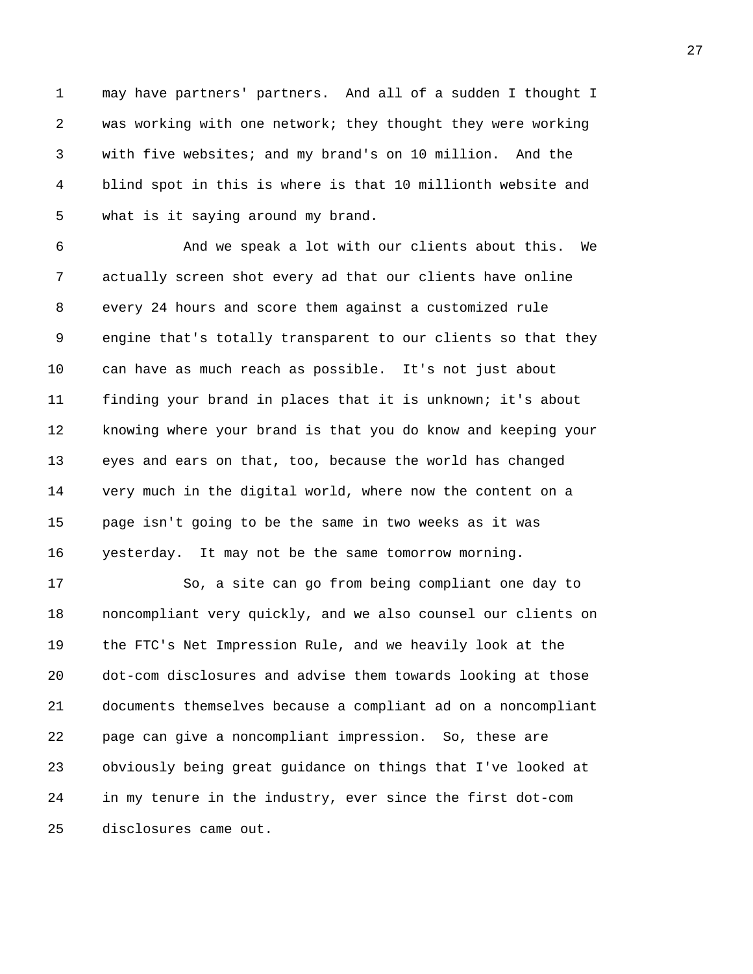1 may have partners' partners. And all of a sudden I thought I 2 was working with one network; they thought they were working 3 with five websites; and my brand's on 10 million. And the 4 blind spot in this is where is that 10 millionth website and 5 what is it saying around my brand.

6 And we speak a lot with our clients about this. We 7 actually screen shot every ad that our clients have online 8 every 24 hours and score them against a customized rule 9 engine that's totally transparent to our clients so that they 10 can have as much reach as possible. It's not just about 11 finding your brand in places that it is unknown; it's about 12 knowing where your brand is that you do know and keeping your 13 eyes and ears on that, too, because the world has changed 14 very much in the digital world, where now the content on a 15 page isn't going to be the same in two weeks as it was 16 yesterday. It may not be the same tomorrow morning.

17 So, a site can go from being compliant one day to 18 noncompliant very quickly, and we also counsel our clients on 19 the FTC's Net Impression Rule, and we heavily look at the 20 dot-com disclosures and advise them towards looking at those 21 documents themselves because a compliant ad on a noncompliant 22 page can give a noncompliant impression. So, these are 23 obviously being great guidance on things that I've looked at 24 in my tenure in the industry, ever since the first dot-com 25 disclosures came out.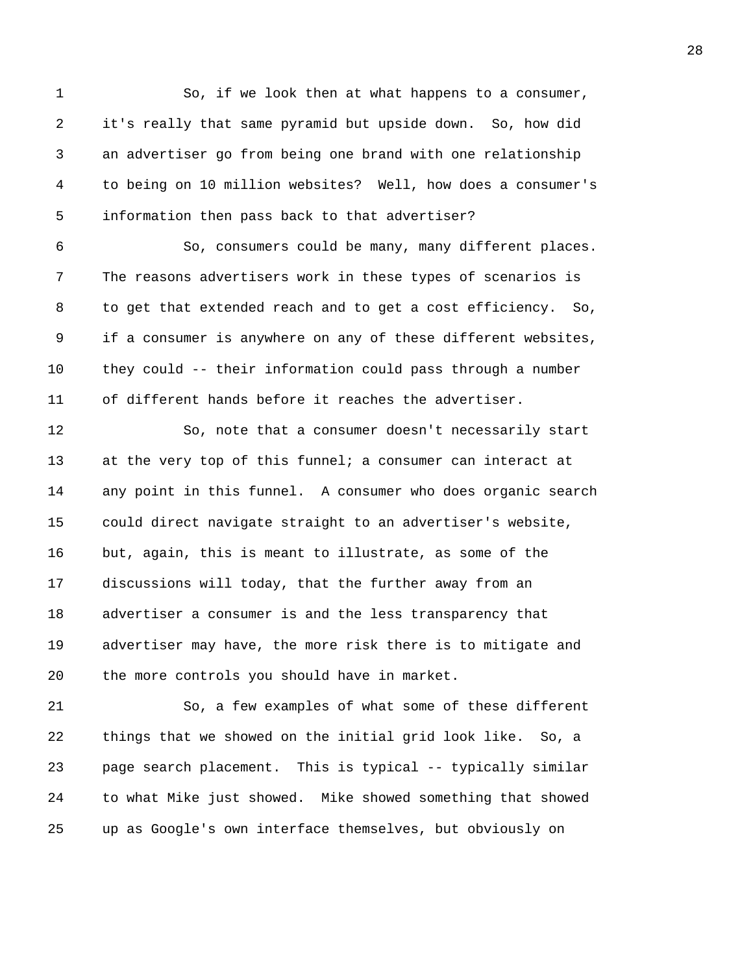1 So, if we look then at what happens to a consumer, 2 it's really that same pyramid but upside down. So, how did 3 an advertiser go from being one brand with one relationship 4 to being on 10 million websites? Well, how does a consumer's 5 information then pass back to that advertiser? 6 So, consumers could be many, many different places. 7 The reasons advertisers work in these types of scenarios is 8 to get that extended reach and to get a cost efficiency. So, 9 if a consumer is anywhere on any of these different websites,

10 they could -- their information could pass through a number 11 of different hands before it reaches the advertiser.

12 So, note that a consumer doesn't necessarily start 13 at the very top of this funnel; a consumer can interact at 14 any point in this funnel. A consumer who does organic search 15 could direct navigate straight to an advertiser's website, 16 but, again, this is meant to illustrate, as some of the 17 discussions will today, that the further away from an 18 advertiser a consumer is and the less transparency that 19 advertiser may have, the more risk there is to mitigate and 20 the more controls you should have in market.

21 So, a few examples of what some of these different 22 things that we showed on the initial grid look like. So, a 23 page search placement. This is typical -- typically similar 24 to what Mike just showed. Mike showed something that showed 25 up as Google's own interface themselves, but obviously on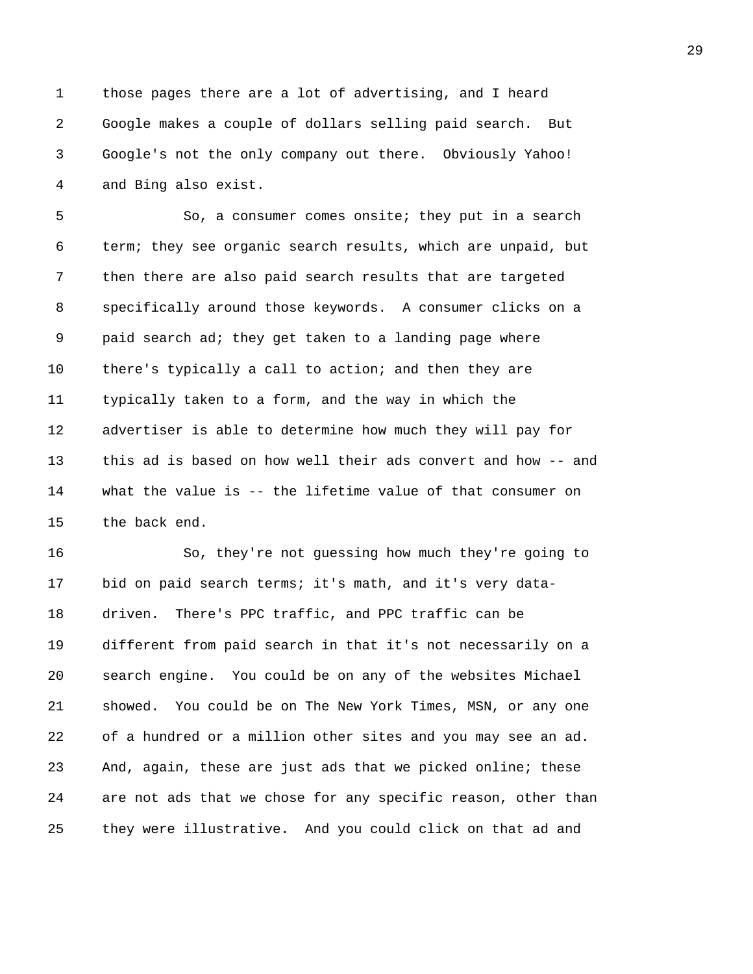1 those pages there are a lot of advertising, and I heard 2 Google makes a couple of dollars selling paid search. But 3 Google's not the only company out there. Obviously Yahoo! 4 and Bing also exist.

5 So, a consumer comes onsite; they put in a search 6 term; they see organic search results, which are unpaid, but 7 then there are also paid search results that are targeted 8 specifically around those keywords. A consumer clicks on a 9 paid search ad; they get taken to a landing page where 10 there's typically a call to action; and then they are 11 typically taken to a form, and the way in which the 12 advertiser is able to determine how much they will pay for 13 this ad is based on how well their ads convert and how -- and 14 what the value is -- the lifetime value of that consumer on 15 the back end.

16 So, they're not guessing how much they're going to 17 bid on paid search terms; it's math, and it's very data-18 driven. There's PPC traffic, and PPC traffic can be 19 different from paid search in that it's not necessarily on a 20 search engine. You could be on any of the websites Michael 21 showed. You could be on The New York Times, MSN, or any one 22 of a hundred or a million other sites and you may see an ad. 23 And, again, these are just ads that we picked online; these 24 are not ads that we chose for any specific reason, other than 25 they were illustrative. And you could click on that ad and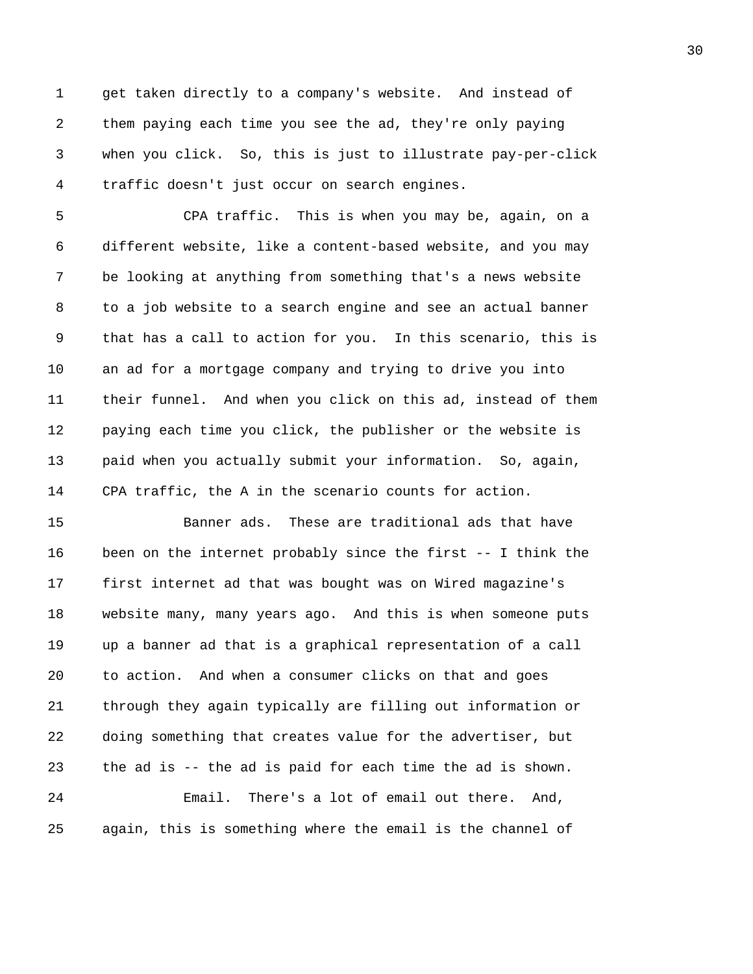1 get taken directly to a company's website. And instead of 2 them paying each time you see the ad, they're only paying 3 when you click. So, this is just to illustrate pay-per-click 4 traffic doesn't just occur on search engines.

5 CPA traffic. This is when you may be, again, on a 6 different website, like a content-based website, and you may 7 be looking at anything from something that's a news website 8 to a job website to a search engine and see an actual banner 9 that has a call to action for you. In this scenario, this is 10 an ad for a mortgage company and trying to drive you into 11 their funnel. And when you click on this ad, instead of them 12 paying each time you click, the publisher or the website is 13 paid when you actually submit your information. So, again, 14 CPA traffic, the A in the scenario counts for action.

15 Banner ads. These are traditional ads that have 16 been on the internet probably since the first -- I think the 17 first internet ad that was bought was on Wired magazine's 18 website many, many years ago. And this is when someone puts 19 up a banner ad that is a graphical representation of a call 20 to action. And when a consumer clicks on that and goes 21 through they again typically are filling out information or 22 doing something that creates value for the advertiser, but 23 the ad is -- the ad is paid for each time the ad is shown. 24 Email. There's a lot of email out there. And, 25 again, this is something where the email is the channel of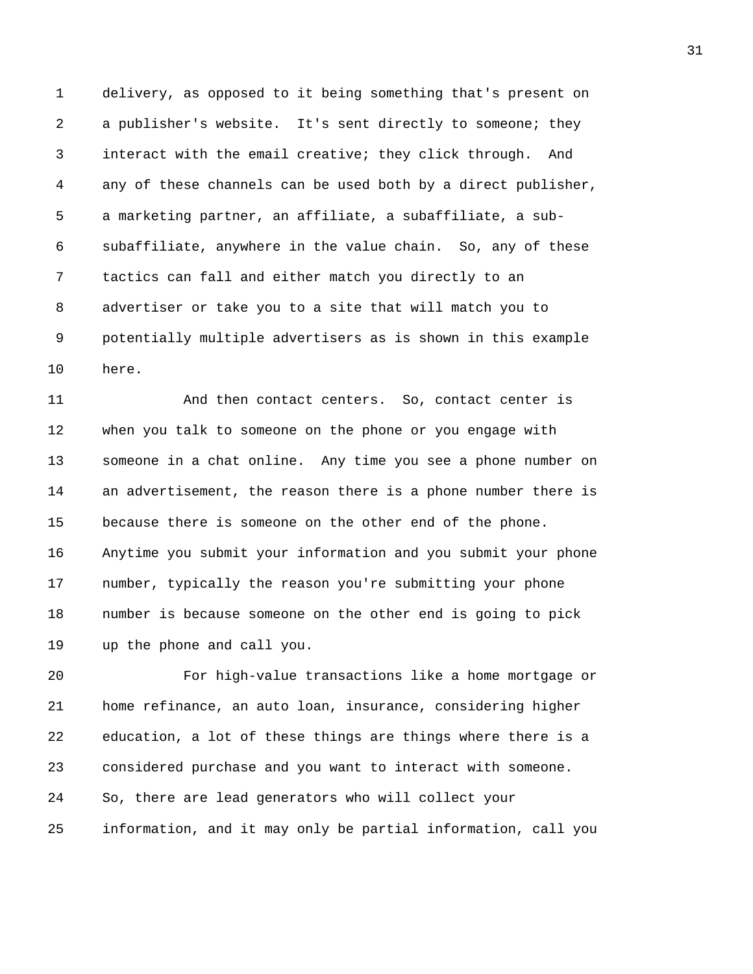1 delivery, as opposed to it being something that's present on 2 a publisher's website. It's sent directly to someone; they 3 interact with the email creative; they click through. And 4 any of these channels can be used both by a direct publisher, 5 a marketing partner, an affiliate, a subaffiliate, a sub-6 subaffiliate, anywhere in the value chain. So, any of these 7 tactics can fall and either match you directly to an 8 advertiser or take you to a site that will match you to 9 potentially multiple advertisers as is shown in this example 10 here.

11 And then contact centers. So, contact center is 12 when you talk to someone on the phone or you engage with 13 someone in a chat online. Any time you see a phone number on 14 an advertisement, the reason there is a phone number there is 15 because there is someone on the other end of the phone. 16 Anytime you submit your information and you submit your phone 17 number, typically the reason you're submitting your phone 18 number is because someone on the other end is going to pick 19 up the phone and call you.

20 For high-value transactions like a home mortgage or 21 home refinance, an auto loan, insurance, considering higher 22 education, a lot of these things are things where there is a 23 considered purchase and you want to interact with someone. 24 So, there are lead generators who will collect your 25 information, and it may only be partial information, call you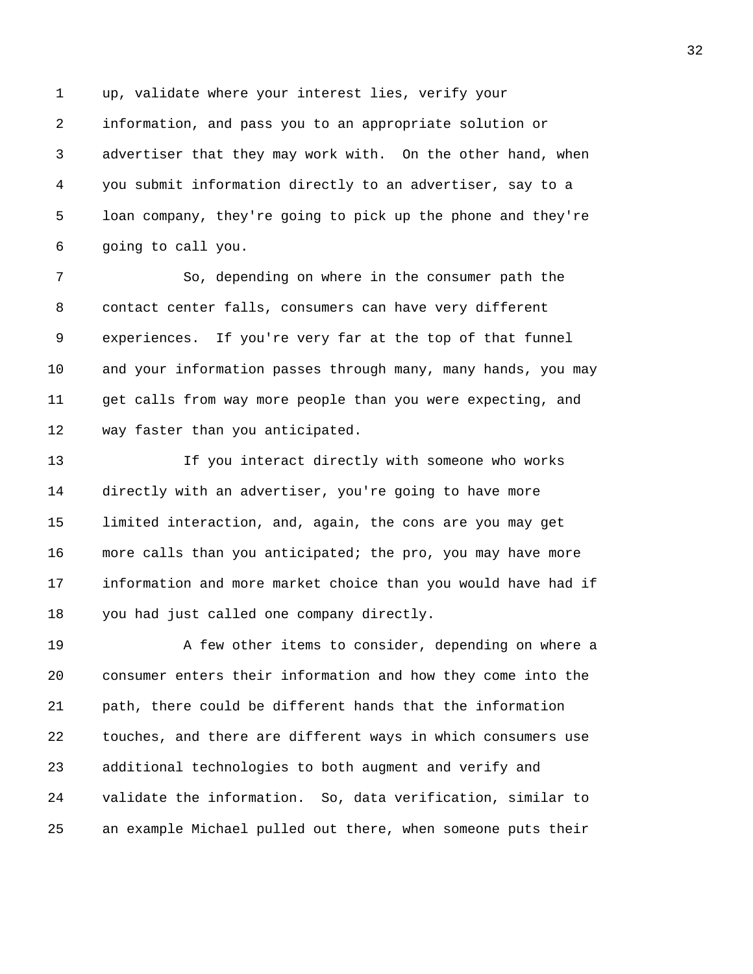1 up, validate where your interest lies, verify your 2 information, and pass you to an appropriate solution or 3 advertiser that they may work with. On the other hand, when 4 you submit information directly to an advertiser, say to a 5 loan company, they're going to pick up the phone and they're 6 going to call you.

7 So, depending on where in the consumer path the 8 contact center falls, consumers can have very different 9 experiences. If you're very far at the top of that funnel 10 and your information passes through many, many hands, you may 11 get calls from way more people than you were expecting, and 12 way faster than you anticipated.

13 If you interact directly with someone who works 14 directly with an advertiser, you're going to have more 15 limited interaction, and, again, the cons are you may get 16 more calls than you anticipated; the pro, you may have more 17 information and more market choice than you would have had if 18 you had just called one company directly.

19 A few other items to consider, depending on where a 20 consumer enters their information and how they come into the 21 path, there could be different hands that the information 22 touches, and there are different ways in which consumers use 23 additional technologies to both augment and verify and 24 validate the information. So, data verification, similar to 25 an example Michael pulled out there, when someone puts their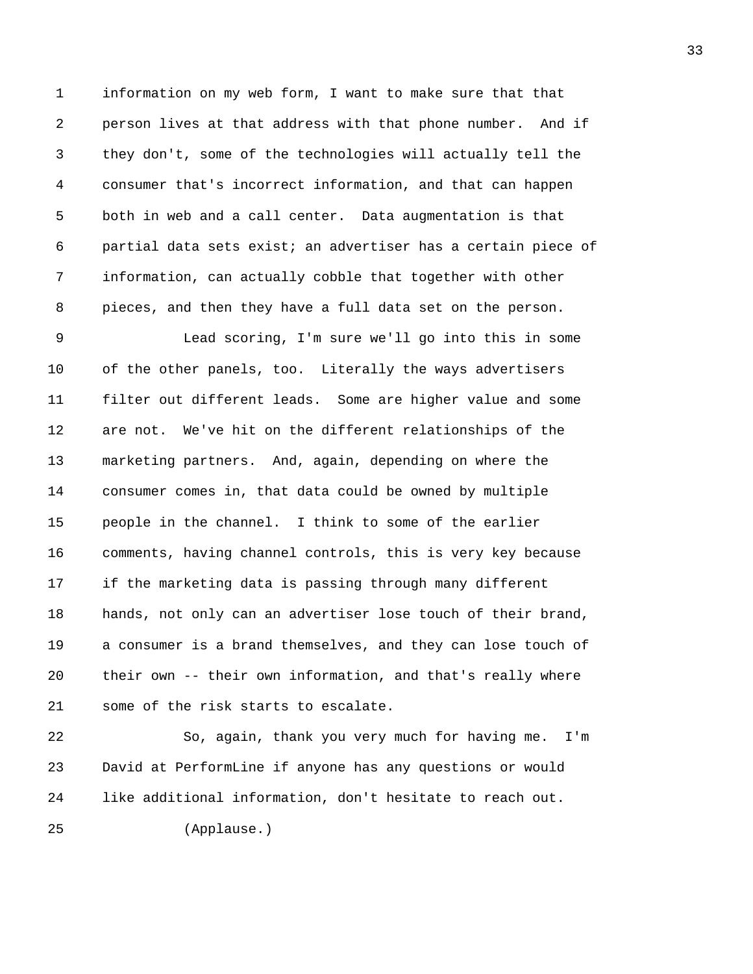1 information on my web form, I want to make sure that that 2 person lives at that address with that phone number. And if 3 they don't, some of the technologies will actually tell the 4 consumer that's incorrect information, and that can happen 5 both in web and a call center. Data augmentation is that 6 partial data sets exist; an advertiser has a certain piece of 7 information, can actually cobble that together with other 8 pieces, and then they have a full data set on the person.

9 Lead scoring, I'm sure we'll go into this in some 10 of the other panels, too. Literally the ways advertisers 11 filter out different leads. Some are higher value and some 12 are not. We've hit on the different relationships of the 13 marketing partners. And, again, depending on where the 14 consumer comes in, that data could be owned by multiple 15 people in the channel. I think to some of the earlier 16 comments, having channel controls, this is very key because 17 if the marketing data is passing through many different 18 hands, not only can an advertiser lose touch of their brand, 19 a consumer is a brand themselves, and they can lose touch of 20 their own -- their own information, and that's really where 21 some of the risk starts to escalate.

22 So, again, thank you very much for having me. I'm 23 David at PerformLine if anyone has any questions or would 24 like additional information, don't hesitate to reach out.

25 (Applause.)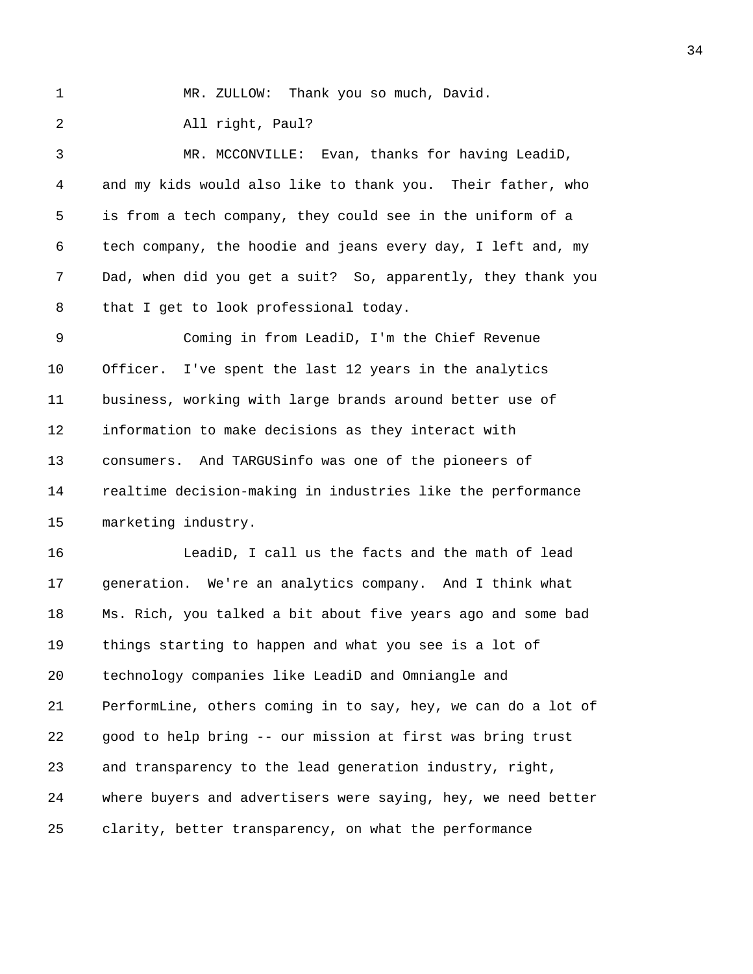1 MR. ZULLOW: Thank you so much, David.

2 All right, Paul?

3 MR. MCCONVILLE: Evan, thanks for having LeadiD, 4 and my kids would also like to thank you. Their father, who 5 is from a tech company, they could see in the uniform of a 6 tech company, the hoodie and jeans every day, I left and, my 7 Dad, when did you get a suit? So, apparently, they thank you 8 that I get to look professional today.

9 Coming in from LeadiD, I'm the Chief Revenue 10 Officer. I've spent the last 12 years in the analytics 11 business, working with large brands around better use of 12 information to make decisions as they interact with 13 consumers. And TARGUSinfo was one of the pioneers of 14 realtime decision-making in industries like the performance 15 marketing industry.

16 LeadiD, I call us the facts and the math of lead 17 generation. We're an analytics company. And I think what 18 Ms. Rich, you talked a bit about five years ago and some bad 19 things starting to happen and what you see is a lot of 20 technology companies like LeadiD and Omniangle and 21 PerformLine, others coming in to say, hey, we can do a lot of 22 good to help bring -- our mission at first was bring trust 23 and transparency to the lead generation industry, right, 24 where buyers and advertisers were saying, hey, we need better 25 clarity, better transparency, on what the performance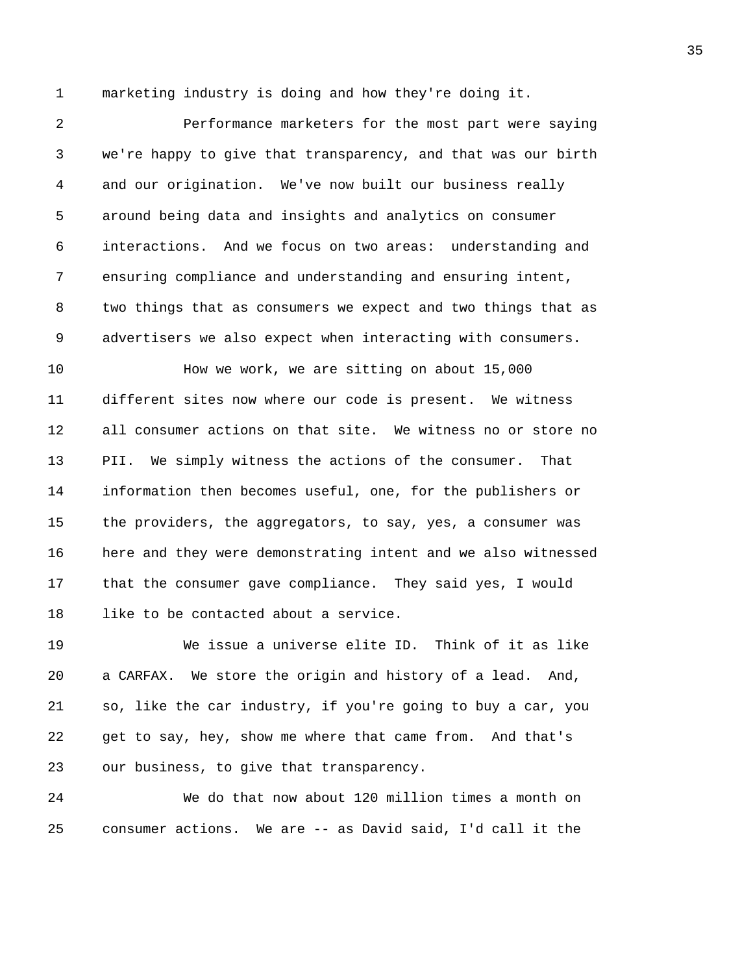1 marketing industry is doing and how they're doing it.

2 Performance marketers for the most part were saying 3 we're happy to give that transparency, and that was our birth 4 and our origination. We've now built our business really 5 around being data and insights and analytics on consumer 6 interactions. And we focus on two areas: understanding and 7 ensuring compliance and understanding and ensuring intent, 8 two things that as consumers we expect and two things that as 9 advertisers we also expect when interacting with consumers.

10 How we work, we are sitting on about 15,000 11 different sites now where our code is present. We witness 12 all consumer actions on that site. We witness no or store no 13 PII. We simply witness the actions of the consumer. That 14 information then becomes useful, one, for the publishers or 15 the providers, the aggregators, to say, yes, a consumer was 16 here and they were demonstrating intent and we also witnessed 17 that the consumer gave compliance. They said yes, I would 18 like to be contacted about a service.

19 We issue a universe elite ID. Think of it as like 20 a CARFAX. We store the origin and history of a lead. And, 21 so, like the car industry, if you're going to buy a car, you 22 get to say, hey, show me where that came from. And that's 23 our business, to give that transparency.

24 We do that now about 120 million times a month on 25 consumer actions. We are -- as David said, I'd call it the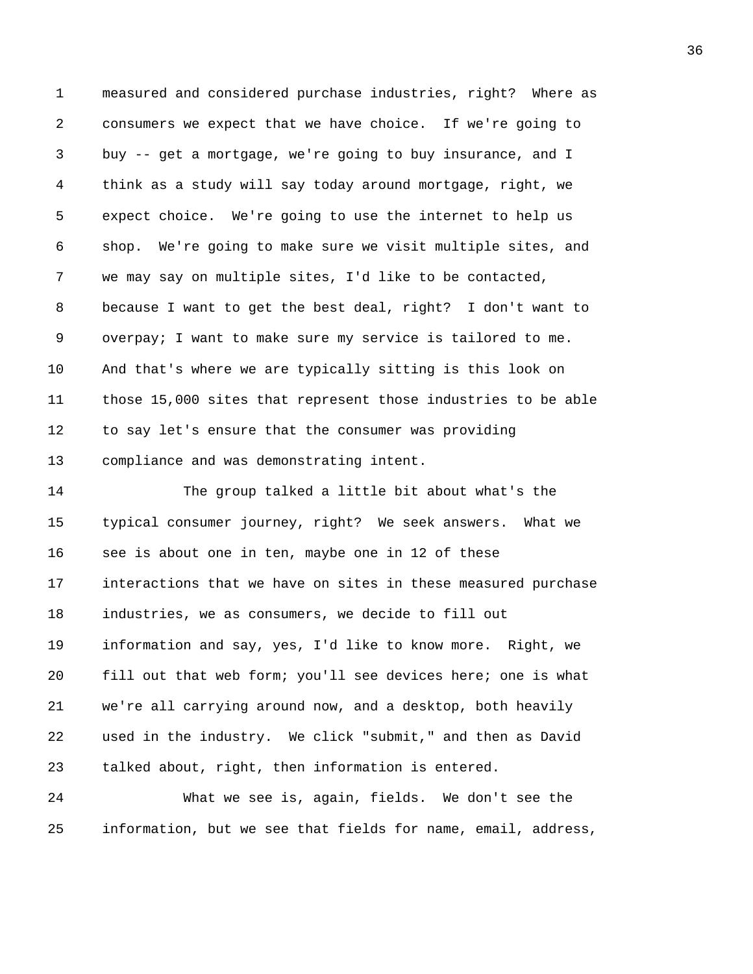1 measured and considered purchase industries, right? Where as 2 consumers we expect that we have choice. If we're going to 3 buy -- get a mortgage, we're going to buy insurance, and I 4 think as a study will say today around mortgage, right, we 5 expect choice. We're going to use the internet to help us 6 shop. We're going to make sure we visit multiple sites, and 7 we may say on multiple sites, I'd like to be contacted, 8 because I want to get the best deal, right? I don't want to 9 overpay; I want to make sure my service is tailored to me. 10 And that's where we are typically sitting is this look on 11 those 15,000 sites that represent those industries to be able 12 to say let's ensure that the consumer was providing 13 compliance and was demonstrating intent.

14 The group talked a little bit about what's the 15 typical consumer journey, right? We seek answers. What we 16 see is about one in ten, maybe one in 12 of these 17 interactions that we have on sites in these measured purchase 18 industries, we as consumers, we decide to fill out 19 information and say, yes, I'd like to know more. Right, we 20 fill out that web form; you'll see devices here; one is what 21 we're all carrying around now, and a desktop, both heavily 22 used in the industry. We click "submit," and then as David 23 talked about, right, then information is entered.

24 What we see is, again, fields. We don't see the 25 information, but we see that fields for name, email, address,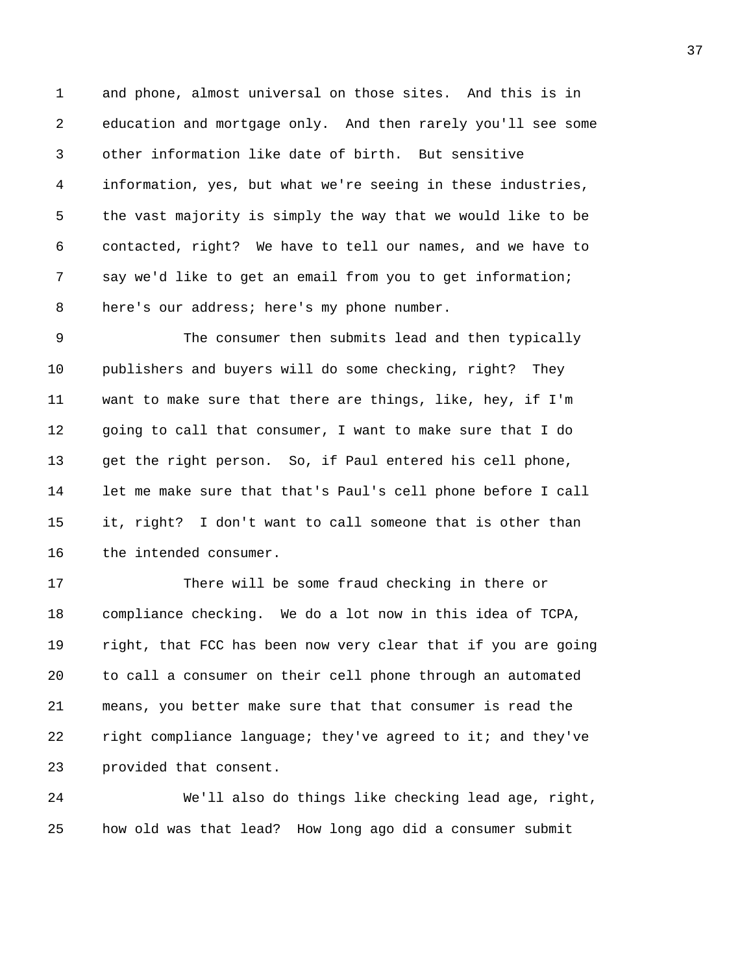1 and phone, almost universal on those sites. And this is in 2 education and mortgage only. And then rarely you'll see some 3 other information like date of birth. But sensitive 4 information, yes, but what we're seeing in these industries, 5 the vast majority is simply the way that we would like to be 6 contacted, right? We have to tell our names, and we have to 7 say we'd like to get an email from you to get information; 8 here's our address; here's my phone number.

9 The consumer then submits lead and then typically 10 publishers and buyers will do some checking, right? They 11 want to make sure that there are things, like, hey, if I'm 12 going to call that consumer, I want to make sure that I do 13 get the right person. So, if Paul entered his cell phone, 14 let me make sure that that's Paul's cell phone before I call 15 it, right? I don't want to call someone that is other than 16 the intended consumer.

17 There will be some fraud checking in there or 18 compliance checking. We do a lot now in this idea of TCPA, 19 right, that FCC has been now very clear that if you are going 20 to call a consumer on their cell phone through an automated 21 means, you better make sure that that consumer is read the 22 right compliance language; they've agreed to it; and they've 23 provided that consent.

24 We'll also do things like checking lead age, right, 25 how old was that lead? How long ago did a consumer submit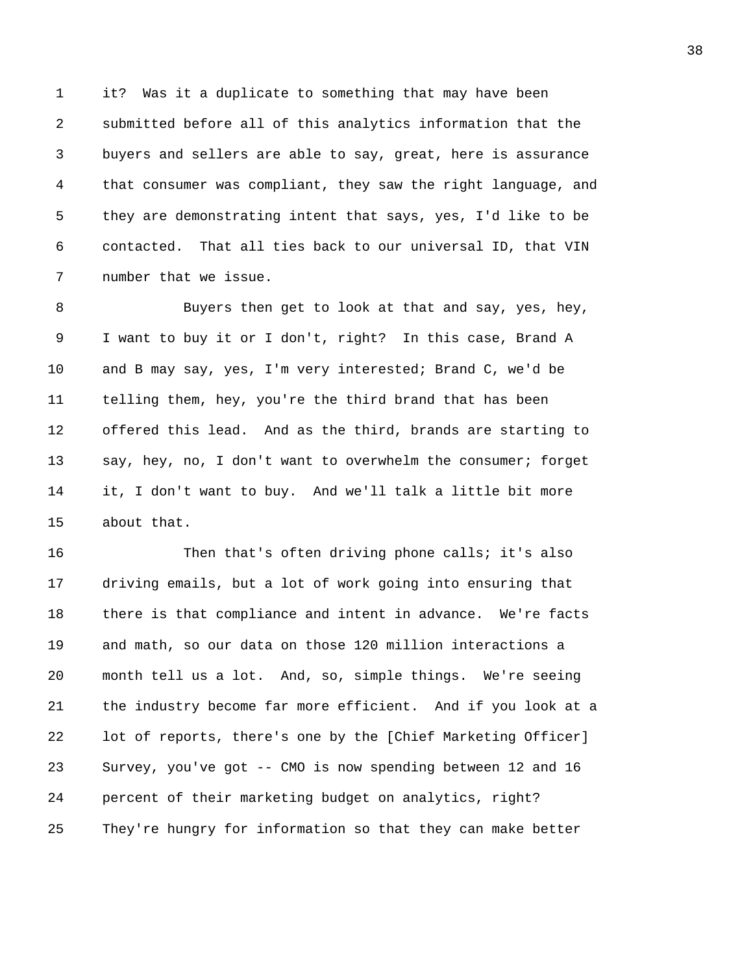1 it? Was it a duplicate to something that may have been 2 submitted before all of this analytics information that the 3 buyers and sellers are able to say, great, here is assurance 4 that consumer was compliant, they saw the right language, and 5 they are demonstrating intent that says, yes, I'd like to be 6 contacted. That all ties back to our universal ID, that VIN 7 number that we issue.

8 Buyers then get to look at that and say, yes, hey, 9 I want to buy it or I don't, right? In this case, Brand A 10 and B may say, yes, I'm very interested; Brand C, we'd be 11 telling them, hey, you're the third brand that has been 12 offered this lead. And as the third, brands are starting to 13 say, hey, no, I don't want to overwhelm the consumer; forget 14 it, I don't want to buy. And we'll talk a little bit more 15 about that.

16 Then that's often driving phone calls; it's also 17 driving emails, but a lot of work going into ensuring that 18 there is that compliance and intent in advance. We're facts 19 and math, so our data on those 120 million interactions a 20 month tell us a lot. And, so, simple things. We're seeing 21 the industry become far more efficient. And if you look at a 22 lot of reports, there's one by the [Chief Marketing Officer] 23 Survey, you've got -- CMO is now spending between 12 and 16 24 percent of their marketing budget on analytics, right? 25 They're hungry for information so that they can make better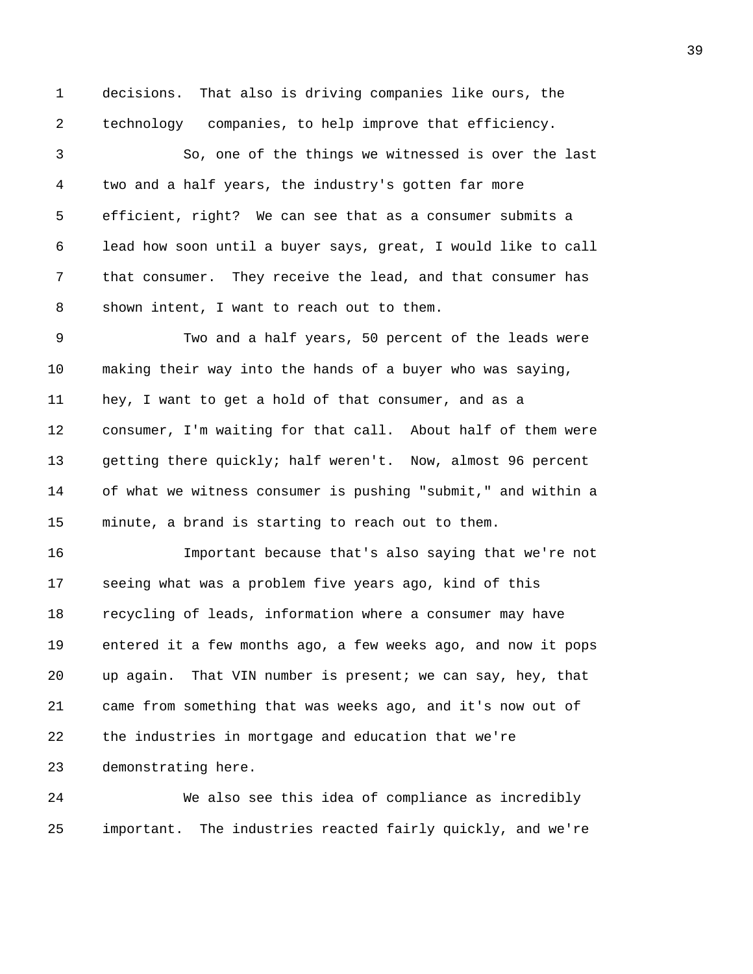1 decisions. That also is driving companies like ours, the 2 technology companies, to help improve that efficiency.

3 So, one of the things we witnessed is over the last 4 two and a half years, the industry's gotten far more 5 efficient, right? We can see that as a consumer submits a 6 lead how soon until a buyer says, great, I would like to call 7 that consumer. They receive the lead, and that consumer has 8 shown intent, I want to reach out to them.

9 Two and a half years, 50 percent of the leads were 10 making their way into the hands of a buyer who was saying, 11 hey, I want to get a hold of that consumer, and as a 12 consumer, I'm waiting for that call. About half of them were 13 getting there quickly; half weren't. Now, almost 96 percent 14 of what we witness consumer is pushing "submit," and within a 15 minute, a brand is starting to reach out to them.

16 Important because that's also saying that we're not 17 seeing what was a problem five years ago, kind of this 18 recycling of leads, information where a consumer may have 19 entered it a few months ago, a few weeks ago, and now it pops 20 up again. That VIN number is present; we can say, hey, that 21 came from something that was weeks ago, and it's now out of 22 the industries in mortgage and education that we're 23 demonstrating here.

24 We also see this idea of compliance as incredibly 25 important. The industries reacted fairly quickly, and we're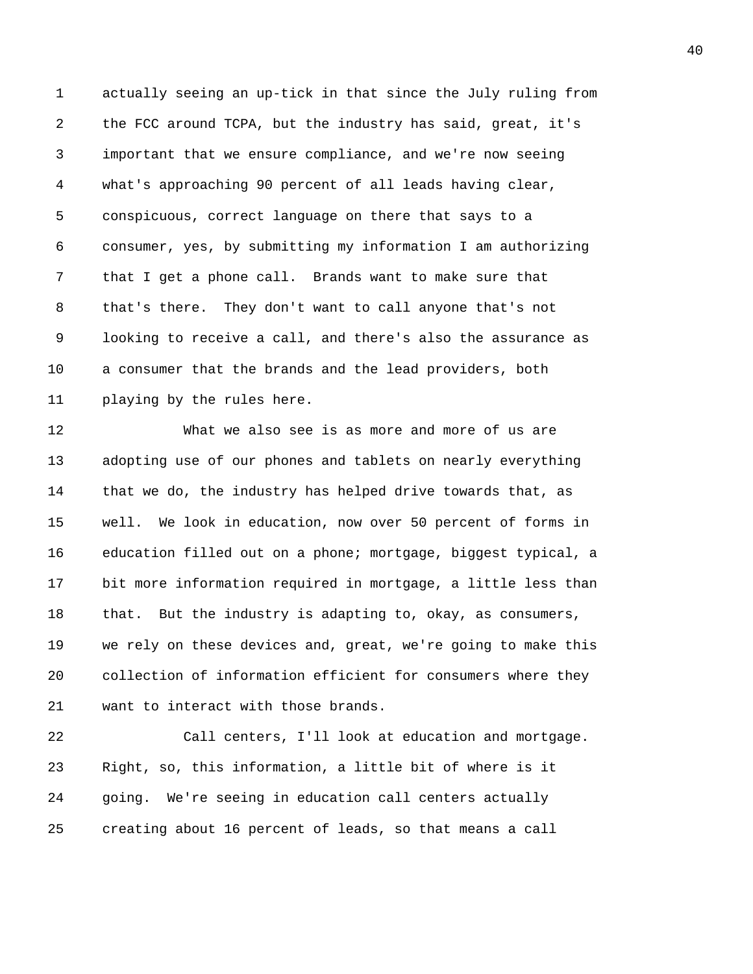1 actually seeing an up-tick in that since the July ruling from 2 the FCC around TCPA, but the industry has said, great, it's 3 important that we ensure compliance, and we're now seeing 4 what's approaching 90 percent of all leads having clear, 5 conspicuous, correct language on there that says to a 6 consumer, yes, by submitting my information I am authorizing 7 that I get a phone call. Brands want to make sure that 8 that's there. They don't want to call anyone that's not 9 looking to receive a call, and there's also the assurance as 10 a consumer that the brands and the lead providers, both 11 playing by the rules here.

12 What we also see is as more and more of us are 13 adopting use of our phones and tablets on nearly everything 14 that we do, the industry has helped drive towards that, as 15 well. We look in education, now over 50 percent of forms in 16 education filled out on a phone; mortgage, biggest typical, a 17 bit more information required in mortgage, a little less than 18 that. But the industry is adapting to, okay, as consumers, 19 we rely on these devices and, great, we're going to make this 20 collection of information efficient for consumers where they 21 want to interact with those brands.

22 Call centers, I'll look at education and mortgage. 23 Right, so, this information, a little bit of where is it 24 going. We're seeing in education call centers actually 25 creating about 16 percent of leads, so that means a call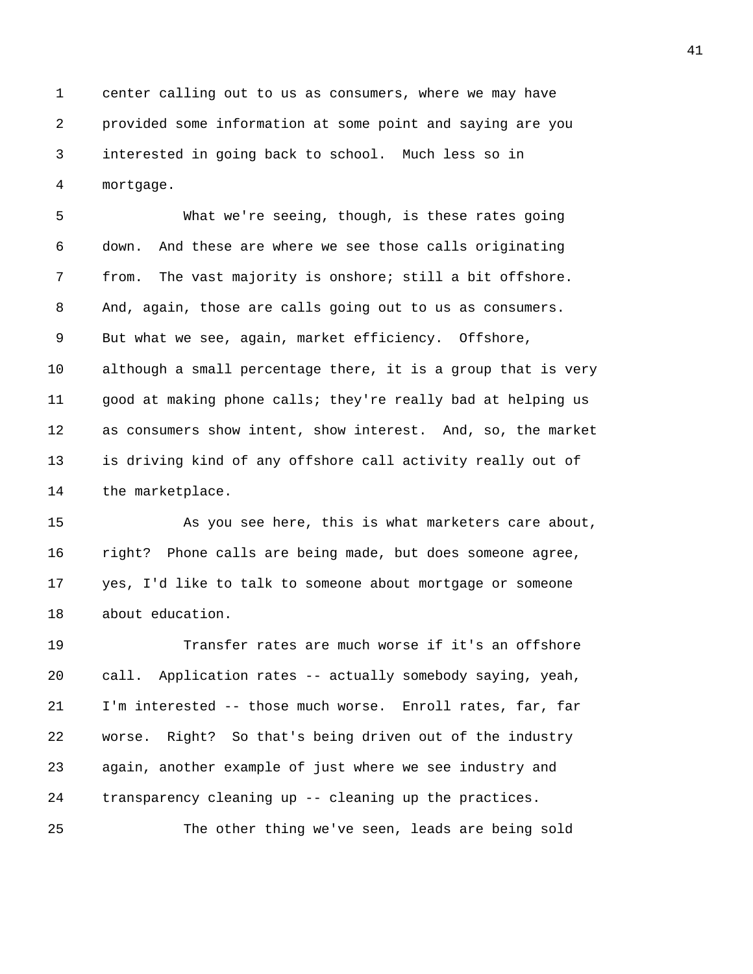1 center calling out to us as consumers, where we may have 2 provided some information at some point and saying are you 3 interested in going back to school. Much less so in 4 mortgage.

5 What we're seeing, though, is these rates going 6 down. And these are where we see those calls originating 7 from. The vast majority is onshore; still a bit offshore. 8 And, again, those are calls going out to us as consumers. 9 But what we see, again, market efficiency. Offshore, 10 although a small percentage there, it is a group that is very 11 good at making phone calls; they're really bad at helping us 12 as consumers show intent, show interest. And, so, the market 13 is driving kind of any offshore call activity really out of 14 the marketplace.

15 As you see here, this is what marketers care about, 16 right? Phone calls are being made, but does someone agree, 17 yes, I'd like to talk to someone about mortgage or someone 18 about education.

19 Transfer rates are much worse if it's an offshore 20 call. Application rates -- actually somebody saying, yeah, 21 I'm interested -- those much worse. Enroll rates, far, far 22 worse. Right? So that's being driven out of the industry 23 again, another example of just where we see industry and 24 transparency cleaning up -- cleaning up the practices.

25 The other thing we've seen, leads are being sold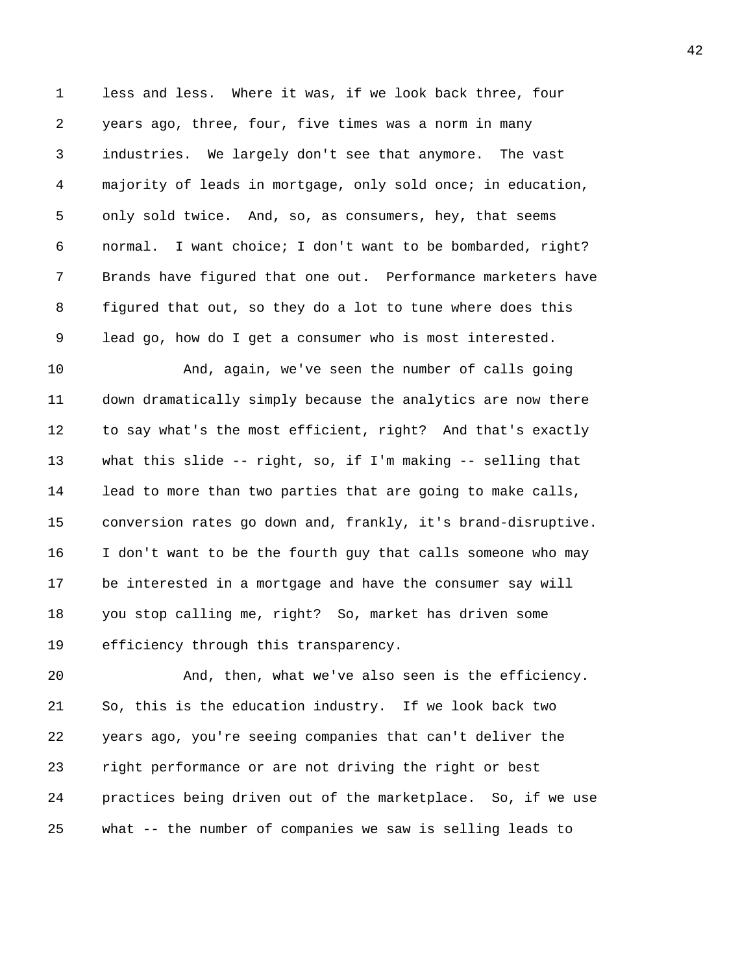1 less and less. Where it was, if we look back three, four 2 years ago, three, four, five times was a norm in many 3 industries. We largely don't see that anymore. The vast 4 majority of leads in mortgage, only sold once; in education, 5 only sold twice. And, so, as consumers, hey, that seems 6 normal. I want choice; I don't want to be bombarded, right? 7 Brands have figured that one out. Performance marketers have 8 figured that out, so they do a lot to tune where does this 9 lead go, how do I get a consumer who is most interested.

10 And, again, we've seen the number of calls going 11 down dramatically simply because the analytics are now there 12 to say what's the most efficient, right? And that's exactly 13 what this slide -- right, so, if I'm making -- selling that 14 lead to more than two parties that are going to make calls, 15 conversion rates go down and, frankly, it's brand-disruptive. 16 I don't want to be the fourth guy that calls someone who may 17 be interested in a mortgage and have the consumer say will 18 you stop calling me, right? So, market has driven some 19 efficiency through this transparency.

20 And, then, what we've also seen is the efficiency. 21 So, this is the education industry. If we look back two 22 years ago, you're seeing companies that can't deliver the 23 right performance or are not driving the right or best 24 practices being driven out of the marketplace. So, if we use 25 what -- the number of companies we saw is selling leads to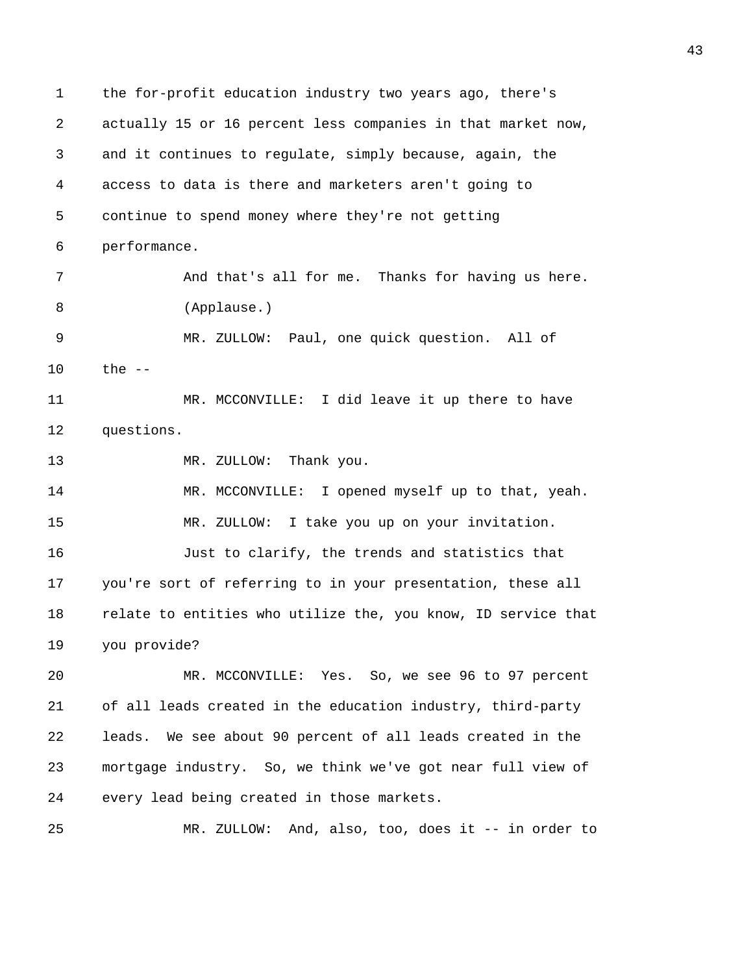1 the for-profit education industry two years ago, there's 2 actually 15 or 16 percent less companies in that market now, 3 and it continues to regulate, simply because, again, the 4 access to data is there and marketers aren't going to 5 continue to spend money where they're not getting 6 performance. 7 And that's all for me. Thanks for having us here. 8 (Applause.) 9 MR. ZULLOW: Paul, one quick question. All of 10 the -- 11 MR. MCCONVILLE: I did leave it up there to have 12 questions. 13 MR. ZULLOW: Thank you. 14 MR. MCCONVILLE: I opened myself up to that, yeah. 15 MR. ZULLOW: I take you up on your invitation. 16 Just to clarify, the trends and statistics that 17 you're sort of referring to in your presentation, these all 18 relate to entities who utilize the, you know, ID service that 19 you provide? 20 MR. MCCONVILLE: Yes. So, we see 96 to 97 percent 21 of all leads created in the education industry, third-party 22 leads. We see about 90 percent of all leads created in the 23 mortgage industry. So, we think we've got near full view of 24 every lead being created in those markets. 25 MR. ZULLOW: And, also, too, does it -- in order to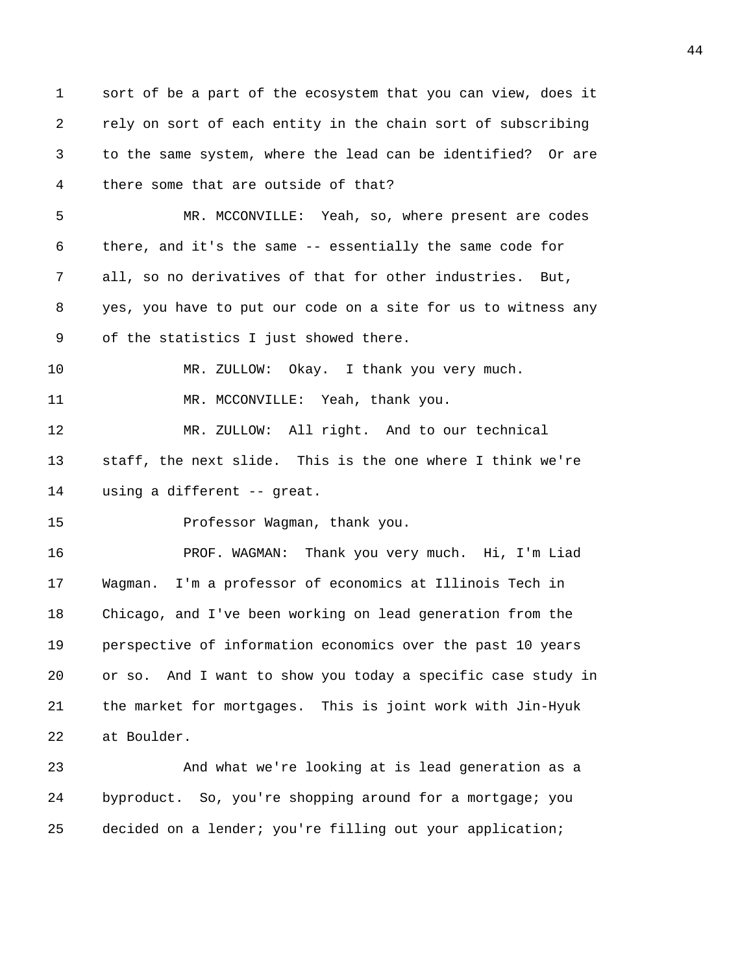1 sort of be a part of the ecosystem that you can view, does it 2 rely on sort of each entity in the chain sort of subscribing 3 to the same system, where the lead can be identified? Or are 4 there some that are outside of that? 5 MR. MCCONVILLE: Yeah, so, where present are codes 6 there, and it's the same -- essentially the same code for 7 all, so no derivatives of that for other industries. But, 8 yes, you have to put our code on a site for us to witness any 9 of the statistics I just showed there. 10 MR. ZULLOW: Okay. I thank you very much. 11 MR. MCCONVILLE: Yeah, thank you. 12 MR. ZULLOW: All right. And to our technical 13 staff, the next slide. This is the one where I think we're 14 using a different -- great. 15 Professor Wagman, thank you. 16 PROF. WAGMAN: Thank you very much. Hi, I'm Liad 17 Wagman. I'm a professor of economics at Illinois Tech in 18 Chicago, and I've been working on lead generation from the 19 perspective of information economics over the past 10 years 20 or so. And I want to show you today a specific case study in 21 the market for mortgages. This is joint work with Jin-Hyuk 22 at Boulder. 23 And what we're looking at is lead generation as a 24 byproduct. So, you're shopping around for a mortgage; you 25 decided on a lender; you're filling out your application;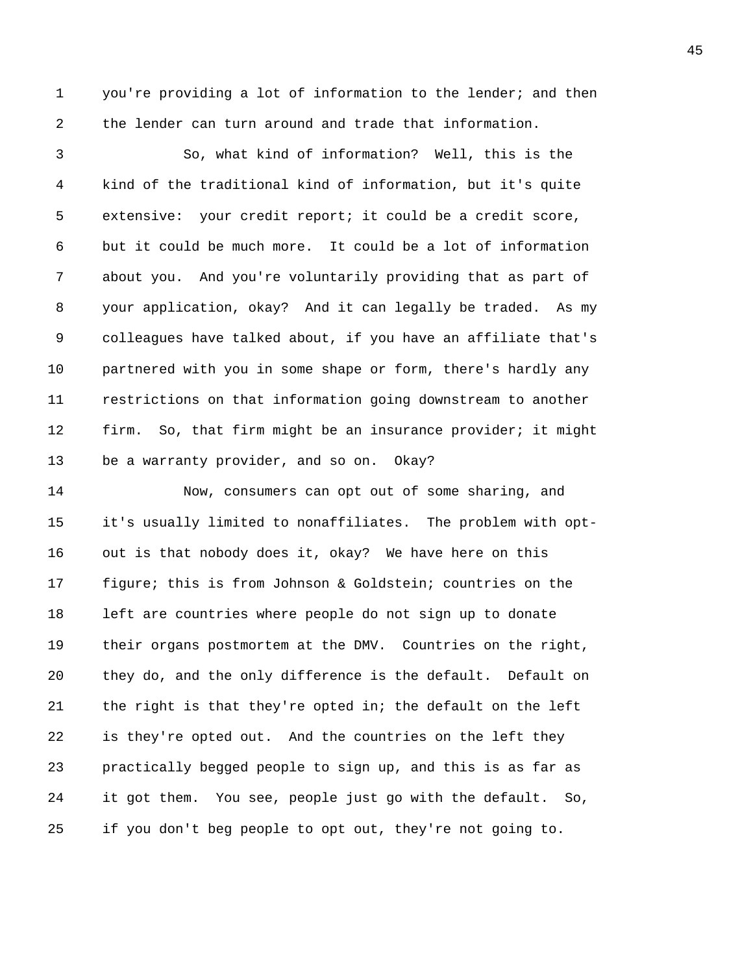1 you're providing a lot of information to the lender; and then 2 the lender can turn around and trade that information.

3 So, what kind of information? Well, this is the 4 kind of the traditional kind of information, but it's quite 5 extensive: your credit report; it could be a credit score, 6 but it could be much more. It could be a lot of information 7 about you. And you're voluntarily providing that as part of 8 your application, okay? And it can legally be traded. As my 9 colleagues have talked about, if you have an affiliate that's 10 partnered with you in some shape or form, there's hardly any 11 restrictions on that information going downstream to another 12 firm. So, that firm might be an insurance provider; it might 13 be a warranty provider, and so on. Okay?

14 Now, consumers can opt out of some sharing, and 15 it's usually limited to nonaffiliates. The problem with opt-16 out is that nobody does it, okay? We have here on this 17 figure; this is from Johnson & Goldstein; countries on the 18 left are countries where people do not sign up to donate 19 their organs postmortem at the DMV. Countries on the right, 20 they do, and the only difference is the default. Default on 21 the right is that they're opted in; the default on the left 22 is they're opted out. And the countries on the left they 23 practically begged people to sign up, and this is as far as 24 it got them. You see, people just go with the default. So, 25 if you don't beg people to opt out, they're not going to.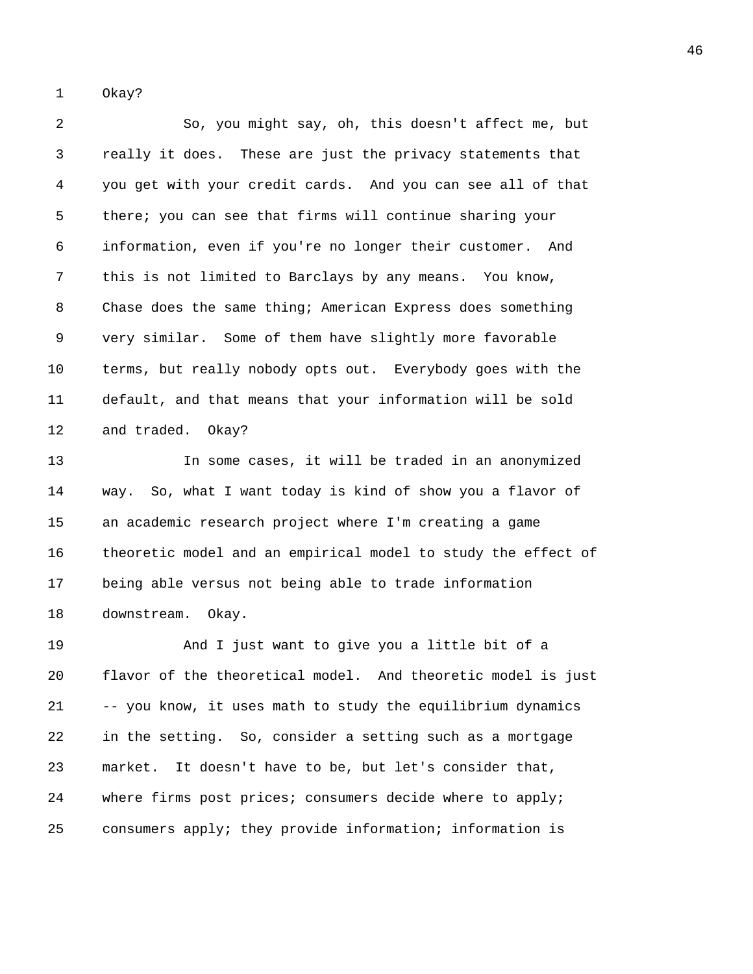1 Okay?

2 So, you might say, oh, this doesn't affect me, but 3 really it does. These are just the privacy statements that 4 you get with your credit cards. And you can see all of that 5 there; you can see that firms will continue sharing your 6 information, even if you're no longer their customer. And 7 this is not limited to Barclays by any means. You know, 8 Chase does the same thing; American Express does something 9 very similar. Some of them have slightly more favorable 10 terms, but really nobody opts out. Everybody goes with the 11 default, and that means that your information will be sold 12 and traded. Okay?

13 In some cases, it will be traded in an anonymized 14 way. So, what I want today is kind of show you a flavor of 15 an academic research project where I'm creating a game 16 theoretic model and an empirical model to study the effect of 17 being able versus not being able to trade information 18 downstream. Okay.

19 And I just want to give you a little bit of a 20 flavor of the theoretical model. And theoretic model is just 21 -- you know, it uses math to study the equilibrium dynamics 22 in the setting. So, consider a setting such as a mortgage 23 market. It doesn't have to be, but let's consider that, 24 where firms post prices; consumers decide where to apply; 25 consumers apply; they provide information; information is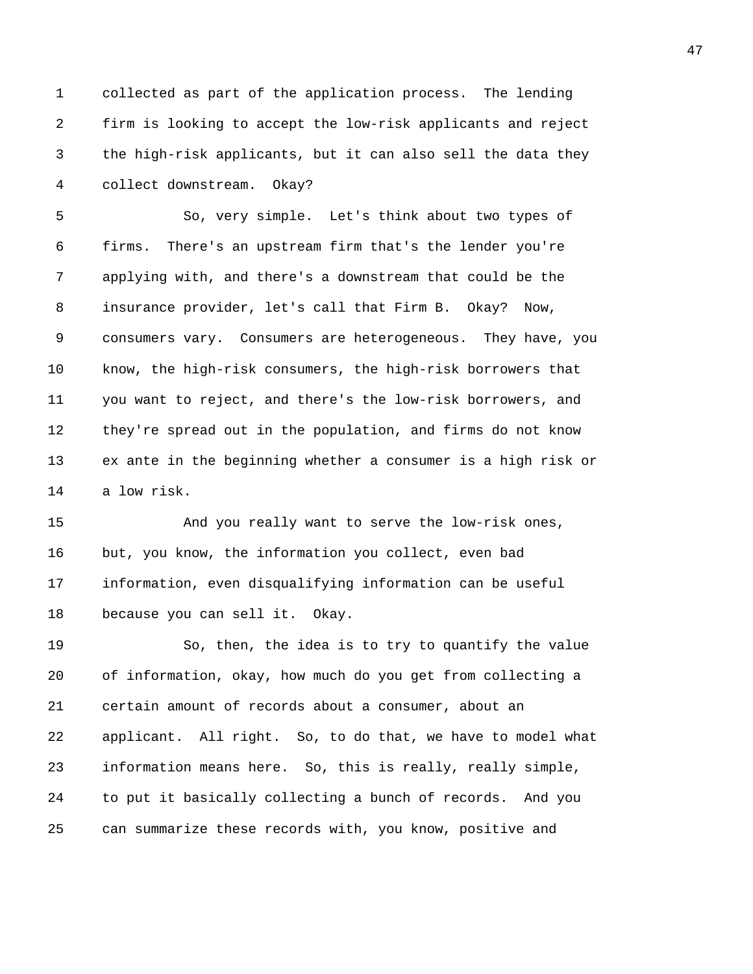1 collected as part of the application process. The lending 2 firm is looking to accept the low-risk applicants and reject 3 the high-risk applicants, but it can also sell the data they 4 collect downstream. Okay?

5 So, very simple. Let's think about two types of 6 firms. There's an upstream firm that's the lender you're 7 applying with, and there's a downstream that could be the 8 insurance provider, let's call that Firm B. Okay? Now, 9 consumers vary. Consumers are heterogeneous. They have, you 10 know, the high-risk consumers, the high-risk borrowers that 11 you want to reject, and there's the low-risk borrowers, and 12 they're spread out in the population, and firms do not know 13 ex ante in the beginning whether a consumer is a high risk or 14 a low risk.

15 And you really want to serve the low-risk ones, 16 but, you know, the information you collect, even bad 17 information, even disqualifying information can be useful 18 because you can sell it. Okay.

19 So, then, the idea is to try to quantify the value 20 of information, okay, how much do you get from collecting a 21 certain amount of records about a consumer, about an 22 applicant. All right. So, to do that, we have to model what 23 information means here. So, this is really, really simple, 24 to put it basically collecting a bunch of records. And you 25 can summarize these records with, you know, positive and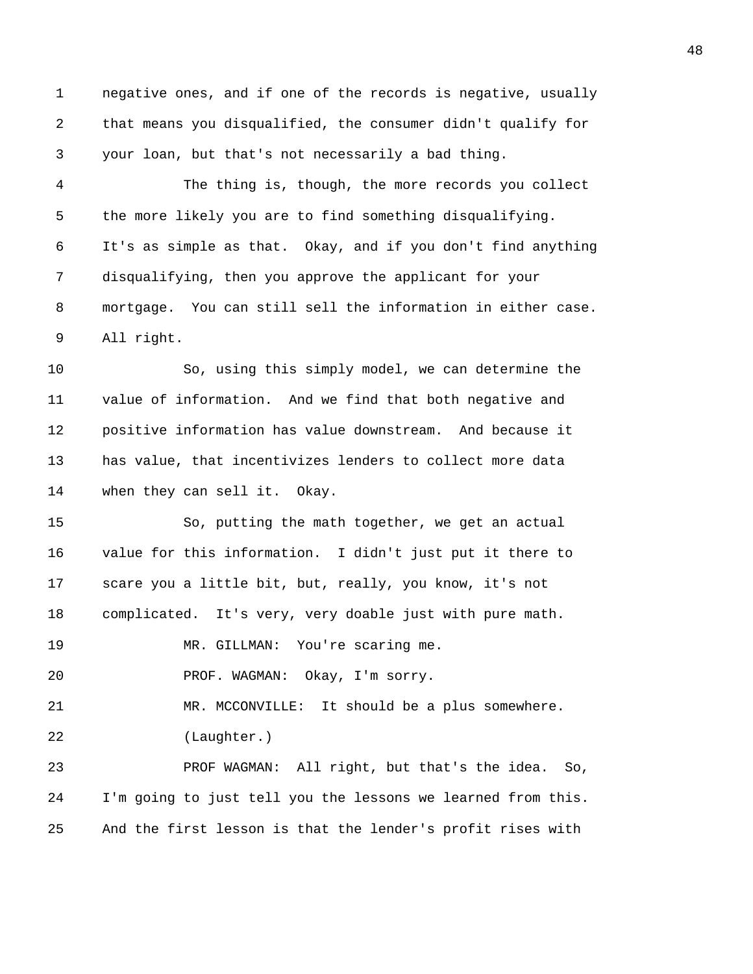1 negative ones, and if one of the records is negative, usually 2 that means you disqualified, the consumer didn't qualify for 3 your loan, but that's not necessarily a bad thing.

4 The thing is, though, the more records you collect 5 the more likely you are to find something disqualifying. 6 It's as simple as that. Okay, and if you don't find anything 7 disqualifying, then you approve the applicant for your 8 mortgage. You can still sell the information in either case. 9 All right.

10 So, using this simply model, we can determine the 11 value of information. And we find that both negative and 12 positive information has value downstream. And because it 13 has value, that incentivizes lenders to collect more data 14 when they can sell it. Okay.

15 So, putting the math together, we get an actual 16 value for this information. I didn't just put it there to 17 scare you a little bit, but, really, you know, it's not 18 complicated. It's very, very doable just with pure math.

19 MR. GILLMAN: You're scaring me.

20 PROF. WAGMAN: Okay, I'm sorry.

21 MR. MCCONVILLE: It should be a plus somewhere.

22 (Laughter.)

23 PROF WAGMAN: All right, but that's the idea. So, 24 I'm going to just tell you the lessons we learned from this. 25 And the first lesson is that the lender's profit rises with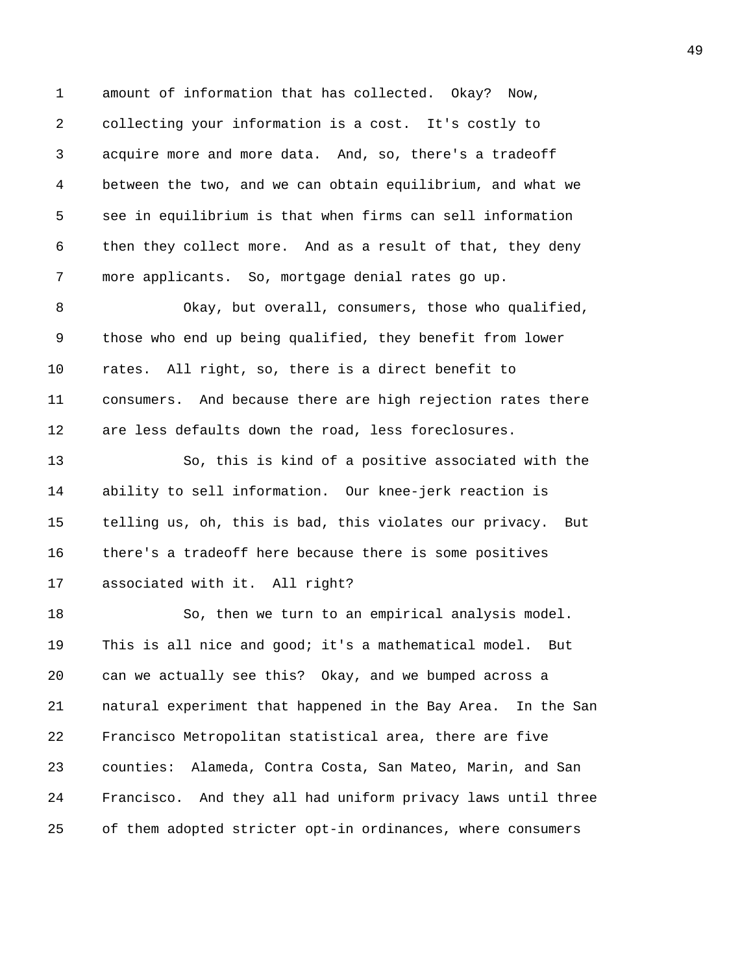1 amount of information that has collected. Okay? Now, 2 collecting your information is a cost. It's costly to 3 acquire more and more data. And, so, there's a tradeoff 4 between the two, and we can obtain equilibrium, and what we 5 see in equilibrium is that when firms can sell information 6 then they collect more. And as a result of that, they deny 7 more applicants. So, mortgage denial rates go up. 8 Okay, but overall, consumers, those who qualified, 9 those who end up being qualified, they benefit from lower 10 rates. All right, so, there is a direct benefit to 11 consumers. And because there are high rejection rates there 12 are less defaults down the road, less foreclosures. 13 So, this is kind of a positive associated with the 14 ability to sell information. Our knee-jerk reaction is 15 telling us, oh, this is bad, this violates our privacy. But 16 there's a tradeoff here because there is some positives 17 associated with it. All right? 18 So, then we turn to an empirical analysis model. 19 This is all nice and good; it's a mathematical model. But 20 can we actually see this? Okay, and we bumped across a 21 natural experiment that happened in the Bay Area. In the San 22 Francisco Metropolitan statistical area, there are five 23 counties: Alameda, Contra Costa, San Mateo, Marin, and San 24 Francisco. And they all had uniform privacy laws until three 25 of them adopted stricter opt-in ordinances, where consumers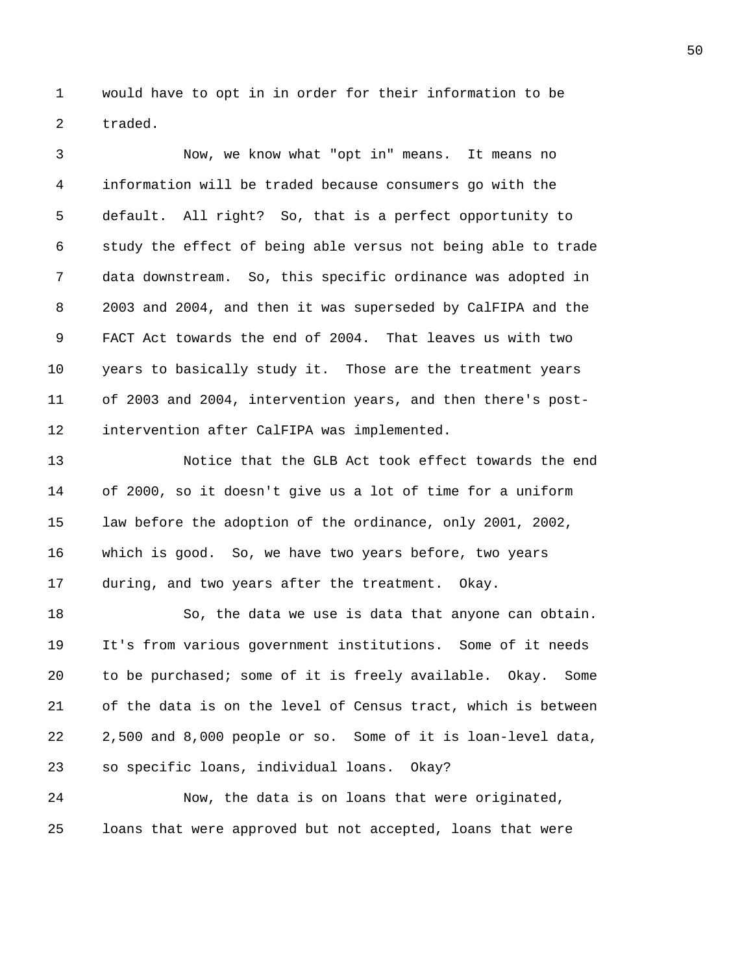1 would have to opt in in order for their information to be 2 traded.

3 Now, we know what "opt in" means. It means no 4 information will be traded because consumers go with the 5 default. All right? So, that is a perfect opportunity to 6 study the effect of being able versus not being able to trade 7 data downstream. So, this specific ordinance was adopted in 8 2003 and 2004, and then it was superseded by CalFIPA and the 9 FACT Act towards the end of 2004. That leaves us with two 10 years to basically study it. Those are the treatment years 11 of 2003 and 2004, intervention years, and then there's post-12 intervention after CalFIPA was implemented.

13 Notice that the GLB Act took effect towards the end 14 of 2000, so it doesn't give us a lot of time for a uniform 15 law before the adoption of the ordinance, only 2001, 2002, 16 which is good. So, we have two years before, two years 17 during, and two years after the treatment. Okay.

18 So, the data we use is data that anyone can obtain. 19 It's from various government institutions. Some of it needs 20 to be purchased; some of it is freely available. Okay. Some 21 of the data is on the level of Census tract, which is between 22 2,500 and 8,000 people or so. Some of it is loan-level data, 23 so specific loans, individual loans. Okay?

24 Now, the data is on loans that were originated, 25 loans that were approved but not accepted, loans that were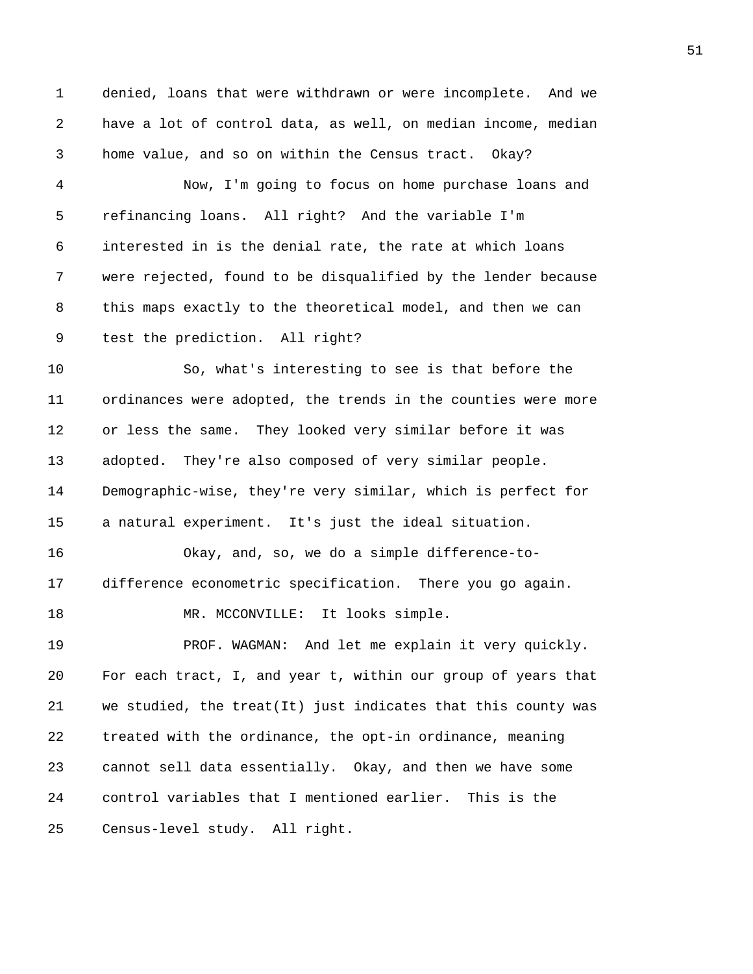1 denied, loans that were withdrawn or were incomplete. And we 2 have a lot of control data, as well, on median income, median 3 home value, and so on within the Census tract. Okay?

4 Now, I'm going to focus on home purchase loans and 5 refinancing loans. All right? And the variable I'm 6 interested in is the denial rate, the rate at which loans 7 were rejected, found to be disqualified by the lender because 8 this maps exactly to the theoretical model, and then we can 9 test the prediction. All right?

10 So, what's interesting to see is that before the 11 ordinances were adopted, the trends in the counties were more 12 or less the same. They looked very similar before it was 13 adopted. They're also composed of very similar people. 14 Demographic-wise, they're very similar, which is perfect for 15 a natural experiment. It's just the ideal situation.

16 Okay, and, so, we do a simple difference-to-17 difference econometric specification. There you go again.

18 MR. MCCONVILLE: It looks simple.

19 PROF. WAGMAN: And let me explain it very quickly. 20 For each tract, I, and year t, within our group of years that 21 we studied, the treat(It) just indicates that this county was 22 treated with the ordinance, the opt-in ordinance, meaning 23 cannot sell data essentially. Okay, and then we have some 24 control variables that I mentioned earlier. This is the 25 Census-level study. All right.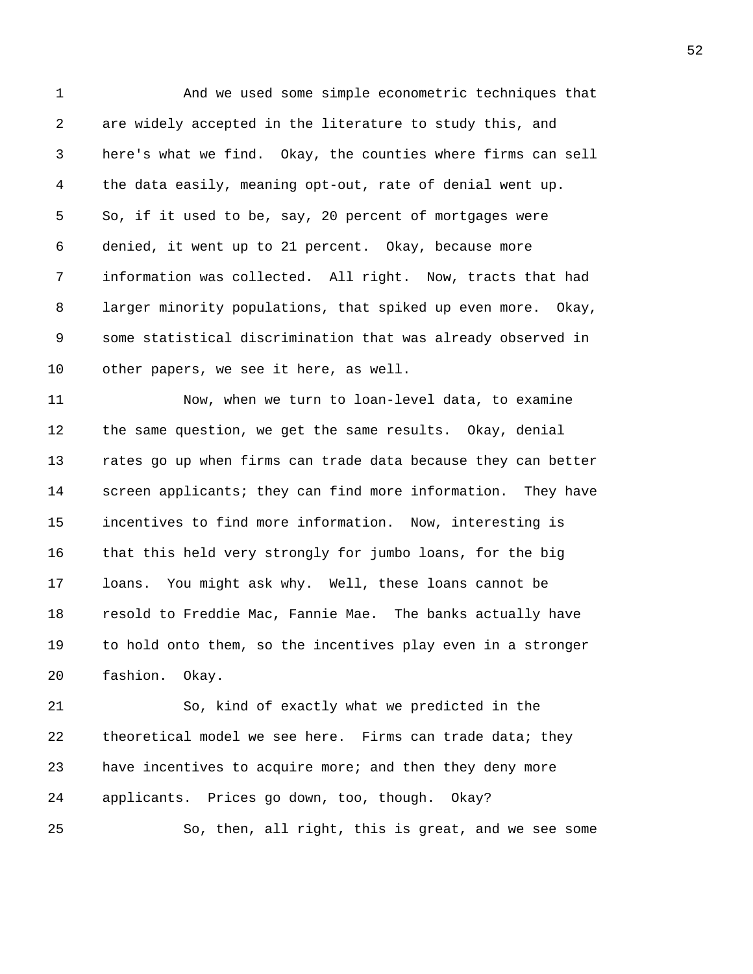1 And we used some simple econometric techniques that 2 are widely accepted in the literature to study this, and 3 here's what we find. Okay, the counties where firms can sell 4 the data easily, meaning opt-out, rate of denial went up. 5 So, if it used to be, say, 20 percent of mortgages were 6 denied, it went up to 21 percent. Okay, because more 7 information was collected. All right. Now, tracts that had 8 larger minority populations, that spiked up even more. Okay, 9 some statistical discrimination that was already observed in 10 other papers, we see it here, as well. 11 Now, when we turn to loan-level data, to examine 12 the same question, we get the same results. Okay, denial 13 rates go up when firms can trade data because they can better 14 screen applicants; they can find more information. They have 15 incentives to find more information. Now, interesting is 16 that this held very strongly for jumbo loans, for the big 17 loans. You might ask why. Well, these loans cannot be 18 resold to Freddie Mac, Fannie Mae. The banks actually have 19 to hold onto them, so the incentives play even in a stronger 20 fashion. Okay. 21 So, kind of exactly what we predicted in the 22 theoretical model we see here. Firms can trade data; they 23 have incentives to acquire more; and then they deny more 24 applicants. Prices go down, too, though. Okay?

25 So, then, all right, this is great, and we see some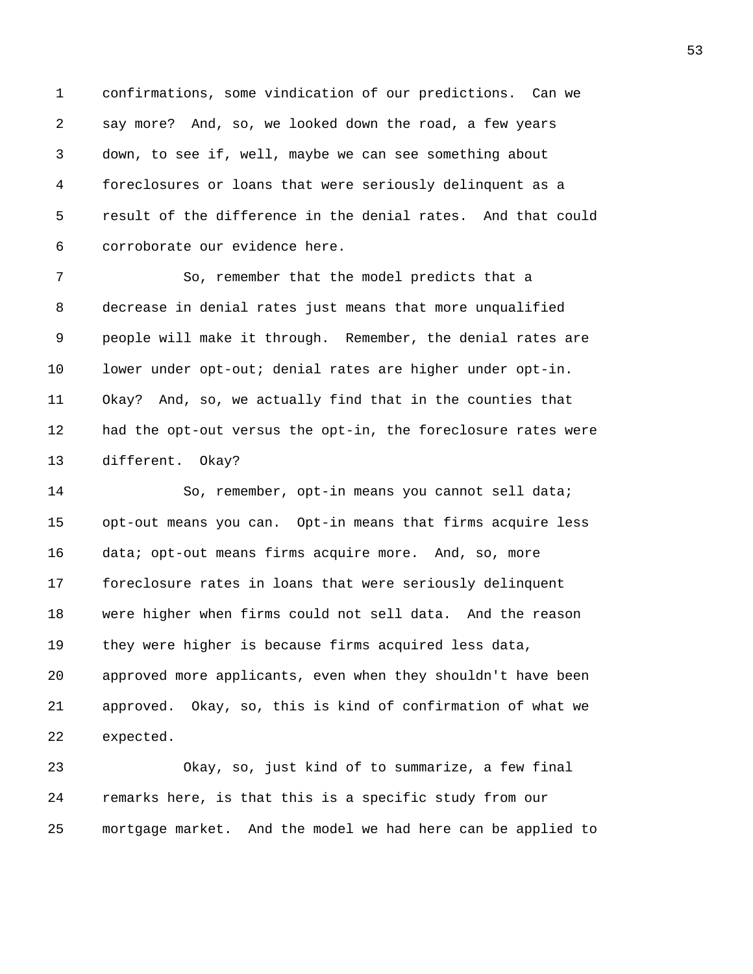1 confirmations, some vindication of our predictions. Can we 2 say more? And, so, we looked down the road, a few years 3 down, to see if, well, maybe we can see something about 4 foreclosures or loans that were seriously delinquent as a 5 result of the difference in the denial rates. And that could 6 corroborate our evidence here.

7 So, remember that the model predicts that a 8 decrease in denial rates just means that more unqualified 9 people will make it through. Remember, the denial rates are 10 lower under opt-out; denial rates are higher under opt-in. 11 Okay? And, so, we actually find that in the counties that 12 had the opt-out versus the opt-in, the foreclosure rates were 13 different. Okay?

14 So, remember, opt-in means you cannot sell data; 15 opt-out means you can. Opt-in means that firms acquire less 16 data; opt-out means firms acquire more. And, so, more 17 foreclosure rates in loans that were seriously delinquent 18 were higher when firms could not sell data. And the reason 19 they were higher is because firms acquired less data, 20 approved more applicants, even when they shouldn't have been 21 approved. Okay, so, this is kind of confirmation of what we 22 expected.

23 Okay, so, just kind of to summarize, a few final 24 remarks here, is that this is a specific study from our 25 mortgage market. And the model we had here can be applied to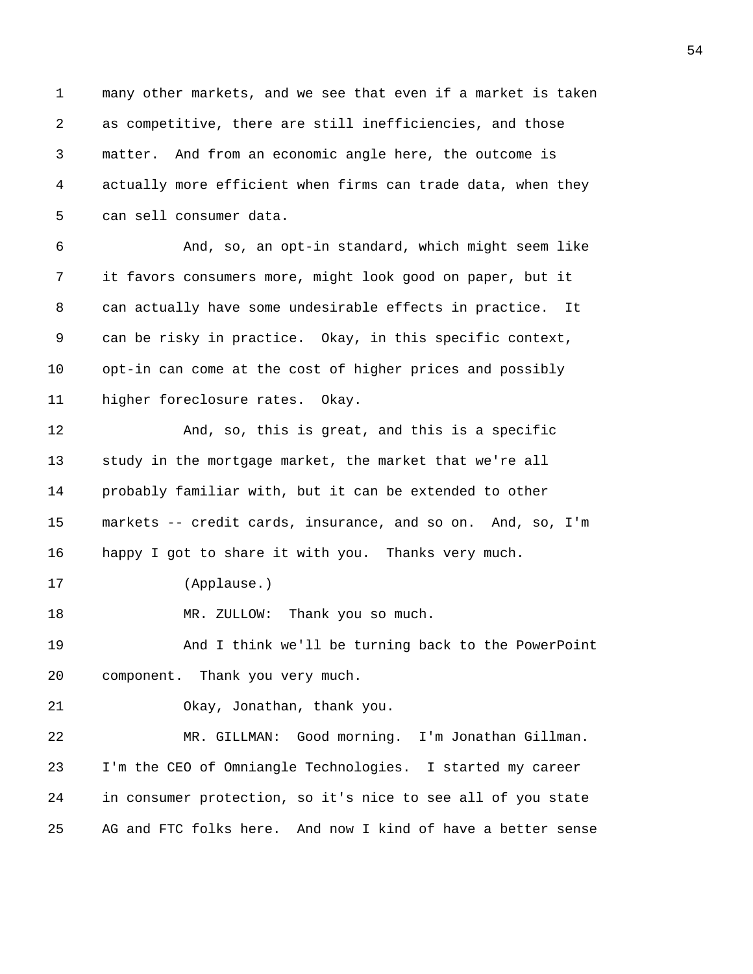1 many other markets, and we see that even if a market is taken 2 as competitive, there are still inefficiencies, and those 3 matter. And from an economic angle here, the outcome is 4 actually more efficient when firms can trade data, when they 5 can sell consumer data. 6 And, so, an opt-in standard, which might seem like 7 it favors consumers more, might look good on paper, but it 8 can actually have some undesirable effects in practice. It 9 can be risky in practice. Okay, in this specific context, 10 opt-in can come at the cost of higher prices and possibly 11 higher foreclosure rates. Okay. 12 And, so, this is great, and this is a specific 13 study in the mortgage market, the market that we're all 14 probably familiar with, but it can be extended to other 15 markets -- credit cards, insurance, and so on. And, so, I'm 16 happy I got to share it with you. Thanks very much. 17 (Applause.) 18 MR. ZULLOW: Thank you so much. 19 And I think we'll be turning back to the PowerPoint 20 component. Thank you very much. 21 Okay, Jonathan, thank you. 22 MR. GILLMAN: Good morning. I'm Jonathan Gillman. 23 I'm the CEO of Omniangle Technologies. I started my career 24 in consumer protection, so it's nice to see all of you state 25 AG and FTC folks here. And now I kind of have a better sense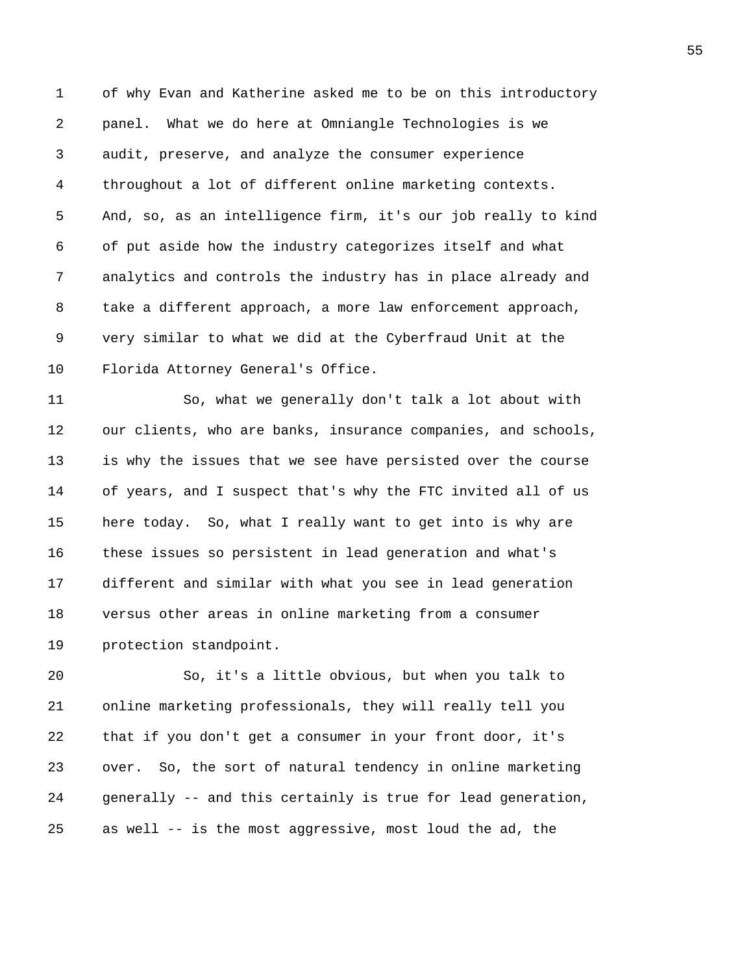1 of why Evan and Katherine asked me to be on this introductory 2 panel. What we do here at Omniangle Technologies is we 3 audit, preserve, and analyze the consumer experience 4 throughout a lot of different online marketing contexts. 5 And, so, as an intelligence firm, it's our job really to kind 6 of put aside how the industry categorizes itself and what 7 analytics and controls the industry has in place already and 8 take a different approach, a more law enforcement approach, 9 very similar to what we did at the Cyberfraud Unit at the 10 Florida Attorney General's Office.

11 So, what we generally don't talk a lot about with 12 our clients, who are banks, insurance companies, and schools, 13 is why the issues that we see have persisted over the course 14 of years, and I suspect that's why the FTC invited all of us 15 here today. So, what I really want to get into is why are 16 these issues so persistent in lead generation and what's 17 different and similar with what you see in lead generation 18 versus other areas in online marketing from a consumer 19 protection standpoint.

20 So, it's a little obvious, but when you talk to 21 online marketing professionals, they will really tell you 22 that if you don't get a consumer in your front door, it's 23 over. So, the sort of natural tendency in online marketing 24 generally -- and this certainly is true for lead generation, 25 as well -- is the most aggressive, most loud the ad, the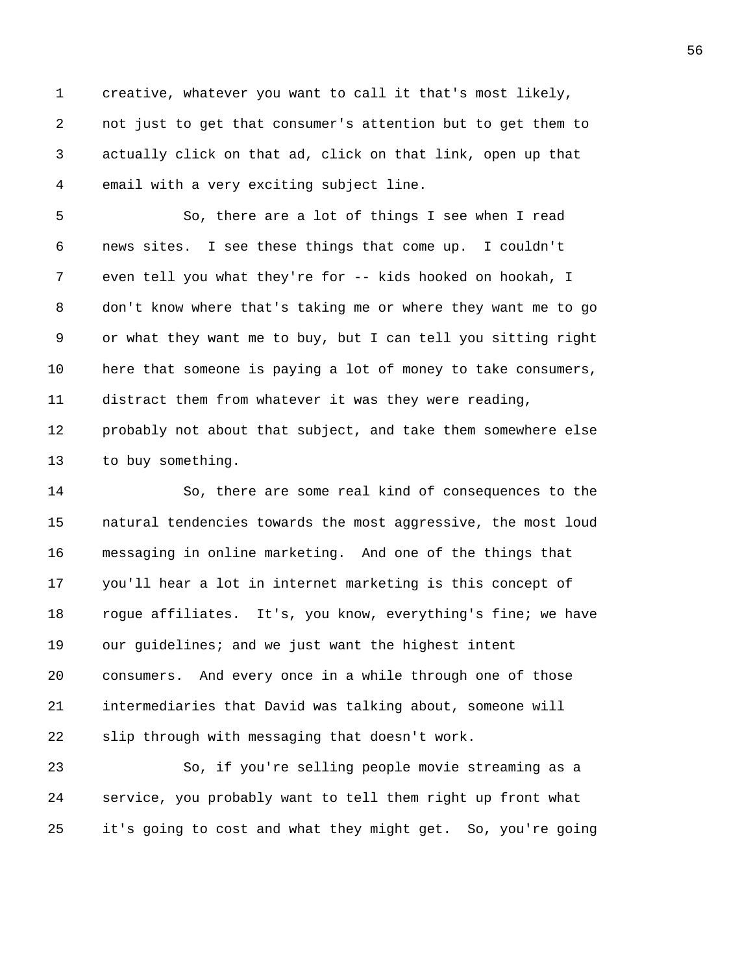1 creative, whatever you want to call it that's most likely, 2 not just to get that consumer's attention but to get them to 3 actually click on that ad, click on that link, open up that 4 email with a very exciting subject line.

5 So, there are a lot of things I see when I read 6 news sites. I see these things that come up. I couldn't 7 even tell you what they're for -- kids hooked on hookah, I 8 don't know where that's taking me or where they want me to go 9 or what they want me to buy, but I can tell you sitting right 10 here that someone is paying a lot of money to take consumers, 11 distract them from whatever it was they were reading, 12 probably not about that subject, and take them somewhere else 13 to buy something.

14 So, there are some real kind of consequences to the 15 natural tendencies towards the most aggressive, the most loud 16 messaging in online marketing. And one of the things that 17 you'll hear a lot in internet marketing is this concept of 18 rogue affiliates. It's, you know, everything's fine; we have 19 our guidelines; and we just want the highest intent 20 consumers. And every once in a while through one of those 21 intermediaries that David was talking about, someone will 22 slip through with messaging that doesn't work.

23 So, if you're selling people movie streaming as a 24 service, you probably want to tell them right up front what 25 it's going to cost and what they might get. So, you're going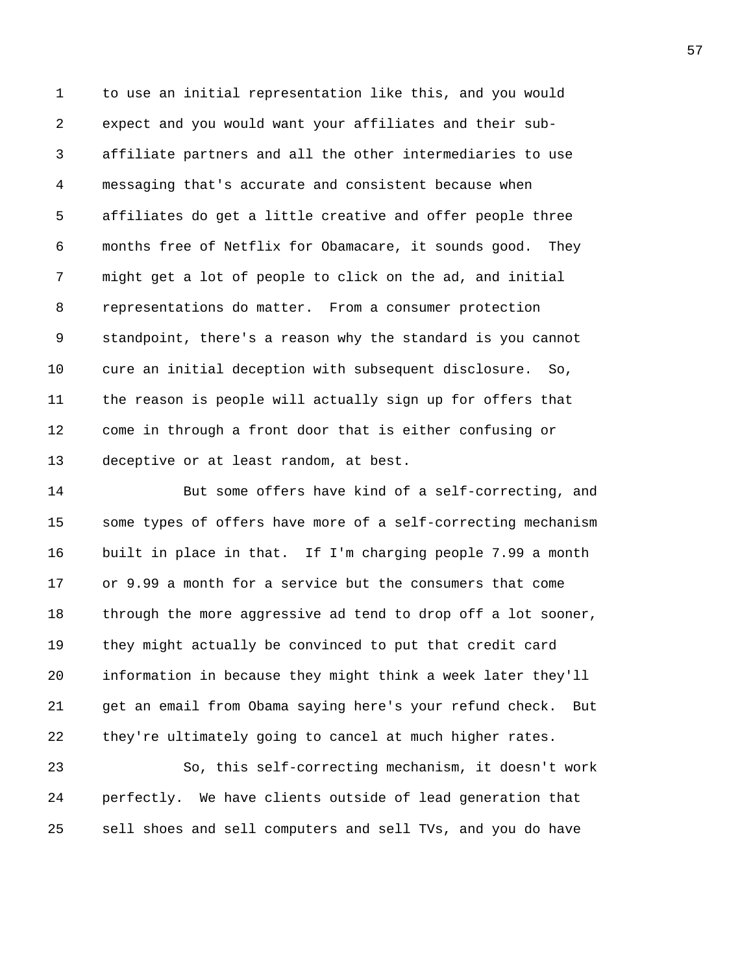1 to use an initial representation like this, and you would 2 expect and you would want your affiliates and their sub-3 affiliate partners and all the other intermediaries to use 4 messaging that's accurate and consistent because when 5 affiliates do get a little creative and offer people three 6 months free of Netflix for Obamacare, it sounds good. They 7 might get a lot of people to click on the ad, and initial 8 representations do matter. From a consumer protection 9 standpoint, there's a reason why the standard is you cannot 10 cure an initial deception with subsequent disclosure. So, 11 the reason is people will actually sign up for offers that 12 come in through a front door that is either confusing or 13 deceptive or at least random, at best.

14 But some offers have kind of a self-correcting, and 15 some types of offers have more of a self-correcting mechanism 16 built in place in that. If I'm charging people 7.99 a month 17 or 9.99 a month for a service but the consumers that come 18 through the more aggressive ad tend to drop off a lot sooner, 19 they might actually be convinced to put that credit card 20 information in because they might think a week later they'll 21 get an email from Obama saying here's your refund check. But 22 they're ultimately going to cancel at much higher rates.

23 So, this self-correcting mechanism, it doesn't work 24 perfectly. We have clients outside of lead generation that 25 sell shoes and sell computers and sell TVs, and you do have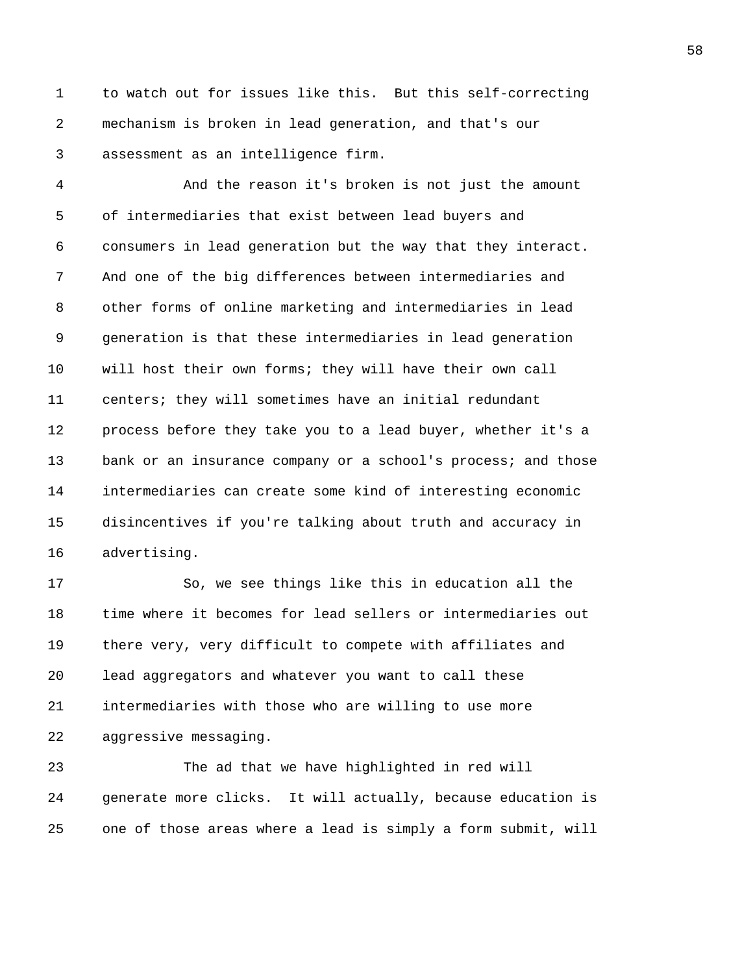1 to watch out for issues like this. But this self-correcting 2 mechanism is broken in lead generation, and that's our 3 assessment as an intelligence firm.

4 And the reason it's broken is not just the amount 5 of intermediaries that exist between lead buyers and 6 consumers in lead generation but the way that they interact. 7 And one of the big differences between intermediaries and 8 other forms of online marketing and intermediaries in lead 9 generation is that these intermediaries in lead generation 10 will host their own forms; they will have their own call 11 centers; they will sometimes have an initial redundant 12 process before they take you to a lead buyer, whether it's a 13 bank or an insurance company or a school's process; and those 14 intermediaries can create some kind of interesting economic 15 disincentives if you're talking about truth and accuracy in 16 advertising.

17 So, we see things like this in education all the 18 time where it becomes for lead sellers or intermediaries out 19 there very, very difficult to compete with affiliates and 20 lead aggregators and whatever you want to call these 21 intermediaries with those who are willing to use more 22 aggressive messaging.

23 The ad that we have highlighted in red will 24 generate more clicks. It will actually, because education is 25 one of those areas where a lead is simply a form submit, will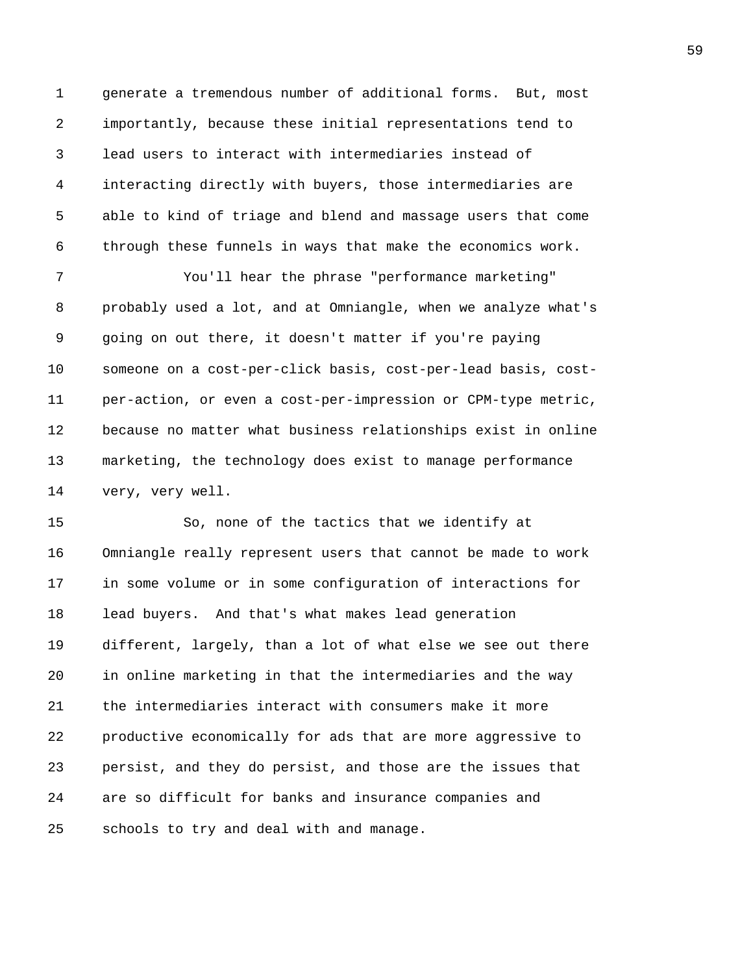1 generate a tremendous number of additional forms. But, most 2 importantly, because these initial representations tend to 3 lead users to interact with intermediaries instead of 4 interacting directly with buyers, those intermediaries are 5 able to kind of triage and blend and massage users that come 6 through these funnels in ways that make the economics work.

7 You'll hear the phrase "performance marketing" 8 probably used a lot, and at Omniangle, when we analyze what's 9 going on out there, it doesn't matter if you're paying 10 someone on a cost-per-click basis, cost-per-lead basis, cost-11 per-action, or even a cost-per-impression or CPM-type metric, 12 because no matter what business relationships exist in online 13 marketing, the technology does exist to manage performance 14 very, very well.

15 So, none of the tactics that we identify at 16 Omniangle really represent users that cannot be made to work 17 in some volume or in some configuration of interactions for 18 lead buyers. And that's what makes lead generation 19 different, largely, than a lot of what else we see out there 20 in online marketing in that the intermediaries and the way 21 the intermediaries interact with consumers make it more 22 productive economically for ads that are more aggressive to 23 persist, and they do persist, and those are the issues that 24 are so difficult for banks and insurance companies and 25 schools to try and deal with and manage.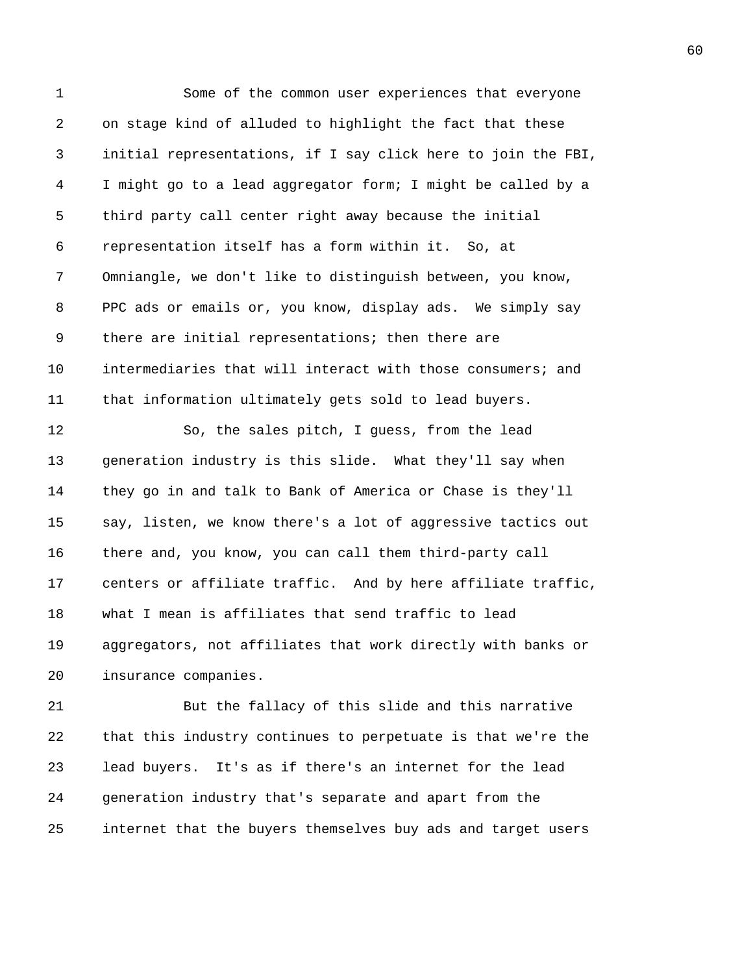1 Some of the common user experiences that everyone 2 on stage kind of alluded to highlight the fact that these 3 initial representations, if I say click here to join the FBI, 4 I might go to a lead aggregator form; I might be called by a 5 third party call center right away because the initial 6 representation itself has a form within it. So, at 7 Omniangle, we don't like to distinguish between, you know, 8 PPC ads or emails or, you know, display ads. We simply say 9 there are initial representations; then there are 10 intermediaries that will interact with those consumers; and 11 that information ultimately gets sold to lead buyers. 12 So, the sales pitch, I guess, from the lead 13 generation industry is this slide. What they'll say when 14 they go in and talk to Bank of America or Chase is they'll 15 say, listen, we know there's a lot of aggressive tactics out 16 there and, you know, you can call them third-party call 17 centers or affiliate traffic. And by here affiliate traffic, 18 what I mean is affiliates that send traffic to lead 19 aggregators, not affiliates that work directly with banks or 20 insurance companies. 21 But the fallacy of this slide and this narrative 22 that this industry continues to perpetuate is that we're the 23 lead buyers. It's as if there's an internet for the lead 24 generation industry that's separate and apart from the

25 internet that the buyers themselves buy ads and target users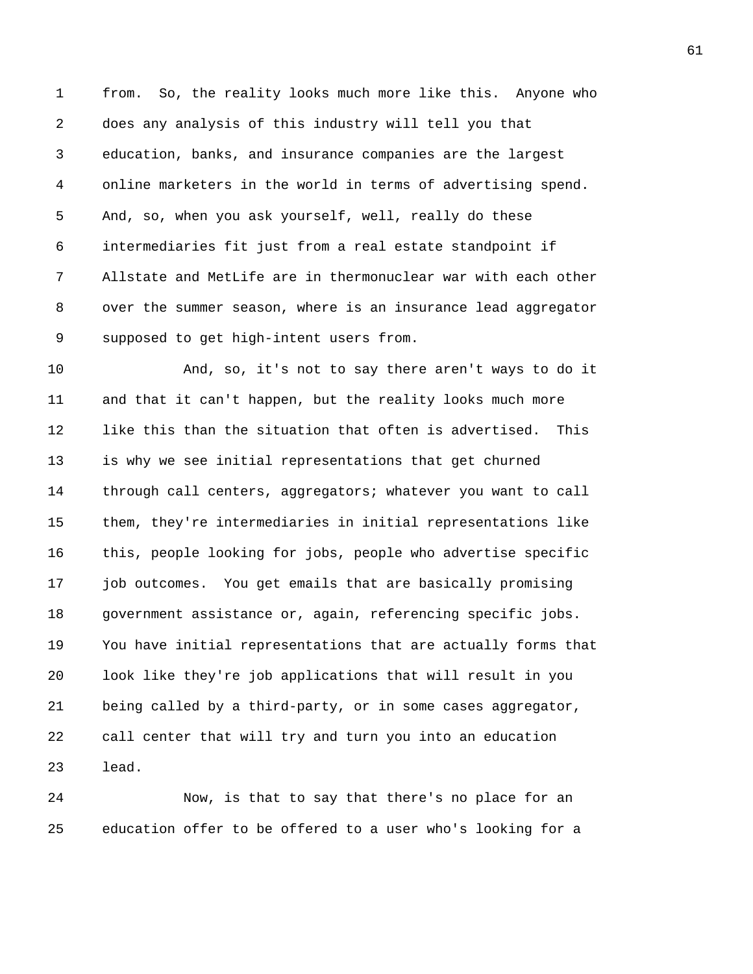1 from. So, the reality looks much more like this. Anyone who 2 does any analysis of this industry will tell you that 3 education, banks, and insurance companies are the largest 4 online marketers in the world in terms of advertising spend. 5 And, so, when you ask yourself, well, really do these 6 intermediaries fit just from a real estate standpoint if 7 Allstate and MetLife are in thermonuclear war with each other 8 over the summer season, where is an insurance lead aggregator 9 supposed to get high-intent users from.

10 And, so, it's not to say there aren't ways to do it 11 and that it can't happen, but the reality looks much more 12 like this than the situation that often is advertised. This 13 is why we see initial representations that get churned 14 through call centers, aggregators; whatever you want to call 15 them, they're intermediaries in initial representations like 16 this, people looking for jobs, people who advertise specific 17 job outcomes. You get emails that are basically promising 18 government assistance or, again, referencing specific jobs. 19 You have initial representations that are actually forms that 20 look like they're job applications that will result in you 21 being called by a third-party, or in some cases aggregator, 22 call center that will try and turn you into an education 23 lead.

24 Now, is that to say that there's no place for an 25 education offer to be offered to a user who's looking for a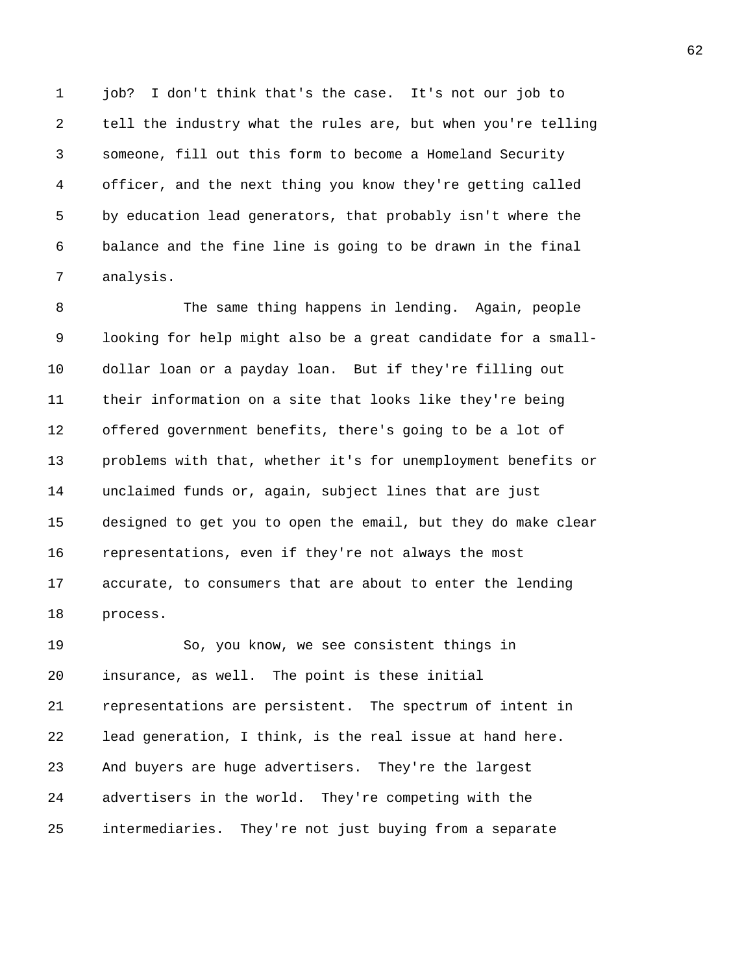1 job? I don't think that's the case. It's not our job to 2 tell the industry what the rules are, but when you're telling 3 someone, fill out this form to become a Homeland Security 4 officer, and the next thing you know they're getting called 5 by education lead generators, that probably isn't where the 6 balance and the fine line is going to be drawn in the final 7 analysis.

8 The same thing happens in lending. Again, people 9 looking for help might also be a great candidate for a small-10 dollar loan or a payday loan. But if they're filling out 11 their information on a site that looks like they're being 12 offered government benefits, there's going to be a lot of 13 problems with that, whether it's for unemployment benefits or 14 unclaimed funds or, again, subject lines that are just 15 designed to get you to open the email, but they do make clear 16 representations, even if they're not always the most 17 accurate, to consumers that are about to enter the lending 18 process.

19 So, you know, we see consistent things in 20 insurance, as well. The point is these initial 21 representations are persistent. The spectrum of intent in 22 lead generation, I think, is the real issue at hand here. 23 And buyers are huge advertisers. They're the largest 24 advertisers in the world. They're competing with the 25 intermediaries. They're not just buying from a separate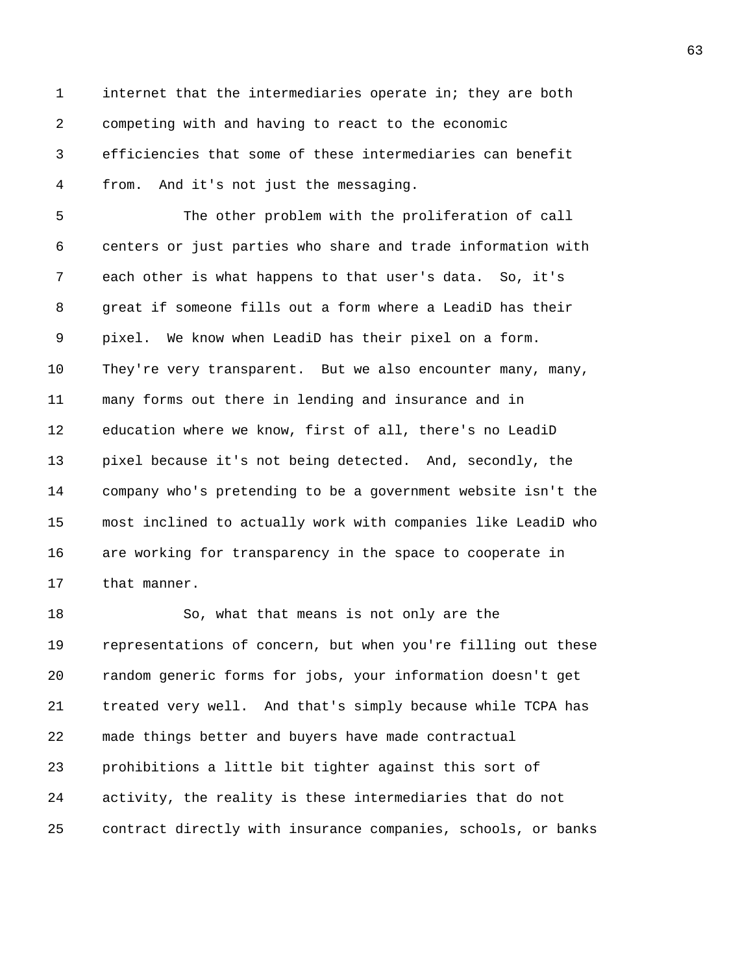1 internet that the intermediaries operate in; they are both 2 competing with and having to react to the economic 3 efficiencies that some of these intermediaries can benefit 4 from. And it's not just the messaging.

5 The other problem with the proliferation of call 6 centers or just parties who share and trade information with 7 each other is what happens to that user's data. So, it's 8 great if someone fills out a form where a LeadiD has their 9 pixel. We know when LeadiD has their pixel on a form. 10 They're very transparent. But we also encounter many, many, 11 many forms out there in lending and insurance and in 12 education where we know, first of all, there's no LeadiD 13 pixel because it's not being detected. And, secondly, the 14 company who's pretending to be a government website isn't the 15 most inclined to actually work with companies like LeadiD who 16 are working for transparency in the space to cooperate in 17 that manner.

18 So, what that means is not only are the 19 representations of concern, but when you're filling out these 20 random generic forms for jobs, your information doesn't get 21 treated very well. And that's simply because while TCPA has 22 made things better and buyers have made contractual 23 prohibitions a little bit tighter against this sort of 24 activity, the reality is these intermediaries that do not 25 contract directly with insurance companies, schools, or banks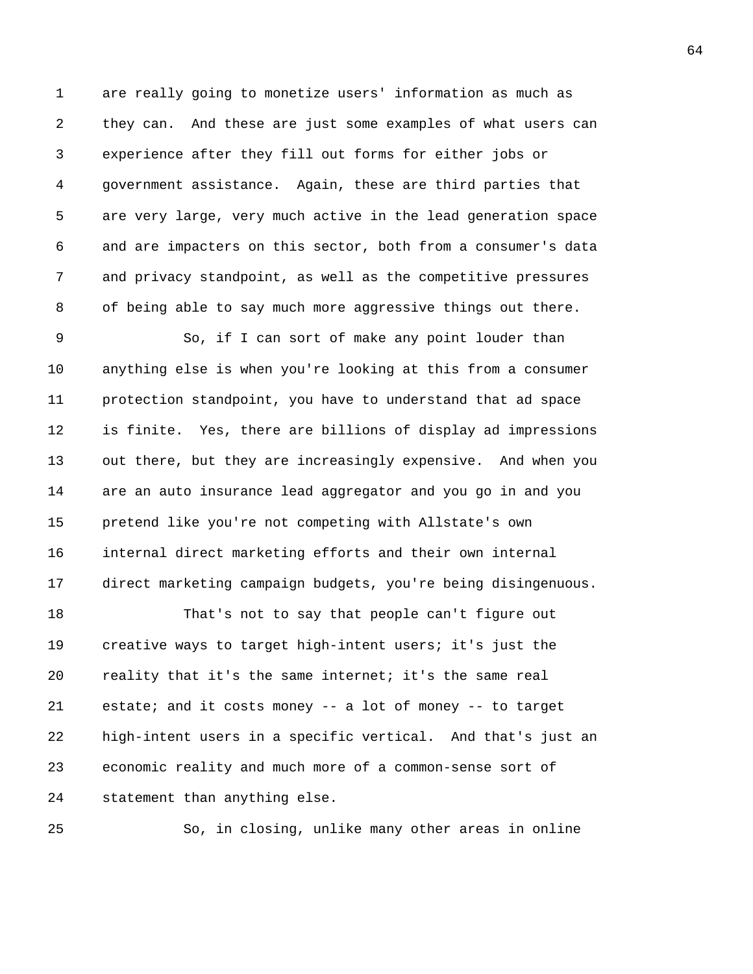1 are really going to monetize users' information as much as 2 they can. And these are just some examples of what users can 3 experience after they fill out forms for either jobs or 4 government assistance. Again, these are third parties that 5 are very large, very much active in the lead generation space 6 and are impacters on this sector, both from a consumer's data 7 and privacy standpoint, as well as the competitive pressures 8 of being able to say much more aggressive things out there.

9 So, if I can sort of make any point louder than 10 anything else is when you're looking at this from a consumer 11 protection standpoint, you have to understand that ad space 12 is finite. Yes, there are billions of display ad impressions 13 out there, but they are increasingly expensive. And when you 14 are an auto insurance lead aggregator and you go in and you 15 pretend like you're not competing with Allstate's own 16 internal direct marketing efforts and their own internal 17 direct marketing campaign budgets, you're being disingenuous.

18 That's not to say that people can't figure out 19 creative ways to target high-intent users; it's just the 20 reality that it's the same internet; it's the same real 21 estate; and it costs money -- a lot of money -- to target 22 high-intent users in a specific vertical. And that's just an 23 economic reality and much more of a common-sense sort of 24 statement than anything else.

25 So, in closing, unlike many other areas in online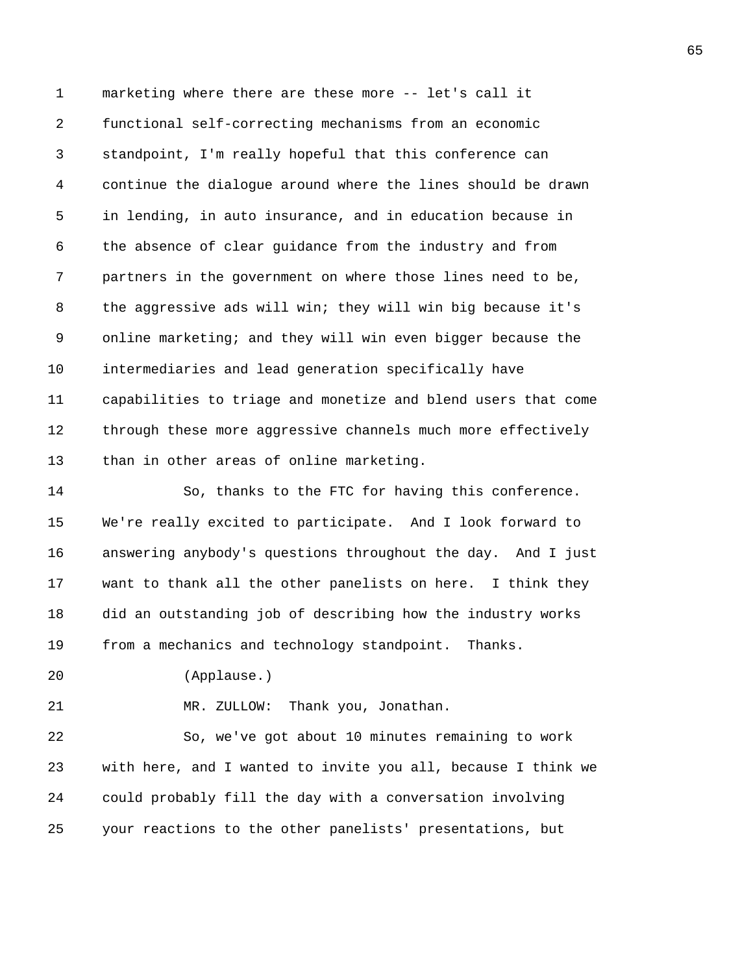1 marketing where there are these more -- let's call it 2 functional self-correcting mechanisms from an economic 3 standpoint, I'm really hopeful that this conference can 4 continue the dialogue around where the lines should be drawn 5 in lending, in auto insurance, and in education because in 6 the absence of clear guidance from the industry and from 7 partners in the government on where those lines need to be, 8 the aggressive ads will win; they will win big because it's 9 online marketing; and they will win even bigger because the 10 intermediaries and lead generation specifically have 11 capabilities to triage and monetize and blend users that come 12 through these more aggressive channels much more effectively 13 than in other areas of online marketing.

14 So, thanks to the FTC for having this conference. 15 We're really excited to participate. And I look forward to 16 answering anybody's questions throughout the day. And I just 17 want to thank all the other panelists on here. I think they 18 did an outstanding job of describing how the industry works 19 from a mechanics and technology standpoint. Thanks.

20 (Applause.)

21 MR. ZULLOW: Thank you, Jonathan.

22 So, we've got about 10 minutes remaining to work 23 with here, and I wanted to invite you all, because I think we 24 could probably fill the day with a conversation involving 25 your reactions to the other panelists' presentations, but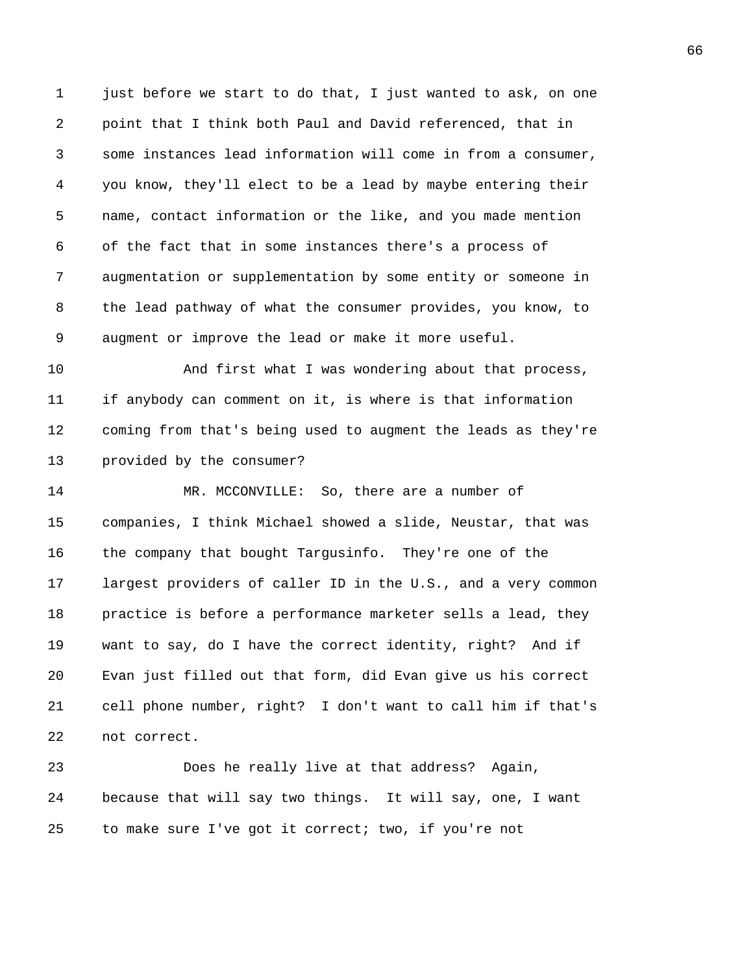1 just before we start to do that, I just wanted to ask, on one 2 point that I think both Paul and David referenced, that in 3 some instances lead information will come in from a consumer, 4 you know, they'll elect to be a lead by maybe entering their 5 name, contact information or the like, and you made mention 6 of the fact that in some instances there's a process of 7 augmentation or supplementation by some entity or someone in 8 the lead pathway of what the consumer provides, you know, to 9 augment or improve the lead or make it more useful.

10 And first what I was wondering about that process, 11 if anybody can comment on it, is where is that information 12 coming from that's being used to augment the leads as they're 13 provided by the consumer?

14 MR. MCCONVILLE: So, there are a number of 15 companies, I think Michael showed a slide, Neustar, that was 16 the company that bought Targusinfo. They're one of the 17 largest providers of caller ID in the U.S., and a very common 18 practice is before a performance marketer sells a lead, they 19 want to say, do I have the correct identity, right? And if 20 Evan just filled out that form, did Evan give us his correct 21 cell phone number, right? I don't want to call him if that's 22 not correct.

23 Does he really live at that address? Again, 24 because that will say two things. It will say, one, I want 25 to make sure I've got it correct; two, if you're not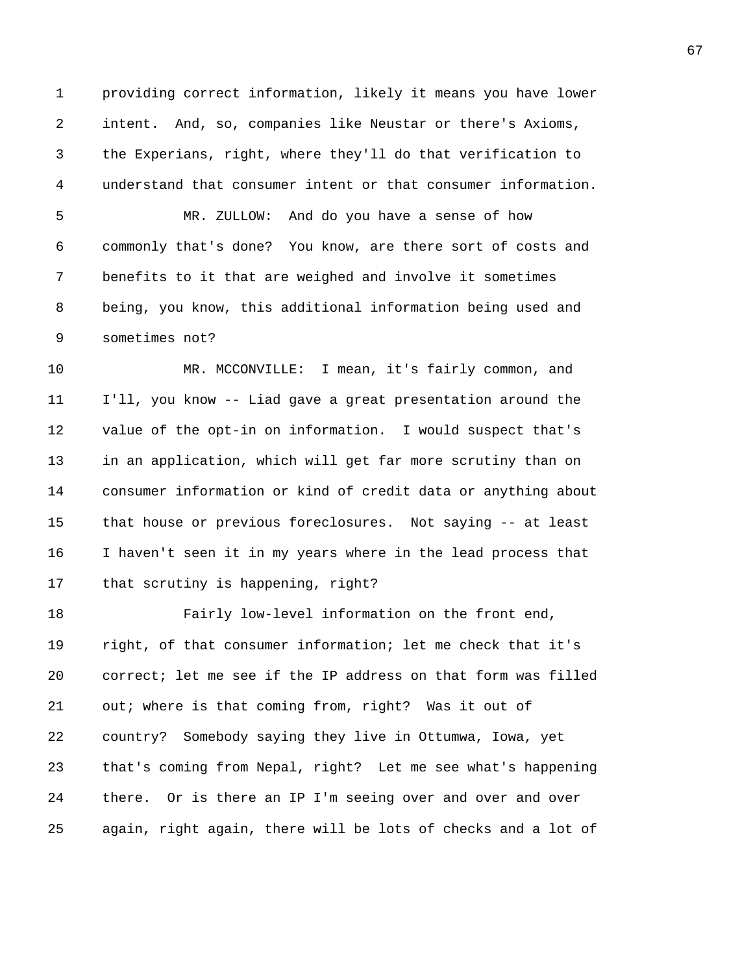1 providing correct information, likely it means you have lower 2 intent. And, so, companies like Neustar or there's Axioms, 3 the Experians, right, where they'll do that verification to 4 understand that consumer intent or that consumer information.

5 MR. ZULLOW: And do you have a sense of how 6 commonly that's done? You know, are there sort of costs and 7 benefits to it that are weighed and involve it sometimes 8 being, you know, this additional information being used and 9 sometimes not?

10 MR. MCCONVILLE: I mean, it's fairly common, and 11 I'll, you know -- Liad gave a great presentation around the 12 value of the opt-in on information. I would suspect that's 13 in an application, which will get far more scrutiny than on 14 consumer information or kind of credit data or anything about 15 that house or previous foreclosures. Not saying -- at least 16 I haven't seen it in my years where in the lead process that 17 that scrutiny is happening, right?

18 Fairly low-level information on the front end, 19 right, of that consumer information; let me check that it's 20 correct; let me see if the IP address on that form was filled 21 out; where is that coming from, right? Was it out of 22 country? Somebody saying they live in Ottumwa, Iowa, yet 23 that's coming from Nepal, right? Let me see what's happening 24 there. Or is there an IP I'm seeing over and over and over 25 again, right again, there will be lots of checks and a lot of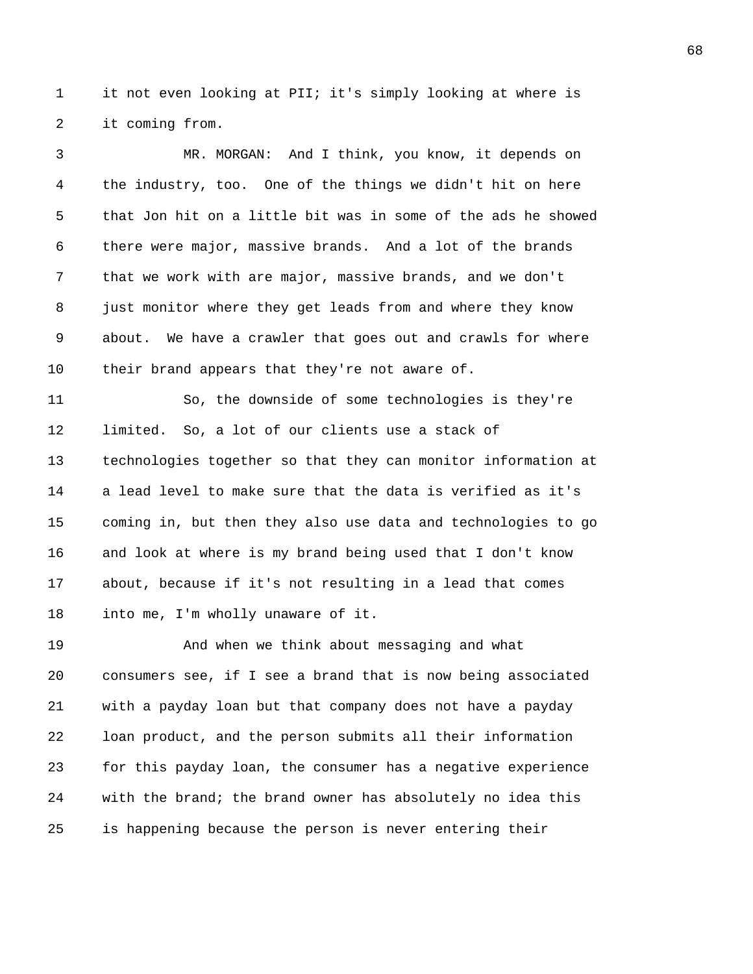1 it not even looking at PII; it's simply looking at where is 2 it coming from.

3 MR. MORGAN: And I think, you know, it depends on 4 the industry, too. One of the things we didn't hit on here 5 that Jon hit on a little bit was in some of the ads he showed 6 there were major, massive brands. And a lot of the brands 7 that we work with are major, massive brands, and we don't 8 just monitor where they get leads from and where they know 9 about. We have a crawler that goes out and crawls for where 10 their brand appears that they're not aware of.

11 So, the downside of some technologies is they're 12 limited. So, a lot of our clients use a stack of 13 technologies together so that they can monitor information at 14 a lead level to make sure that the data is verified as it's 15 coming in, but then they also use data and technologies to go 16 and look at where is my brand being used that I don't know 17 about, because if it's not resulting in a lead that comes 18 into me, I'm wholly unaware of it.

19 And when we think about messaging and what 20 consumers see, if I see a brand that is now being associated 21 with a payday loan but that company does not have a payday 22 loan product, and the person submits all their information 23 for this payday loan, the consumer has a negative experience 24 with the brand; the brand owner has absolutely no idea this 25 is happening because the person is never entering their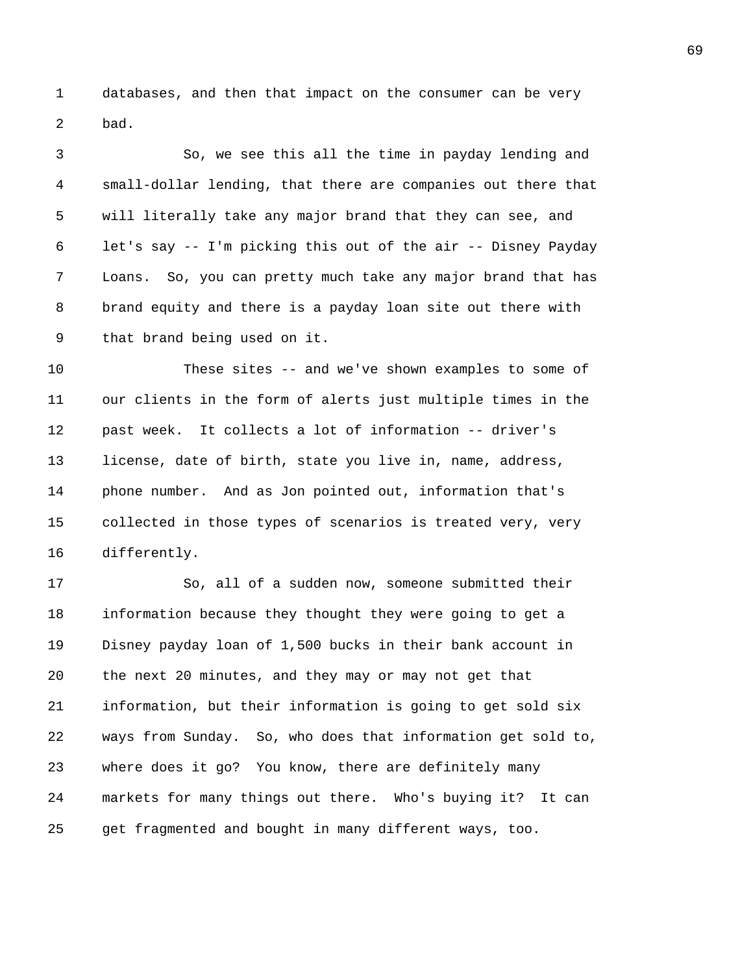1 databases, and then that impact on the consumer can be very 2 bad.

3 So, we see this all the time in payday lending and 4 small-dollar lending, that there are companies out there that 5 will literally take any major brand that they can see, and 6 let's say -- I'm picking this out of the air -- Disney Payday 7 Loans. So, you can pretty much take any major brand that has 8 brand equity and there is a payday loan site out there with 9 that brand being used on it.

10 These sites -- and we've shown examples to some of 11 our clients in the form of alerts just multiple times in the 12 past week. It collects a lot of information -- driver's 13 license, date of birth, state you live in, name, address, 14 phone number. And as Jon pointed out, information that's 15 collected in those types of scenarios is treated very, very 16 differently.

17 So, all of a sudden now, someone submitted their 18 information because they thought they were going to get a 19 Disney payday loan of 1,500 bucks in their bank account in 20 the next 20 minutes, and they may or may not get that 21 information, but their information is going to get sold six 22 ways from Sunday. So, who does that information get sold to, 23 where does it go? You know, there are definitely many 24 markets for many things out there. Who's buying it? It can 25 get fragmented and bought in many different ways, too.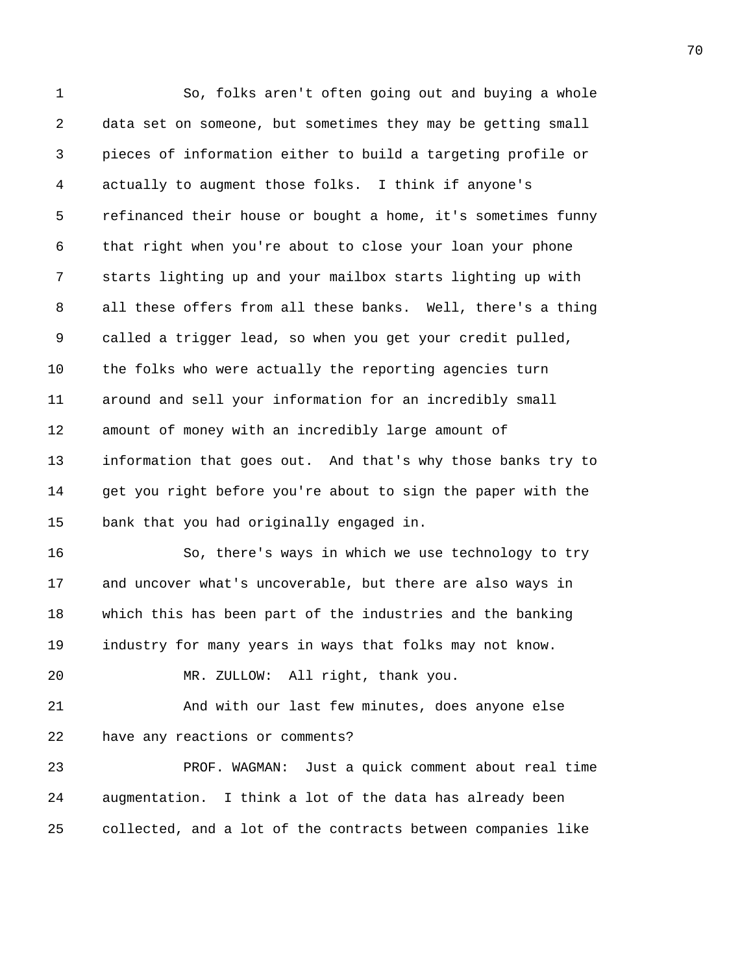1 So, folks aren't often going out and buying a whole 2 data set on someone, but sometimes they may be getting small 3 pieces of information either to build a targeting profile or 4 actually to augment those folks. I think if anyone's 5 refinanced their house or bought a home, it's sometimes funny 6 that right when you're about to close your loan your phone 7 starts lighting up and your mailbox starts lighting up with 8 all these offers from all these banks. Well, there's a thing 9 called a trigger lead, so when you get your credit pulled, 10 the folks who were actually the reporting agencies turn 11 around and sell your information for an incredibly small 12 amount of money with an incredibly large amount of 13 information that goes out. And that's why those banks try to 14 get you right before you're about to sign the paper with the 15 bank that you had originally engaged in. 16 So, there's ways in which we use technology to try 17 and uncover what's uncoverable, but there are also ways in 18 which this has been part of the industries and the banking 19 industry for many years in ways that folks may not know. 20 MR. ZULLOW: All right, thank you. 21 And with our last few minutes, does anyone else 22 have any reactions or comments? 23 PROF. WAGMAN: Just a quick comment about real time 24 augmentation. I think a lot of the data has already been 25 collected, and a lot of the contracts between companies like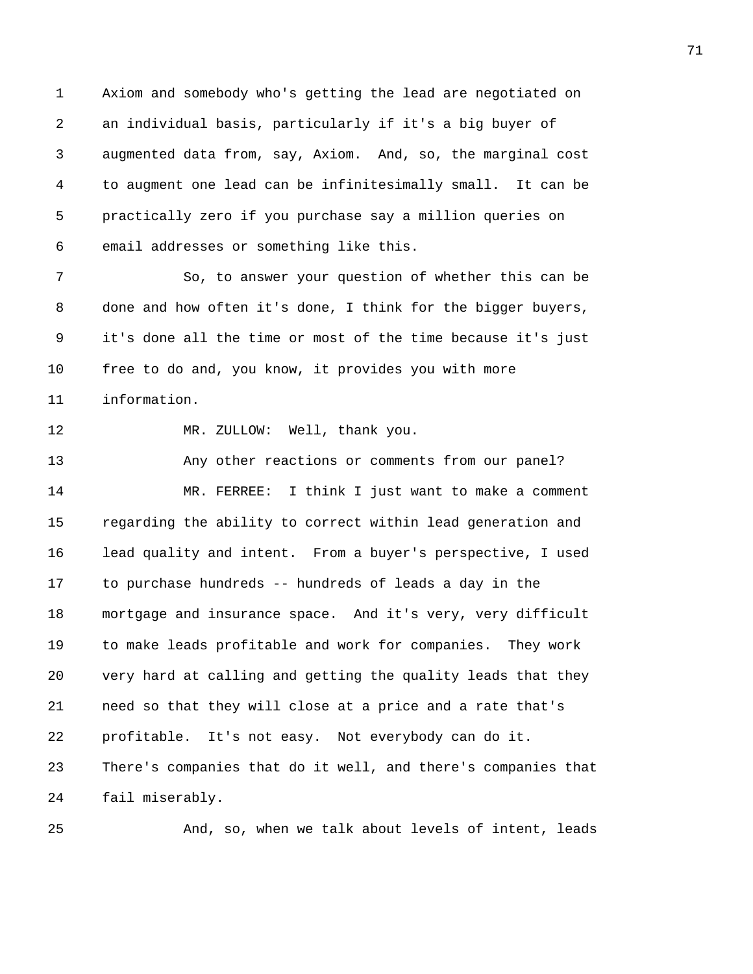1 Axiom and somebody who's getting the lead are negotiated on 2 an individual basis, particularly if it's a big buyer of 3 augmented data from, say, Axiom. And, so, the marginal cost 4 to augment one lead can be infinitesimally small. It can be 5 practically zero if you purchase say a million queries on 6 email addresses or something like this.

7 So, to answer your question of whether this can be 8 done and how often it's done, I think for the bigger buyers, 9 it's done all the time or most of the time because it's just 10 free to do and, you know, it provides you with more 11 information.

12 MR. ZULLOW: Well, thank you.

13 Any other reactions or comments from our panel? 14 MR. FERREE: I think I just want to make a comment 15 regarding the ability to correct within lead generation and 16 lead quality and intent. From a buyer's perspective, I used 17 to purchase hundreds -- hundreds of leads a day in the 18 mortgage and insurance space. And it's very, very difficult 19 to make leads profitable and work for companies. They work 20 very hard at calling and getting the quality leads that they 21 need so that they will close at a price and a rate that's 22 profitable. It's not easy. Not everybody can do it. 23 There's companies that do it well, and there's companies that 24 fail miserably.

25 And, so, when we talk about levels of intent, leads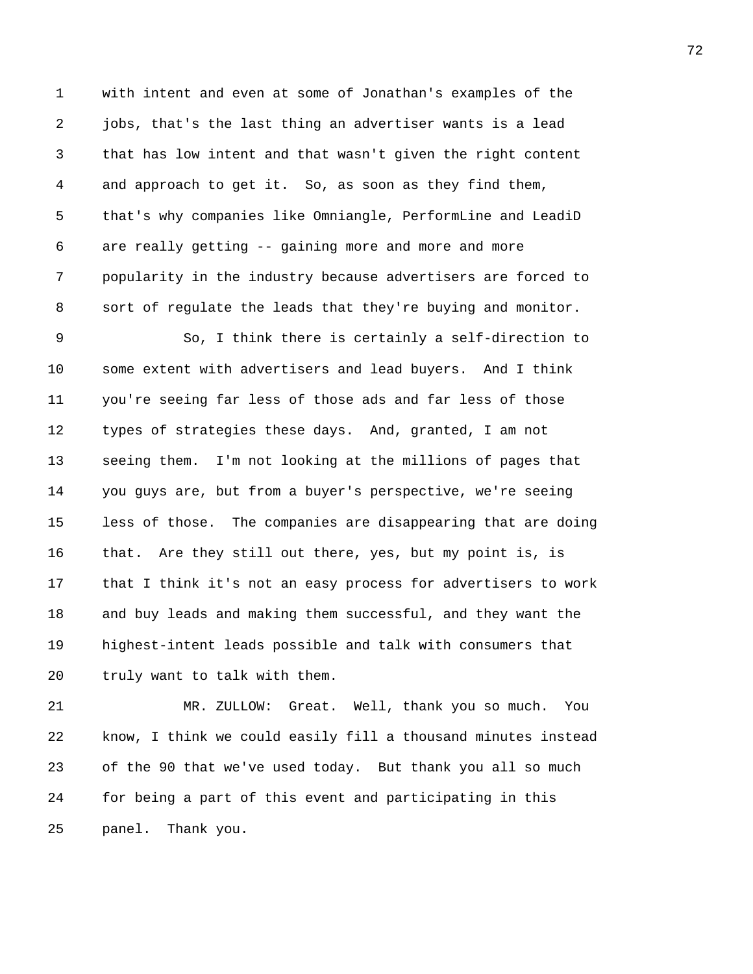1 with intent and even at some of Jonathan's examples of the 2 jobs, that's the last thing an advertiser wants is a lead 3 that has low intent and that wasn't given the right content 4 and approach to get it. So, as soon as they find them, 5 that's why companies like Omniangle, PerformLine and LeadiD 6 are really getting -- gaining more and more and more 7 popularity in the industry because advertisers are forced to 8 sort of regulate the leads that they're buying and monitor.

9 So, I think there is certainly a self-direction to 10 some extent with advertisers and lead buyers. And I think 11 you're seeing far less of those ads and far less of those 12 types of strategies these days. And, granted, I am not 13 seeing them. I'm not looking at the millions of pages that 14 you guys are, but from a buyer's perspective, we're seeing 15 less of those. The companies are disappearing that are doing 16 that. Are they still out there, yes, but my point is, is 17 that I think it's not an easy process for advertisers to work 18 and buy leads and making them successful, and they want the 19 highest-intent leads possible and talk with consumers that 20 truly want to talk with them.

21 MR. ZULLOW: Great. Well, thank you so much. You 22 know, I think we could easily fill a thousand minutes instead 23 of the 90 that we've used today. But thank you all so much 24 for being a part of this event and participating in this 25 panel. Thank you.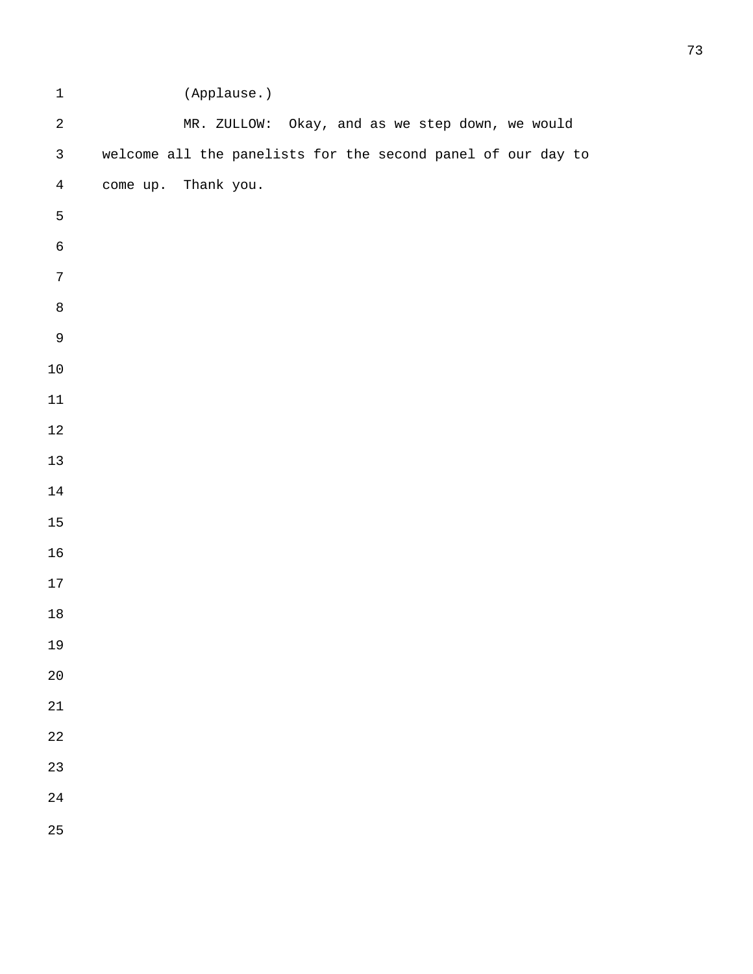| $\mathbf 1$    | (Applause.)                                                  |
|----------------|--------------------------------------------------------------|
| $\sqrt{2}$     | MR. ZULLOW: Okay, and as we step down, we would              |
| $\mathfrak{Z}$ | welcome all the panelists for the second panel of our day to |
| $\bf 4$        | come up. Thank you.                                          |
| 5              |                                                              |
| $\mathsf 6$    |                                                              |
| $\sqrt{ }$     |                                                              |
| $\,8\,$        |                                                              |
| $\mathsf 9$    |                                                              |
| $10\,$         |                                                              |
| $11\,$         |                                                              |
| $12\,$         |                                                              |
| $13\,$         |                                                              |
| $14\,$         |                                                              |
| $15\,$         |                                                              |
| 16             |                                                              |
| $17\,$         |                                                              |
| $18\,$         |                                                              |
| 19             |                                                              |
| $20\,$         |                                                              |
| 21             |                                                              |
| 22             |                                                              |
| 23             |                                                              |
| 24             |                                                              |
| 25             |                                                              |
|                |                                                              |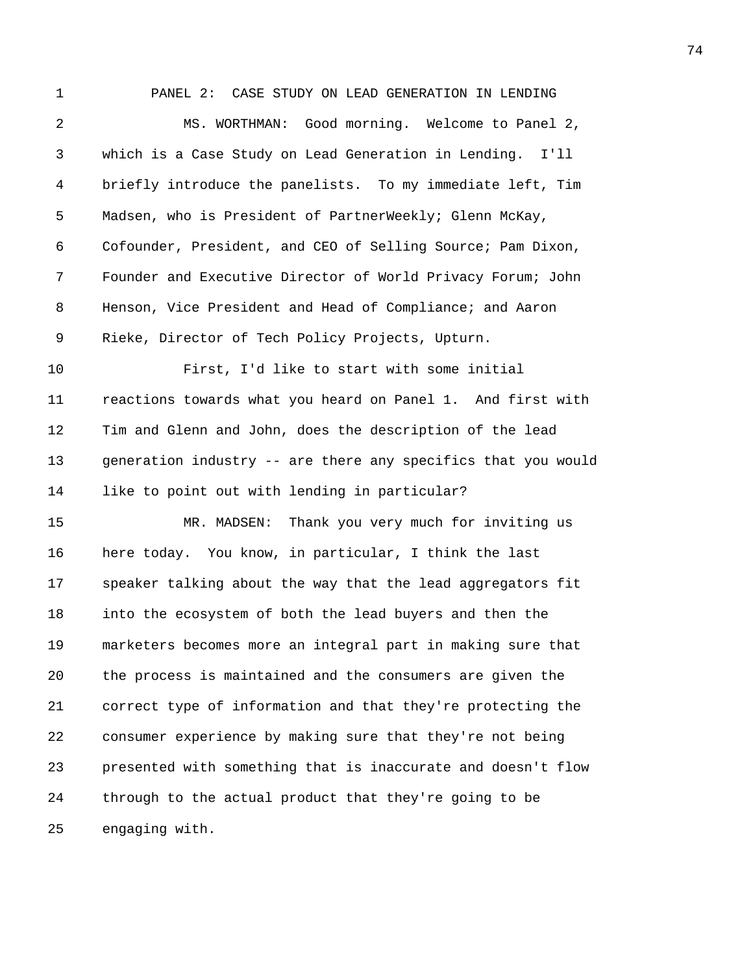1 PANEL 2: CASE STUDY ON LEAD GENERATION IN LENDING 2 MS. WORTHMAN: Good morning. Welcome to Panel 2, 3 which is a Case Study on Lead Generation in Lending. I'll 4 briefly introduce the panelists. To my immediate left, Tim 5 Madsen, who is President of PartnerWeekly; Glenn McKay, 6 Cofounder, President, and CEO of Selling Source; Pam Dixon, 7 Founder and Executive Director of World Privacy Forum; John 8 Henson, Vice President and Head of Compliance; and Aaron 9 Rieke, Director of Tech Policy Projects, Upturn. 10 First, I'd like to start with some initial 11 reactions towards what you heard on Panel 1. And first with 12 Tim and Glenn and John, does the description of the lead 13 generation industry -- are there any specifics that you would 14 like to point out with lending in particular? 15 MR. MADSEN: Thank you very much for inviting us 16 here today. You know, in particular, I think the last 17 speaker talking about the way that the lead aggregators fit 18 into the ecosystem of both the lead buyers and then the 19 marketers becomes more an integral part in making sure that 20 the process is maintained and the consumers are given the 21 correct type of information and that they're protecting the 22 consumer experience by making sure that they're not being 23 presented with something that is inaccurate and doesn't flow 24 through to the actual product that they're going to be 25 engaging with.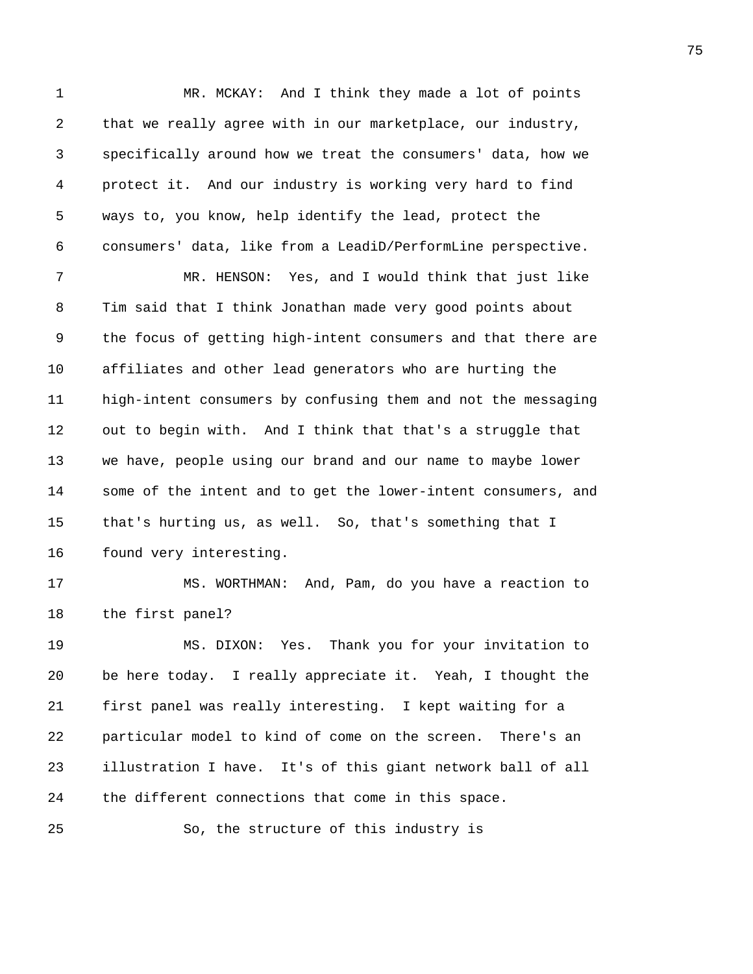1 MR. MCKAY: And I think they made a lot of points 2 that we really agree with in our marketplace, our industry, 3 specifically around how we treat the consumers' data, how we 4 protect it. And our industry is working very hard to find 5 ways to, you know, help identify the lead, protect the 6 consumers' data, like from a LeadiD/PerformLine perspective. 7 MR. HENSON: Yes, and I would think that just like 8 Tim said that I think Jonathan made very good points about 9 the focus of getting high-intent consumers and that there are 10 affiliates and other lead generators who are hurting the 11 high-intent consumers by confusing them and not the messaging 12 out to begin with. And I think that that's a struggle that 13 we have, people using our brand and our name to maybe lower 14 some of the intent and to get the lower-intent consumers, and 15 that's hurting us, as well. So, that's something that I 16 found very interesting. 17 MS. WORTHMAN: And, Pam, do you have a reaction to 18 the first panel? 19 MS. DIXON: Yes. Thank you for your invitation to 20 be here today. I really appreciate it. Yeah, I thought the 21 first panel was really interesting. I kept waiting for a 22 particular model to kind of come on the screen. There's an 23 illustration I have. It's of this giant network ball of all 24 the different connections that come in this space. 25 So, the structure of this industry is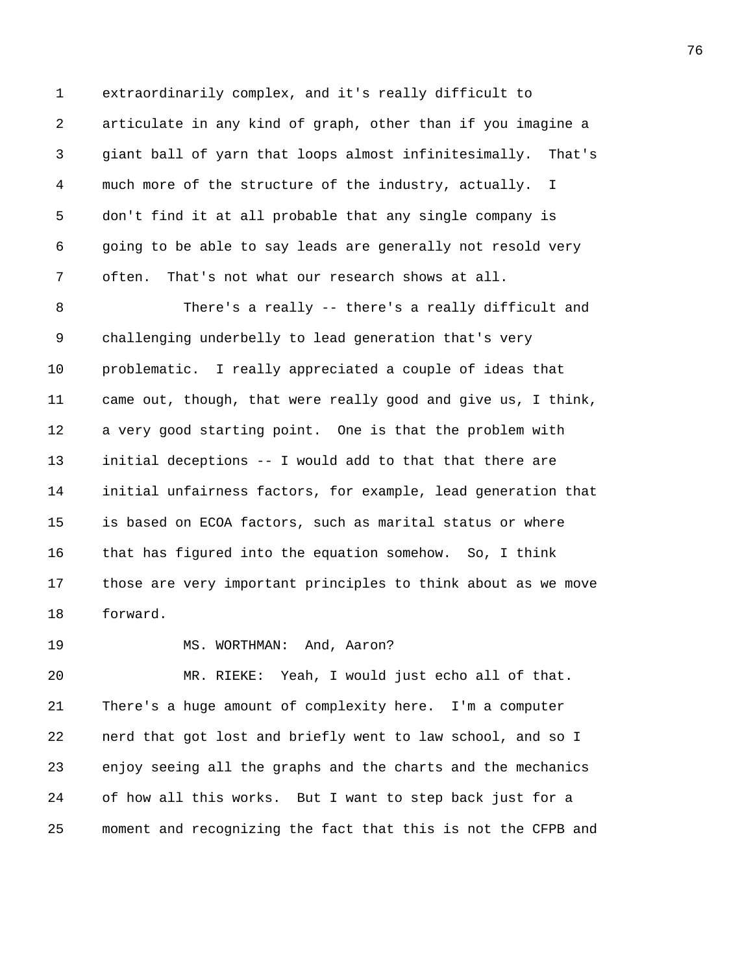1 extraordinarily complex, and it's really difficult to 2 articulate in any kind of graph, other than if you imagine a 3 giant ball of yarn that loops almost infinitesimally. That's 4 much more of the structure of the industry, actually. I 5 don't find it at all probable that any single company is 6 going to be able to say leads are generally not resold very 7 often. That's not what our research shows at all.

8 There's a really -- there's a really difficult and 9 challenging underbelly to lead generation that's very 10 problematic. I really appreciated a couple of ideas that 11 came out, though, that were really good and give us, I think, 12 a very good starting point. One is that the problem with 13 initial deceptions -- I would add to that that there are 14 initial unfairness factors, for example, lead generation that 15 is based on ECOA factors, such as marital status or where 16 that has figured into the equation somehow. So, I think 17 those are very important principles to think about as we move 18 forward.

19 MS. WORTHMAN: And, Aaron?

20 MR. RIEKE: Yeah, I would just echo all of that. 21 There's a huge amount of complexity here. I'm a computer 22 nerd that got lost and briefly went to law school, and so I 23 enjoy seeing all the graphs and the charts and the mechanics 24 of how all this works. But I want to step back just for a 25 moment and recognizing the fact that this is not the CFPB and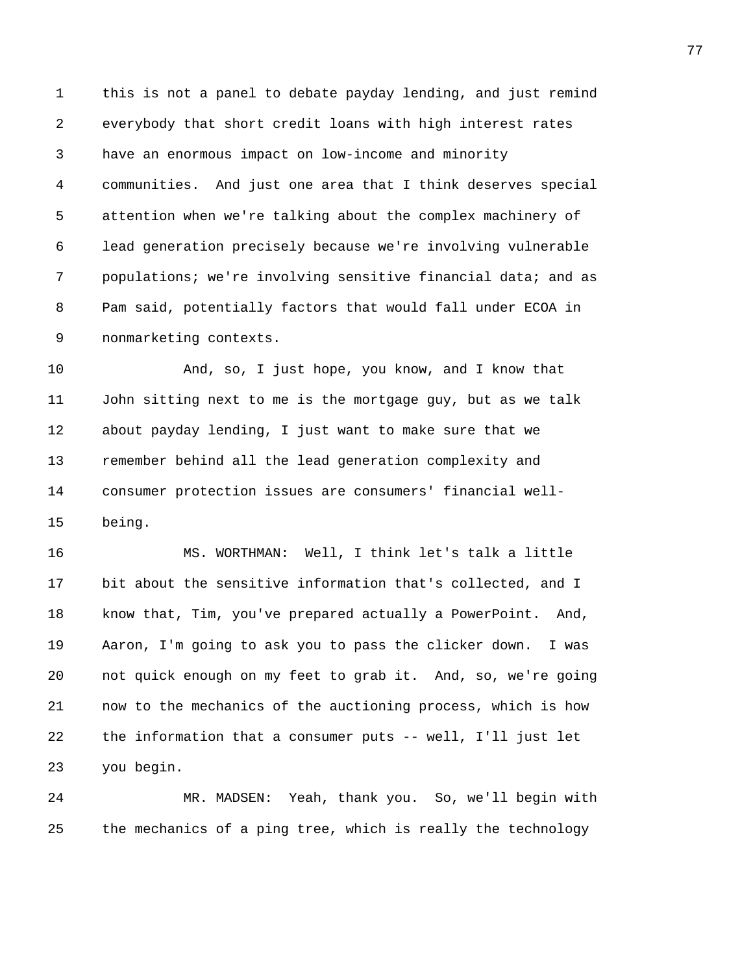1 this is not a panel to debate payday lending, and just remind 2 everybody that short credit loans with high interest rates 3 have an enormous impact on low-income and minority 4 communities. And just one area that I think deserves special 5 attention when we're talking about the complex machinery of 6 lead generation precisely because we're involving vulnerable 7 populations; we're involving sensitive financial data; and as 8 Pam said, potentially factors that would fall under ECOA in 9 nonmarketing contexts.

10 And, so, I just hope, you know, and I know that 11 John sitting next to me is the mortgage guy, but as we talk 12 about payday lending, I just want to make sure that we 13 remember behind all the lead generation complexity and 14 consumer protection issues are consumers' financial well-15 being.

16 MS. WORTHMAN: Well, I think let's talk a little 17 bit about the sensitive information that's collected, and I 18 know that, Tim, you've prepared actually a PowerPoint. And, 19 Aaron, I'm going to ask you to pass the clicker down. I was 20 not quick enough on my feet to grab it. And, so, we're going 21 now to the mechanics of the auctioning process, which is how 22 the information that a consumer puts -- well, I'll just let 23 you begin.

24 MR. MADSEN: Yeah, thank you. So, we'll begin with 25 the mechanics of a ping tree, which is really the technology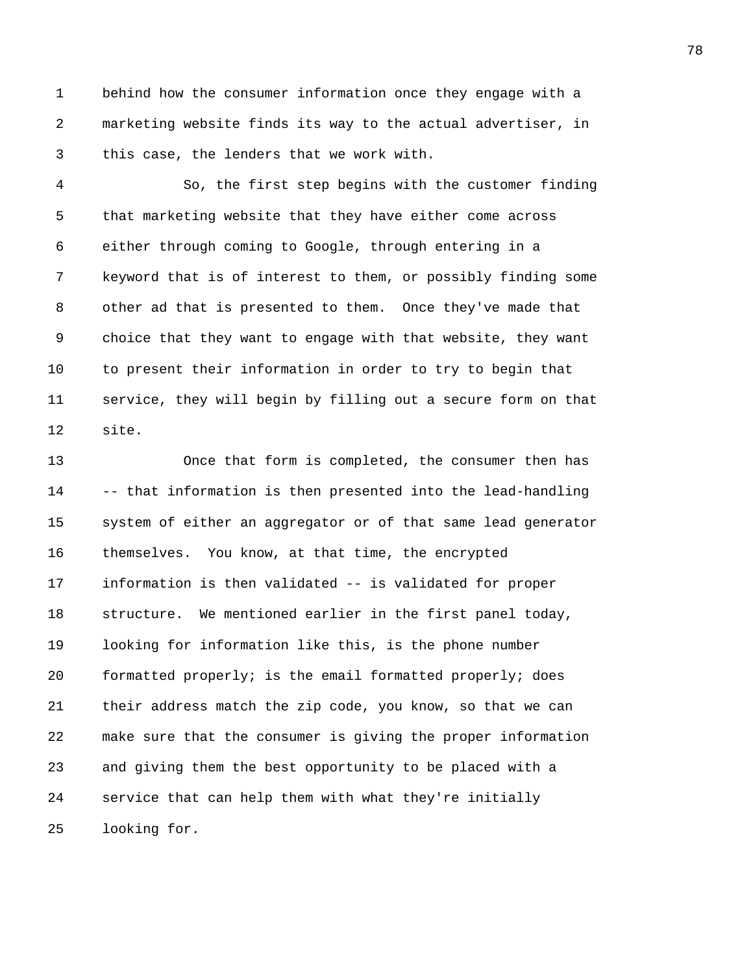1 behind how the consumer information once they engage with a 2 marketing website finds its way to the actual advertiser, in 3 this case, the lenders that we work with.

4 So, the first step begins with the customer finding 5 that marketing website that they have either come across 6 either through coming to Google, through entering in a 7 keyword that is of interest to them, or possibly finding some 8 other ad that is presented to them. Once they've made that 9 choice that they want to engage with that website, they want 10 to present their information in order to try to begin that 11 service, they will begin by filling out a secure form on that 12 site.

13 Once that form is completed, the consumer then has 14 -- that information is then presented into the lead-handling 15 system of either an aggregator or of that same lead generator 16 themselves. You know, at that time, the encrypted 17 information is then validated -- is validated for proper 18 structure. We mentioned earlier in the first panel today, 19 looking for information like this, is the phone number 20 formatted properly; is the email formatted properly; does 21 their address match the zip code, you know, so that we can 22 make sure that the consumer is giving the proper information 23 and giving them the best opportunity to be placed with a 24 service that can help them with what they're initially 25 looking for.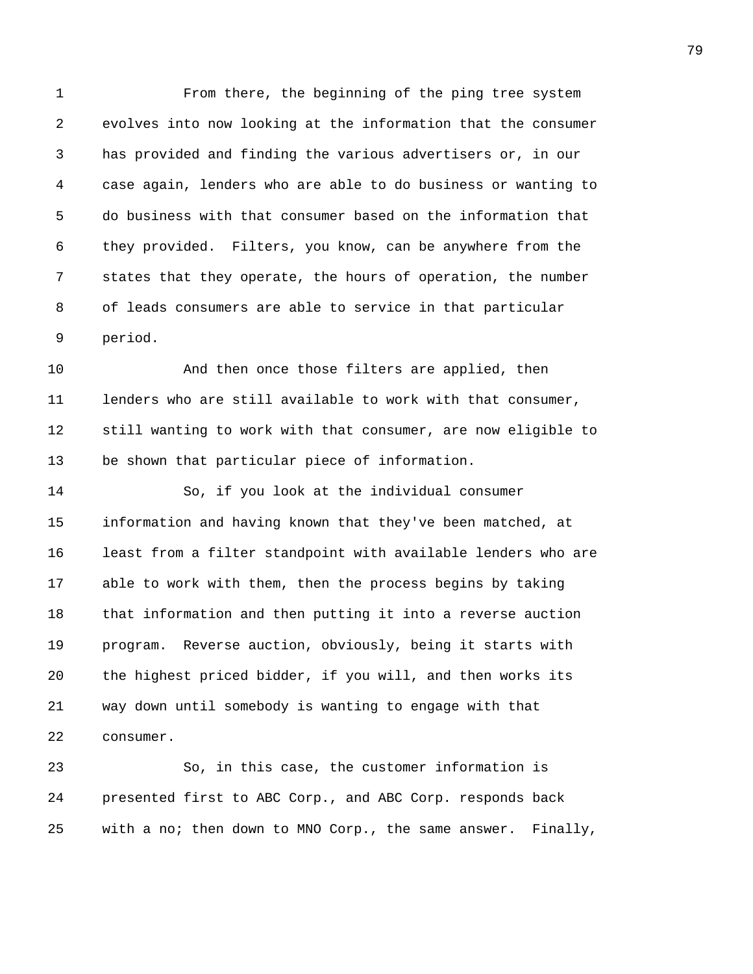1 From there, the beginning of the ping tree system 2 evolves into now looking at the information that the consumer 3 has provided and finding the various advertisers or, in our 4 case again, lenders who are able to do business or wanting to 5 do business with that consumer based on the information that 6 they provided. Filters, you know, can be anywhere from the 7 states that they operate, the hours of operation, the number 8 of leads consumers are able to service in that particular 9 period.

10 And then once those filters are applied, then 11 lenders who are still available to work with that consumer, 12 still wanting to work with that consumer, are now eligible to 13 be shown that particular piece of information.

14 So, if you look at the individual consumer 15 information and having known that they've been matched, at 16 least from a filter standpoint with available lenders who are 17 able to work with them, then the process begins by taking 18 that information and then putting it into a reverse auction 19 program. Reverse auction, obviously, being it starts with 20 the highest priced bidder, if you will, and then works its 21 way down until somebody is wanting to engage with that 22 consumer.

23 So, in this case, the customer information is 24 presented first to ABC Corp., and ABC Corp. responds back 25 with a no; then down to MNO Corp., the same answer. Finally,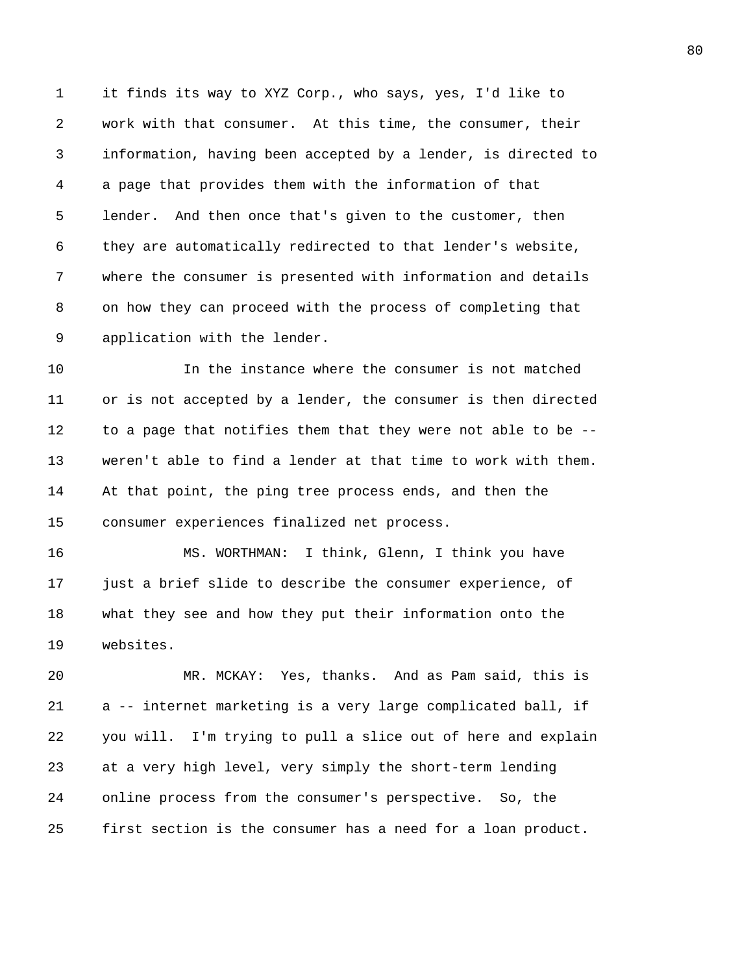1 it finds its way to XYZ Corp., who says, yes, I'd like to 2 work with that consumer. At this time, the consumer, their 3 information, having been accepted by a lender, is directed to 4 a page that provides them with the information of that 5 lender. And then once that's given to the customer, then 6 they are automatically redirected to that lender's website, 7 where the consumer is presented with information and details 8 on how they can proceed with the process of completing that 9 application with the lender.

10 In the instance where the consumer is not matched 11 or is not accepted by a lender, the consumer is then directed 12 to a page that notifies them that they were not able to be -- 13 weren't able to find a lender at that time to work with them. 14 At that point, the ping tree process ends, and then the 15 consumer experiences finalized net process.

16 MS. WORTHMAN: I think, Glenn, I think you have 17 just a brief slide to describe the consumer experience, of 18 what they see and how they put their information onto the 19 websites.

20 MR. MCKAY: Yes, thanks. And as Pam said, this is 21 a -- internet marketing is a very large complicated ball, if 22 you will. I'm trying to pull a slice out of here and explain 23 at a very high level, very simply the short-term lending 24 online process from the consumer's perspective. So, the 25 first section is the consumer has a need for a loan product.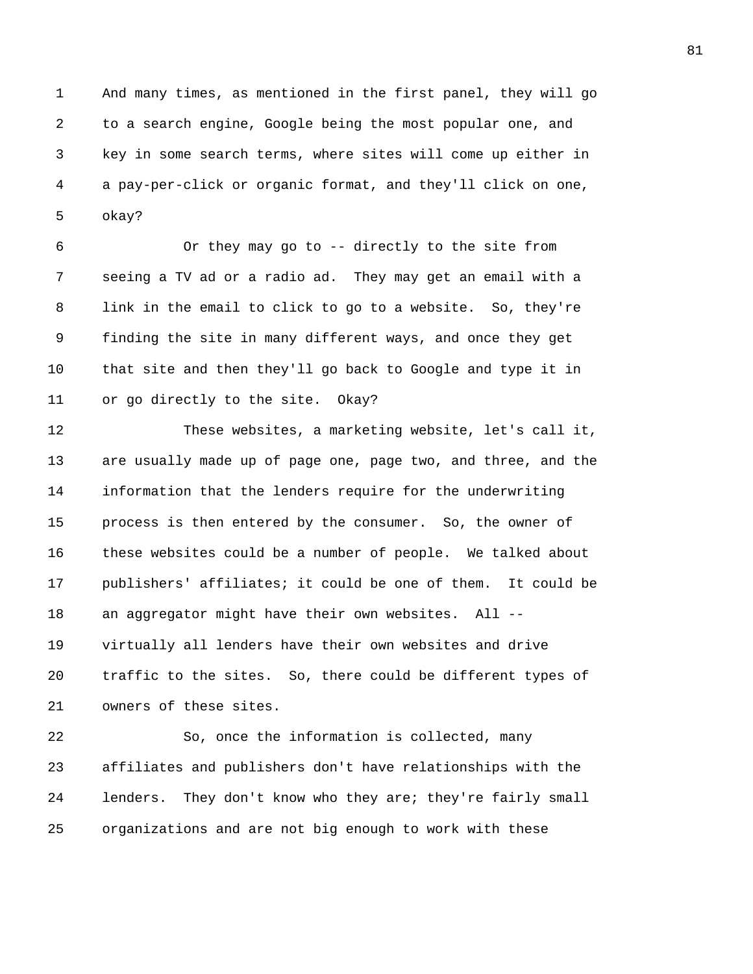1 And many times, as mentioned in the first panel, they will go 2 to a search engine, Google being the most popular one, and 3 key in some search terms, where sites will come up either in 4 a pay-per-click or organic format, and they'll click on one, 5 okay?

6 Or they may go to -- directly to the site from 7 seeing a TV ad or a radio ad. They may get an email with a 8 link in the email to click to go to a website. So, they're 9 finding the site in many different ways, and once they get 10 that site and then they'll go back to Google and type it in 11 or go directly to the site. Okay?

12 These websites, a marketing website, let's call it, 13 are usually made up of page one, page two, and three, and the 14 information that the lenders require for the underwriting 15 process is then entered by the consumer. So, the owner of 16 these websites could be a number of people. We talked about 17 publishers' affiliates; it could be one of them. It could be 18 an aggregator might have their own websites. All -- 19 virtually all lenders have their own websites and drive 20 traffic to the sites. So, there could be different types of 21 owners of these sites.

22 So, once the information is collected, many 23 affiliates and publishers don't have relationships with the 24 lenders. They don't know who they are; they're fairly small 25 organizations and are not big enough to work with these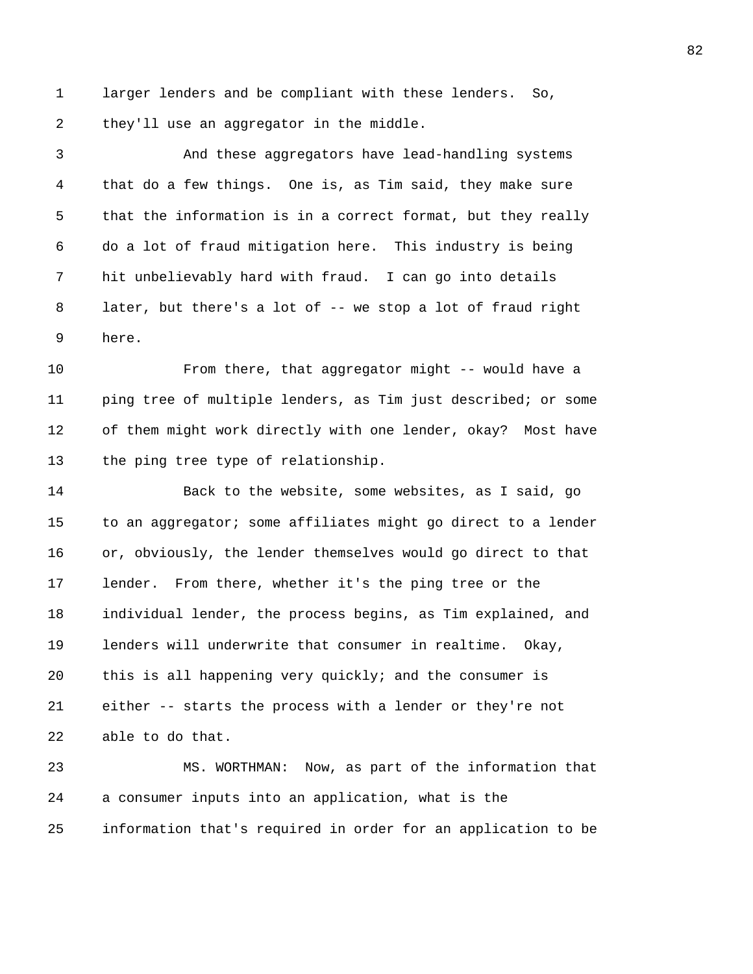1 larger lenders and be compliant with these lenders. So, 2 they'll use an aggregator in the middle.

3 And these aggregators have lead-handling systems 4 that do a few things. One is, as Tim said, they make sure 5 that the information is in a correct format, but they really 6 do a lot of fraud mitigation here. This industry is being 7 hit unbelievably hard with fraud. I can go into details 8 later, but there's a lot of -- we stop a lot of fraud right 9 here.

10 From there, that aggregator might -- would have a 11 ping tree of multiple lenders, as Tim just described; or some 12 of them might work directly with one lender, okay? Most have 13 the ping tree type of relationship.

14 Back to the website, some websites, as I said, go 15 to an aggregator; some affiliates might go direct to a lender 16 or, obviously, the lender themselves would go direct to that 17 lender. From there, whether it's the ping tree or the 18 individual lender, the process begins, as Tim explained, and 19 lenders will underwrite that consumer in realtime. Okay, 20 this is all happening very quickly; and the consumer is 21 either -- starts the process with a lender or they're not 22 able to do that.

23 MS. WORTHMAN: Now, as part of the information that 24 a consumer inputs into an application, what is the 25 information that's required in order for an application to be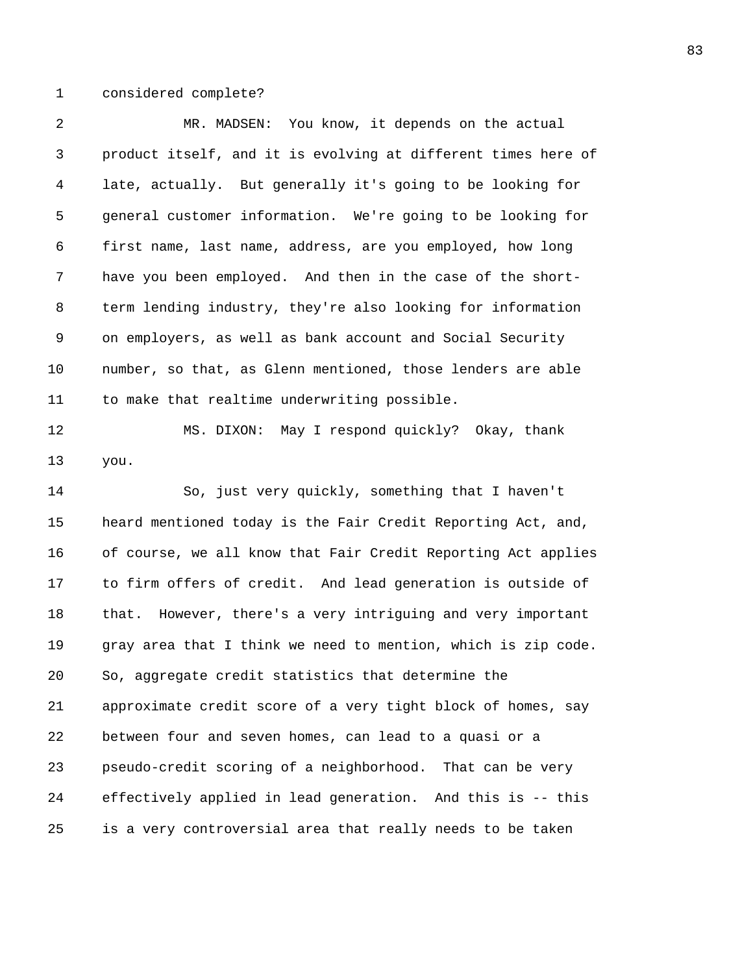1 considered complete?

| 2  | MR. MADSEN: You know, it depends on the actual                |
|----|---------------------------------------------------------------|
| 3  | product itself, and it is evolving at different times here of |
| 4  | late, actually. But generally it's going to be looking for    |
| 5  | general customer information. We're going to be looking for   |
| 6  | first name, last name, address, are you employed, how long    |
| 7  | have you been employed. And then in the case of the short-    |
| 8  | term lending industry, they're also looking for information   |
| 9  | on employers, as well as bank account and Social Security     |
| 10 | number, so that, as Glenn mentioned, those lenders are able   |
| 11 | to make that realtime underwriting possible.                  |
| 12 | MS. DIXON: May I respond quickly? Okay, thank                 |
| 13 | you.                                                          |
| 14 | So, just very quickly, something that I haven't               |
| 15 | heard mentioned today is the Fair Credit Reporting Act, and,  |
| 16 | of course, we all know that Fair Credit Reporting Act applies |
| 17 | to firm offers of credit. And lead generation is outside of   |
| 18 | that. However, there's a very intriguing and very important   |
| 19 | gray area that I think we need to mention, which is zip code. |
| 20 | So, aggregate credit statistics that determine the            |
| 21 | approximate credit score of a very tight block of homes, say  |
| 22 | between four and seven homes, can lead to a quasi or a        |
| 23 | pseudo-credit scoring of a neighborhood. That can be very     |
| 24 | effectively applied in lead generation. And this is -- this   |
| 25 | is a very controversial area that really needs to be taken    |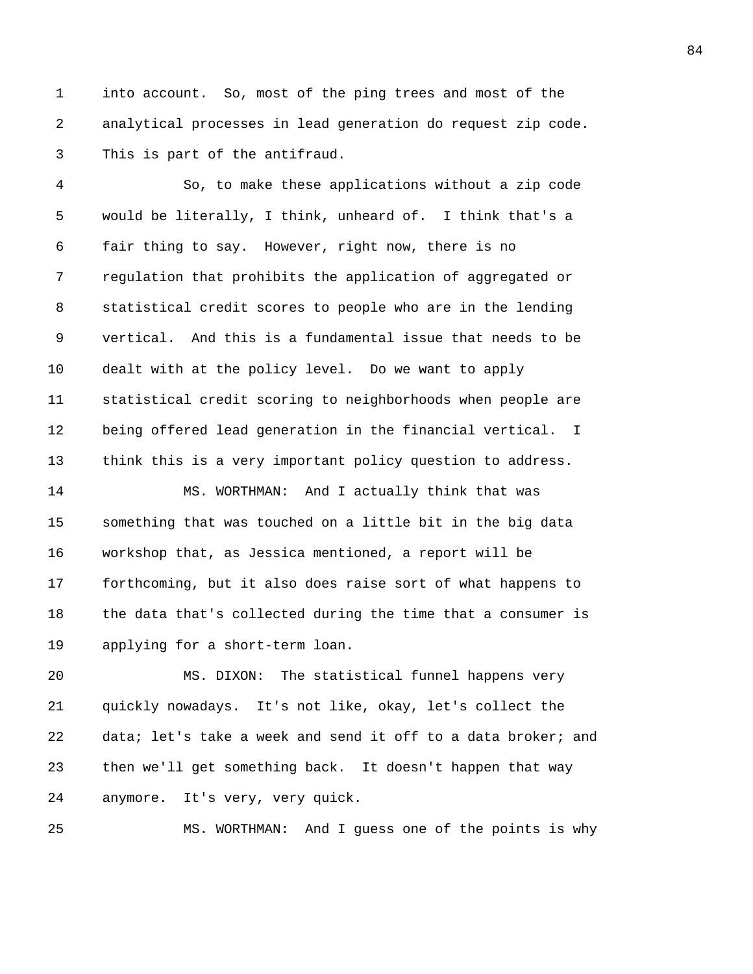1 into account. So, most of the ping trees and most of the 2 analytical processes in lead generation do request zip code. 3 This is part of the antifraud.

4 So, to make these applications without a zip code 5 would be literally, I think, unheard of. I think that's a 6 fair thing to say. However, right now, there is no 7 regulation that prohibits the application of aggregated or 8 statistical credit scores to people who are in the lending 9 vertical. And this is a fundamental issue that needs to be 10 dealt with at the policy level. Do we want to apply 11 statistical credit scoring to neighborhoods when people are 12 being offered lead generation in the financial vertical. I 13 think this is a very important policy question to address. 14 MS. WORTHMAN: And I actually think that was 15 something that was touched on a little bit in the big data 16 workshop that, as Jessica mentioned, a report will be

17 forthcoming, but it also does raise sort of what happens to 18 the data that's collected during the time that a consumer is 19 applying for a short-term loan.

20 MS. DIXON: The statistical funnel happens very 21 quickly nowadays. It's not like, okay, let's collect the 22 data; let's take a week and send it off to a data broker; and 23 then we'll get something back. It doesn't happen that way 24 anymore. It's very, very quick.

25 MS. WORTHMAN: And I guess one of the points is why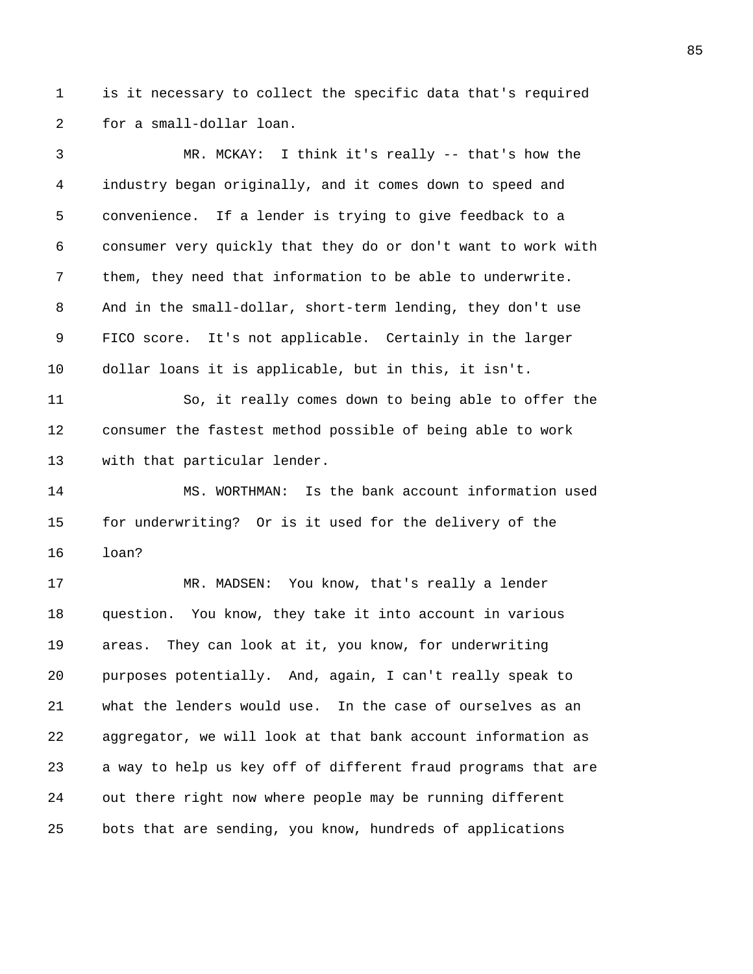1 is it necessary to collect the specific data that's required 2 for a small-dollar loan.

3 MR. MCKAY: I think it's really -- that's how the 4 industry began originally, and it comes down to speed and 5 convenience. If a lender is trying to give feedback to a 6 consumer very quickly that they do or don't want to work with 7 them, they need that information to be able to underwrite. 8 And in the small-dollar, short-term lending, they don't use 9 FICO score. It's not applicable. Certainly in the larger 10 dollar loans it is applicable, but in this, it isn't. 11 So, it really comes down to being able to offer the 12 consumer the fastest method possible of being able to work

13 with that particular lender.

14 MS. WORTHMAN: Is the bank account information used 15 for underwriting? Or is it used for the delivery of the 16 loan?

17 MR. MADSEN: You know, that's really a lender 18 question. You know, they take it into account in various 19 areas. They can look at it, you know, for underwriting 20 purposes potentially. And, again, I can't really speak to 21 what the lenders would use. In the case of ourselves as an 22 aggregator, we will look at that bank account information as 23 a way to help us key off of different fraud programs that are 24 out there right now where people may be running different 25 bots that are sending, you know, hundreds of applications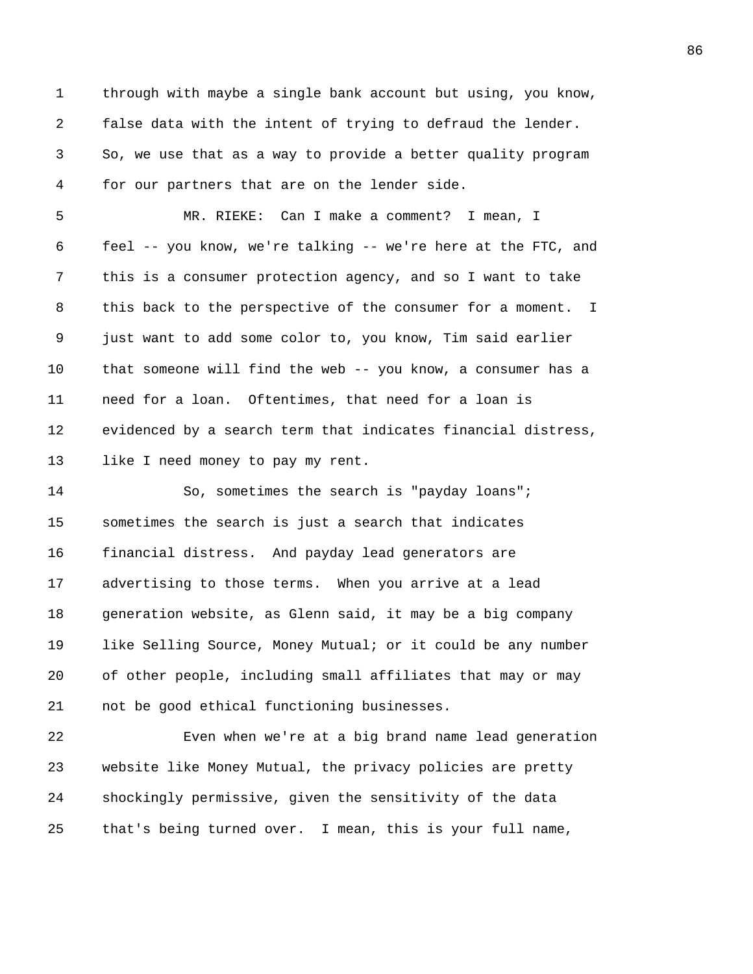1 through with maybe a single bank account but using, you know, 2 false data with the intent of trying to defraud the lender. 3 So, we use that as a way to provide a better quality program 4 for our partners that are on the lender side.

5 MR. RIEKE: Can I make a comment? I mean, I 6 feel -- you know, we're talking -- we're here at the FTC, and 7 this is a consumer protection agency, and so I want to take 8 this back to the perspective of the consumer for a moment. I 9 just want to add some color to, you know, Tim said earlier 10 that someone will find the web -- you know, a consumer has a 11 need for a loan. Oftentimes, that need for a loan is 12 evidenced by a search term that indicates financial distress, 13 like I need money to pay my rent.

14 So, sometimes the search is "payday loans"; 15 sometimes the search is just a search that indicates 16 financial distress. And payday lead generators are 17 advertising to those terms. When you arrive at a lead 18 generation website, as Glenn said, it may be a big company 19 like Selling Source, Money Mutual; or it could be any number 20 of other people, including small affiliates that may or may 21 not be good ethical functioning businesses.

22 Even when we're at a big brand name lead generation 23 website like Money Mutual, the privacy policies are pretty 24 shockingly permissive, given the sensitivity of the data 25 that's being turned over. I mean, this is your full name,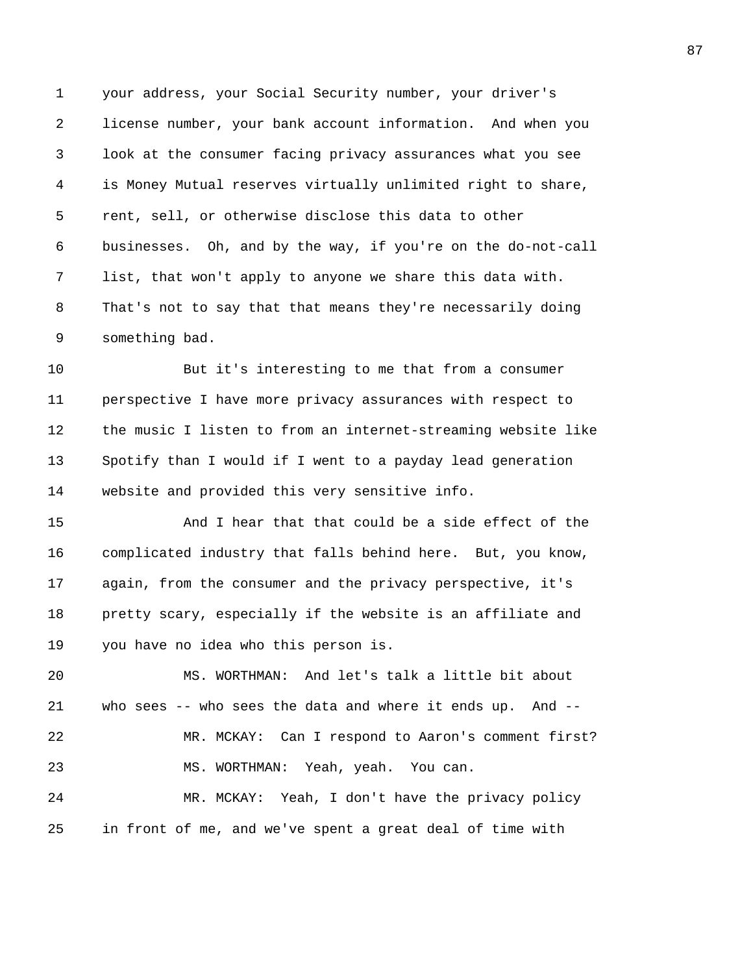1 your address, your Social Security number, your driver's 2 license number, your bank account information. And when you 3 look at the consumer facing privacy assurances what you see 4 is Money Mutual reserves virtually unlimited right to share, 5 rent, sell, or otherwise disclose this data to other 6 businesses. Oh, and by the way, if you're on the do-not-call 7 list, that won't apply to anyone we share this data with. 8 That's not to say that that means they're necessarily doing 9 something bad.

10 But it's interesting to me that from a consumer 11 perspective I have more privacy assurances with respect to 12 the music I listen to from an internet-streaming website like 13 Spotify than I would if I went to a payday lead generation 14 website and provided this very sensitive info.

15 And I hear that that could be a side effect of the 16 complicated industry that falls behind here. But, you know, 17 again, from the consumer and the privacy perspective, it's 18 pretty scary, especially if the website is an affiliate and 19 you have no idea who this person is.

20 MS. WORTHMAN: And let's talk a little bit about 21 who sees -- who sees the data and where it ends up. And -- 22 MR. MCKAY: Can I respond to Aaron's comment first? 23 MS. WORTHMAN: Yeah, yeah. You can. 24 MR. MCKAY: Yeah, I don't have the privacy policy 25 in front of me, and we've spent a great deal of time with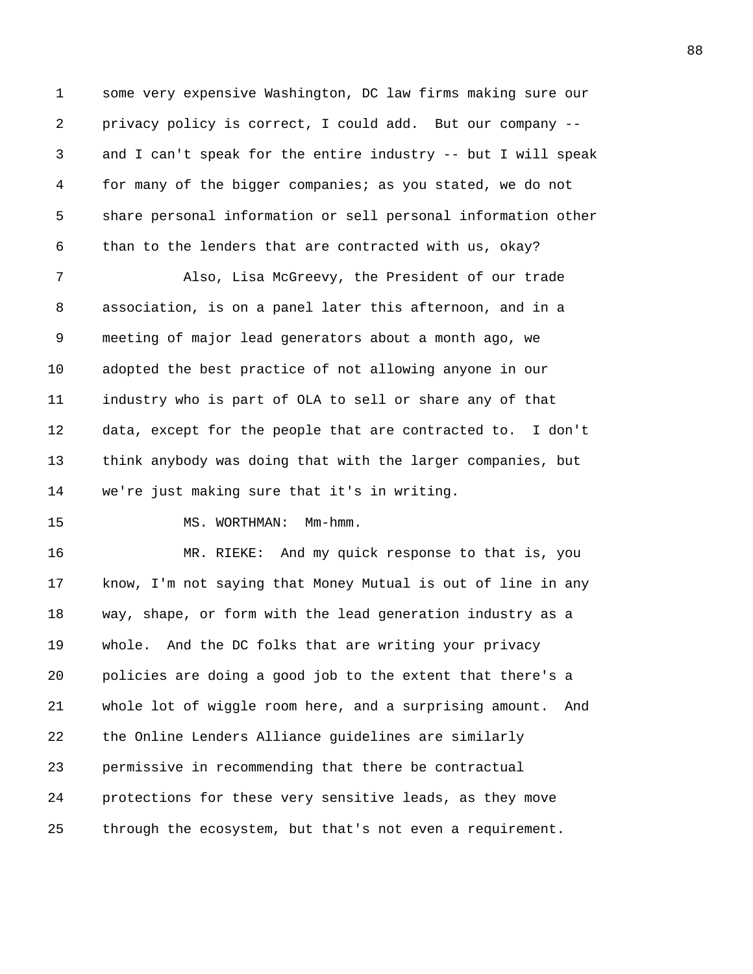1 some very expensive Washington, DC law firms making sure our 2 privacy policy is correct, I could add. But our company -- 3 and I can't speak for the entire industry -- but I will speak 4 for many of the bigger companies; as you stated, we do not 5 share personal information or sell personal information other 6 than to the lenders that are contracted with us, okay?

7 Also, Lisa McGreevy, the President of our trade 8 association, is on a panel later this afternoon, and in a 9 meeting of major lead generators about a month ago, we 10 adopted the best practice of not allowing anyone in our 11 industry who is part of OLA to sell or share any of that 12 data, except for the people that are contracted to. I don't 13 think anybody was doing that with the larger companies, but 14 we're just making sure that it's in writing.

15 MS. WORTHMAN: Mm-hmm.

16 MR. RIEKE: And my quick response to that is, you 17 know, I'm not saying that Money Mutual is out of line in any 18 way, shape, or form with the lead generation industry as a 19 whole. And the DC folks that are writing your privacy 20 policies are doing a good job to the extent that there's a 21 whole lot of wiggle room here, and a surprising amount. And 22 the Online Lenders Alliance guidelines are similarly 23 permissive in recommending that there be contractual 24 protections for these very sensitive leads, as they move 25 through the ecosystem, but that's not even a requirement.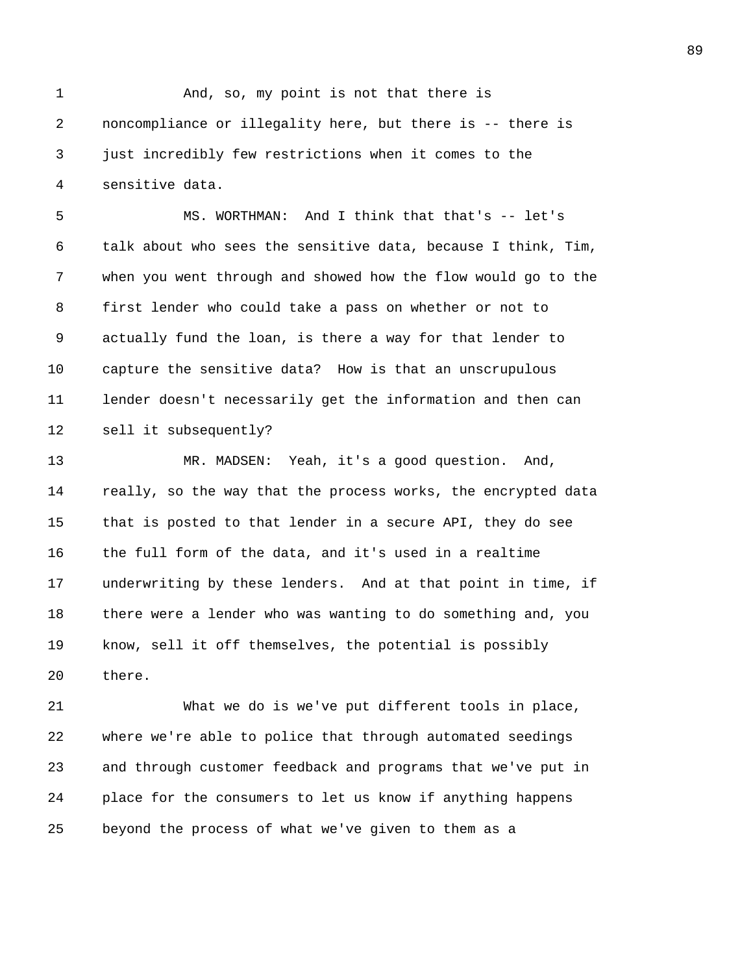1 And, so, my point is not that there is 2 noncompliance or illegality here, but there is -- there is 3 just incredibly few restrictions when it comes to the 4 sensitive data.

5 MS. WORTHMAN: And I think that that's -- let's 6 talk about who sees the sensitive data, because I think, Tim, 7 when you went through and showed how the flow would go to the 8 first lender who could take a pass on whether or not to 9 actually fund the loan, is there a way for that lender to 10 capture the sensitive data? How is that an unscrupulous 11 lender doesn't necessarily get the information and then can 12 sell it subsequently?

13 MR. MADSEN: Yeah, it's a good question. And, 14 really, so the way that the process works, the encrypted data 15 that is posted to that lender in a secure API, they do see 16 the full form of the data, and it's used in a realtime 17 underwriting by these lenders. And at that point in time, if 18 there were a lender who was wanting to do something and, you 19 know, sell it off themselves, the potential is possibly 20 there.

21 What we do is we've put different tools in place, 22 where we're able to police that through automated seedings 23 and through customer feedback and programs that we've put in 24 place for the consumers to let us know if anything happens 25 beyond the process of what we've given to them as a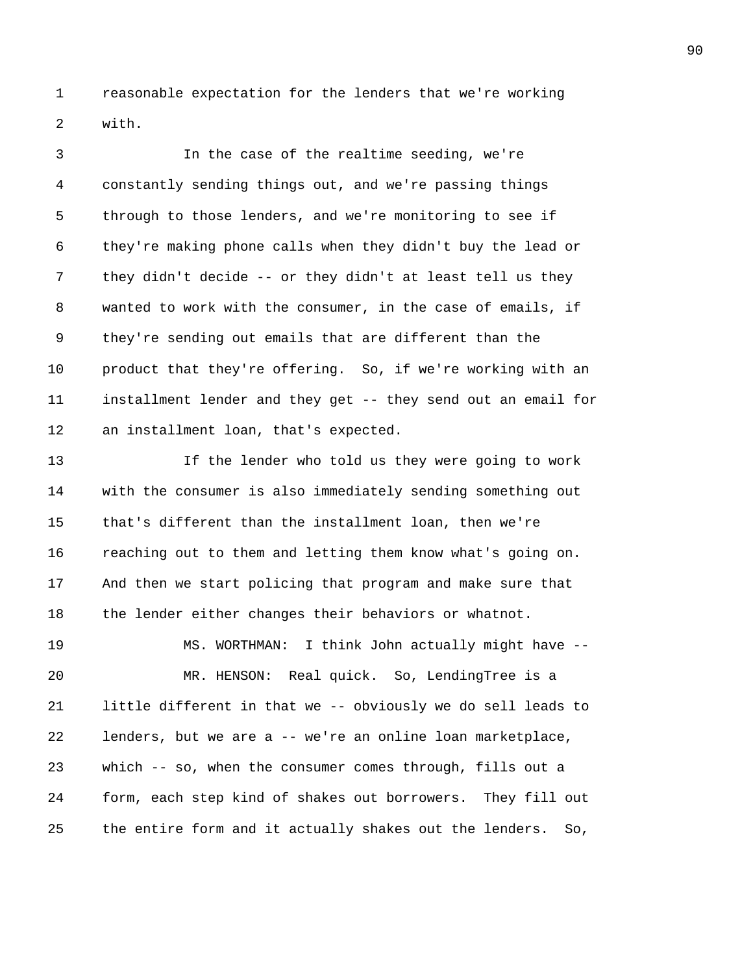1 reasonable expectation for the lenders that we're working 2 with.

3 In the case of the realtime seeding, we're 4 constantly sending things out, and we're passing things 5 through to those lenders, and we're monitoring to see if 6 they're making phone calls when they didn't buy the lead or 7 they didn't decide -- or they didn't at least tell us they 8 wanted to work with the consumer, in the case of emails, if 9 they're sending out emails that are different than the 10 product that they're offering. So, if we're working with an 11 installment lender and they get -- they send out an email for 12 an installment loan, that's expected.

13 If the lender who told us they were going to work 14 with the consumer is also immediately sending something out 15 that's different than the installment loan, then we're 16 reaching out to them and letting them know what's going on. 17 And then we start policing that program and make sure that 18 the lender either changes their behaviors or whatnot.

19 MS. WORTHMAN: I think John actually might have -- 20 MR. HENSON: Real quick. So, LendingTree is a 21 little different in that we -- obviously we do sell leads to 22 lenders, but we are a -- we're an online loan marketplace, 23 which -- so, when the consumer comes through, fills out a 24 form, each step kind of shakes out borrowers. They fill out 25 the entire form and it actually shakes out the lenders. So,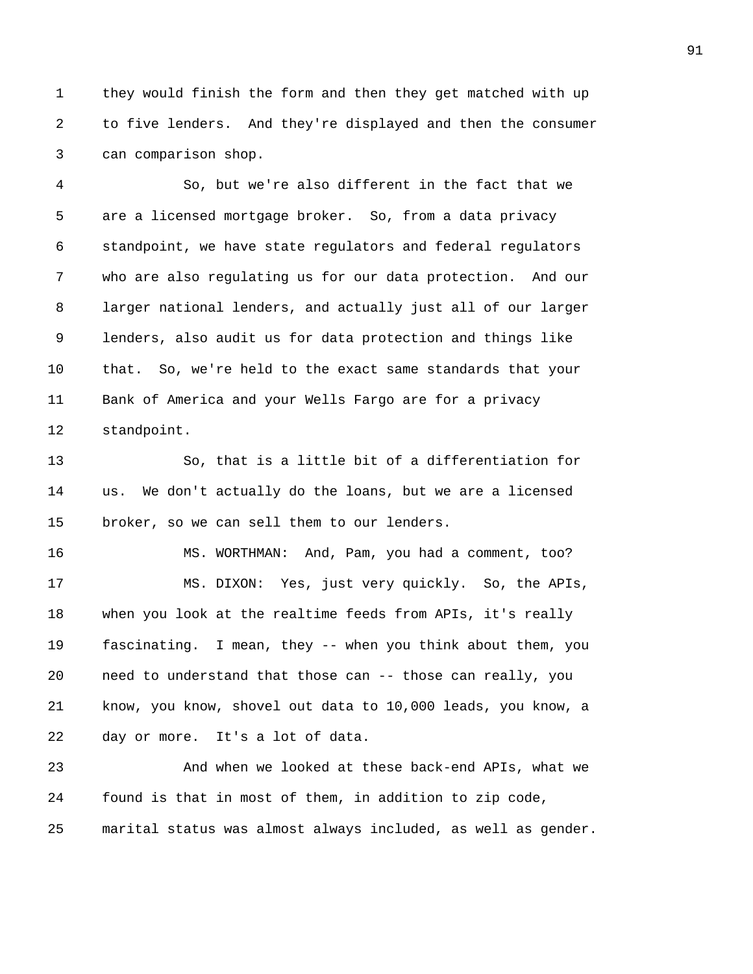1 they would finish the form and then they get matched with up 2 to five lenders. And they're displayed and then the consumer 3 can comparison shop.

4 So, but we're also different in the fact that we 5 are a licensed mortgage broker. So, from a data privacy 6 standpoint, we have state regulators and federal regulators 7 who are also regulating us for our data protection. And our 8 larger national lenders, and actually just all of our larger 9 lenders, also audit us for data protection and things like 10 that. So, we're held to the exact same standards that your 11 Bank of America and your Wells Fargo are for a privacy 12 standpoint.

13 So, that is a little bit of a differentiation for 14 us. We don't actually do the loans, but we are a licensed 15 broker, so we can sell them to our lenders.

16 MS. WORTHMAN: And, Pam, you had a comment, too? 17 MS. DIXON: Yes, just very quickly. So, the APIs, 18 when you look at the realtime feeds from APIs, it's really 19 fascinating. I mean, they -- when you think about them, you 20 need to understand that those can -- those can really, you 21 know, you know, shovel out data to 10,000 leads, you know, a 22 day or more. It's a lot of data.

23 And when we looked at these back-end APIs, what we 24 found is that in most of them, in addition to zip code, 25 marital status was almost always included, as well as gender.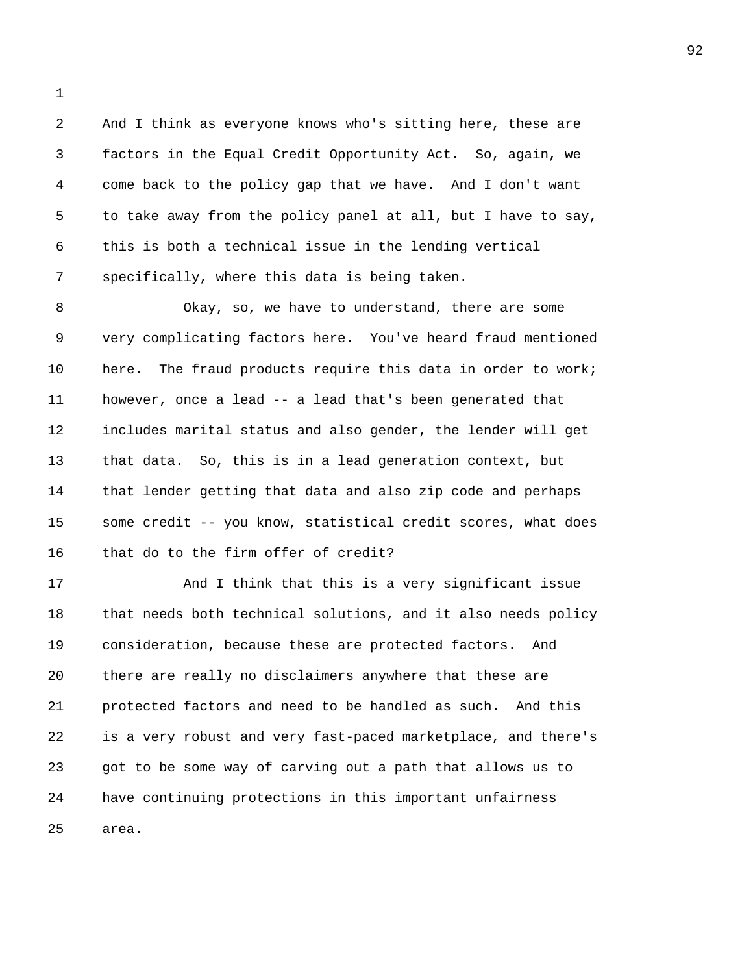2 And I think as everyone knows who's sitting here, these are 3 factors in the Equal Credit Opportunity Act. So, again, we 4 come back to the policy gap that we have. And I don't want 5 to take away from the policy panel at all, but I have to say, 6 this is both a technical issue in the lending vertical 7 specifically, where this data is being taken.

8 Okay, so, we have to understand, there are some 9 very complicating factors here. You've heard fraud mentioned 10 here. The fraud products require this data in order to work; 11 however, once a lead -- a lead that's been generated that 12 includes marital status and also gender, the lender will get 13 that data. So, this is in a lead generation context, but 14 that lender getting that data and also zip code and perhaps 15 some credit -- you know, statistical credit scores, what does 16 that do to the firm offer of credit?

17 And I think that this is a very significant issue 18 that needs both technical solutions, and it also needs policy 19 consideration, because these are protected factors. And 20 there are really no disclaimers anywhere that these are 21 protected factors and need to be handled as such. And this 22 is a very robust and very fast-paced marketplace, and there's 23 got to be some way of carving out a path that allows us to 24 have continuing protections in this important unfairness 25 area.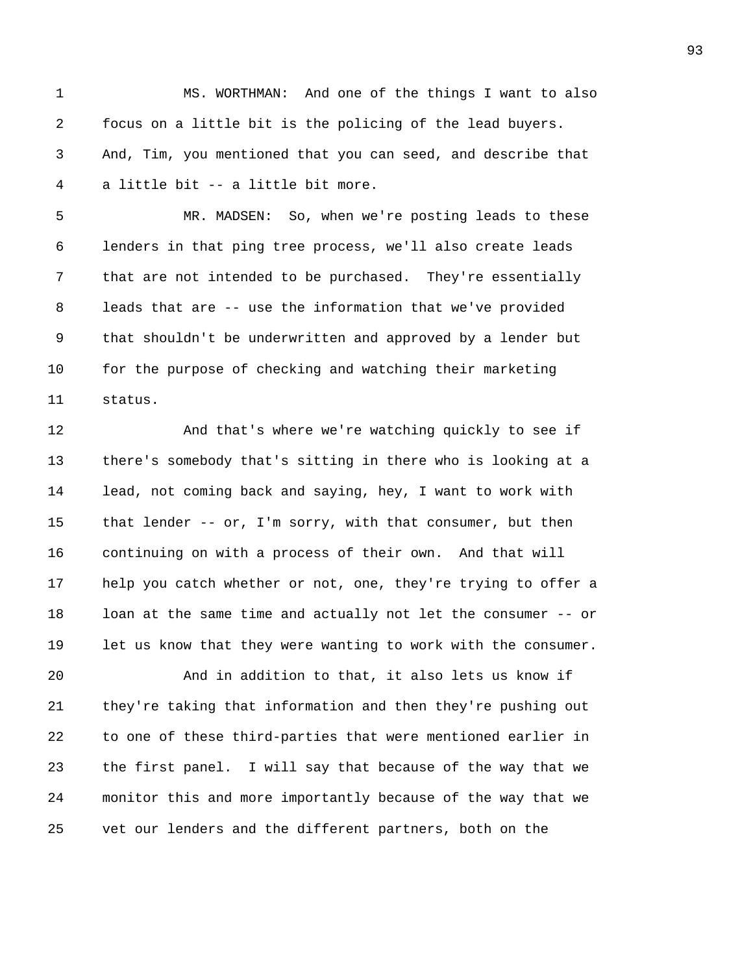1 MS. WORTHMAN: And one of the things I want to also 2 focus on a little bit is the policing of the lead buyers. 3 And, Tim, you mentioned that you can seed, and describe that 4 a little bit -- a little bit more.

5 MR. MADSEN: So, when we're posting leads to these 6 lenders in that ping tree process, we'll also create leads 7 that are not intended to be purchased. They're essentially 8 leads that are -- use the information that we've provided 9 that shouldn't be underwritten and approved by a lender but 10 for the purpose of checking and watching their marketing 11 status.

12 And that's where we're watching quickly to see if 13 there's somebody that's sitting in there who is looking at a 14 lead, not coming back and saying, hey, I want to work with 15 that lender -- or, I'm sorry, with that consumer, but then 16 continuing on with a process of their own. And that will 17 help you catch whether or not, one, they're trying to offer a 18 loan at the same time and actually not let the consumer -- or 19 let us know that they were wanting to work with the consumer.

20 And in addition to that, it also lets us know if 21 they're taking that information and then they're pushing out 22 to one of these third-parties that were mentioned earlier in 23 the first panel. I will say that because of the way that we 24 monitor this and more importantly because of the way that we 25 vet our lenders and the different partners, both on the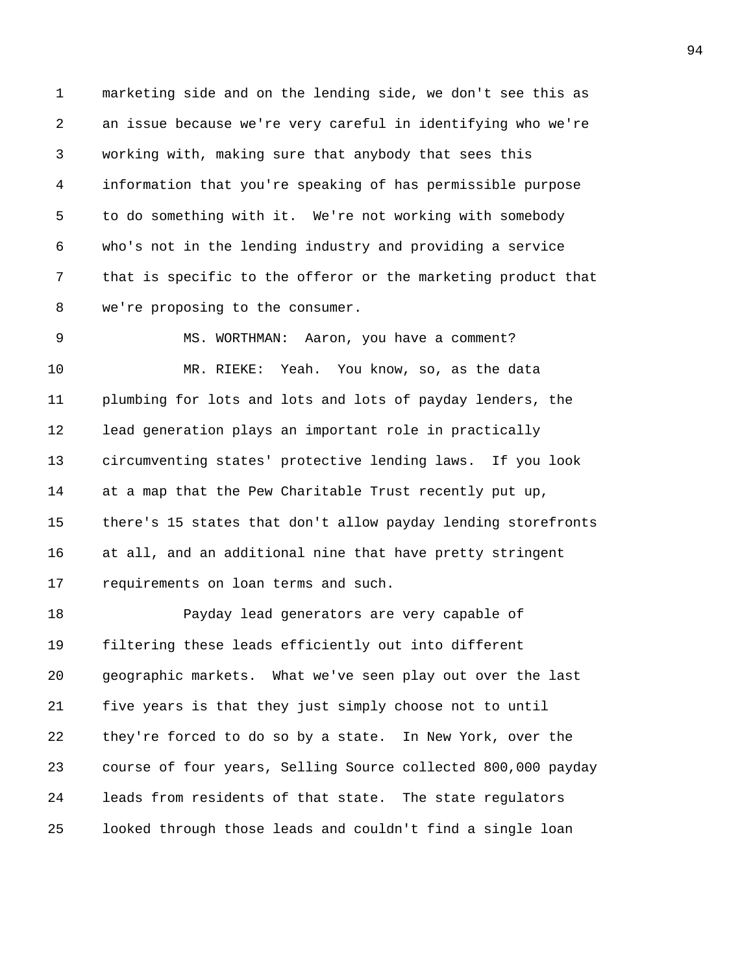1 marketing side and on the lending side, we don't see this as 2 an issue because we're very careful in identifying who we're 3 working with, making sure that anybody that sees this 4 information that you're speaking of has permissible purpose 5 to do something with it. We're not working with somebody 6 who's not in the lending industry and providing a service 7 that is specific to the offeror or the marketing product that 8 we're proposing to the consumer.

9 MS. WORTHMAN: Aaron, you have a comment? 10 MR. RIEKE: Yeah. You know, so, as the data 11 plumbing for lots and lots and lots of payday lenders, the 12 lead generation plays an important role in practically 13 circumventing states' protective lending laws. If you look 14 at a map that the Pew Charitable Trust recently put up, 15 there's 15 states that don't allow payday lending storefronts 16 at all, and an additional nine that have pretty stringent 17 requirements on loan terms and such.

18 Payday lead generators are very capable of 19 filtering these leads efficiently out into different 20 geographic markets. What we've seen play out over the last 21 five years is that they just simply choose not to until 22 they're forced to do so by a state. In New York, over the 23 course of four years, Selling Source collected 800,000 payday 24 leads from residents of that state. The state regulators 25 looked through those leads and couldn't find a single loan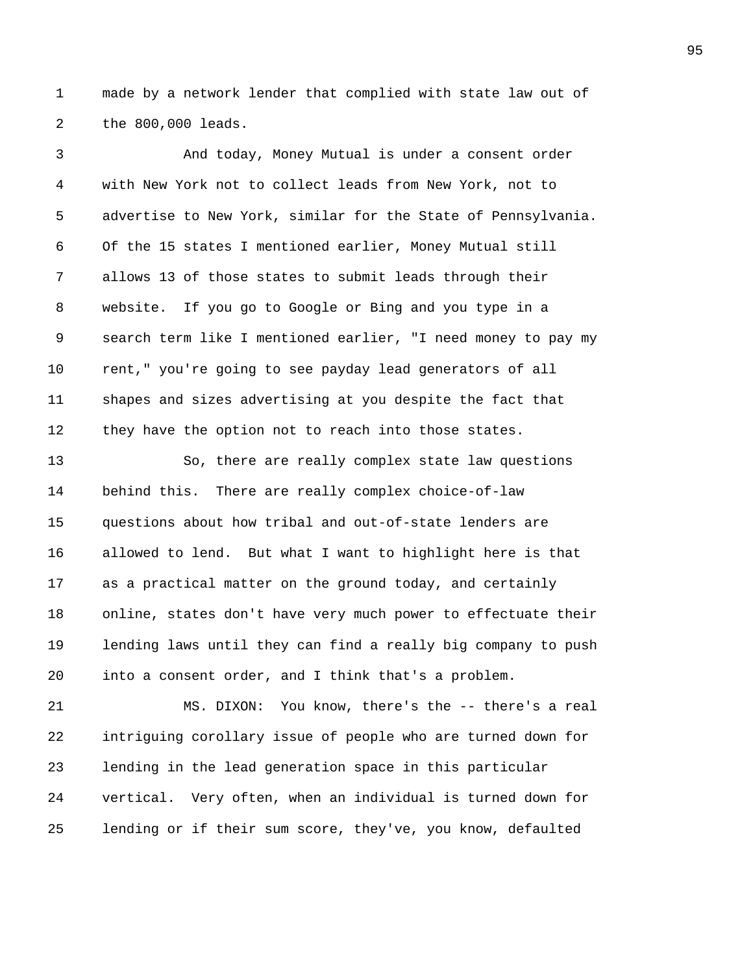1 made by a network lender that complied with state law out of 2 the 800,000 leads.

3 And today, Money Mutual is under a consent order 4 with New York not to collect leads from New York, not to 5 advertise to New York, similar for the State of Pennsylvania. 6 Of the 15 states I mentioned earlier, Money Mutual still 7 allows 13 of those states to submit leads through their 8 website. If you go to Google or Bing and you type in a 9 search term like I mentioned earlier, "I need money to pay my 10 rent," you're going to see payday lead generators of all 11 shapes and sizes advertising at you despite the fact that 12 they have the option not to reach into those states.

13 So, there are really complex state law questions 14 behind this. There are really complex choice-of-law 15 questions about how tribal and out-of-state lenders are 16 allowed to lend. But what I want to highlight here is that 17 as a practical matter on the ground today, and certainly 18 online, states don't have very much power to effectuate their 19 lending laws until they can find a really big company to push 20 into a consent order, and I think that's a problem.

21 MS. DIXON: You know, there's the -- there's a real 22 intriguing corollary issue of people who are turned down for 23 lending in the lead generation space in this particular 24 vertical. Very often, when an individual is turned down for 25 lending or if their sum score, they've, you know, defaulted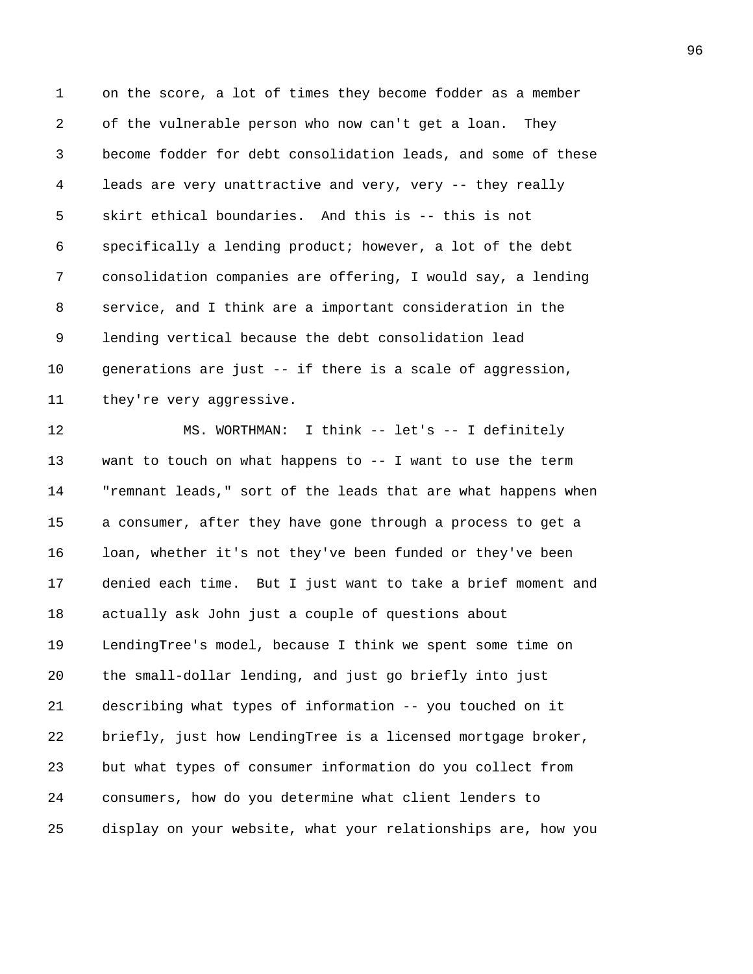1 on the score, a lot of times they become fodder as a member 2 of the vulnerable person who now can't get a loan. They 3 become fodder for debt consolidation leads, and some of these 4 leads are very unattractive and very, very -- they really 5 skirt ethical boundaries. And this is -- this is not 6 specifically a lending product; however, a lot of the debt 7 consolidation companies are offering, I would say, a lending 8 service, and I think are a important consideration in the 9 lending vertical because the debt consolidation lead 10 generations are just -- if there is a scale of aggression, 11 they're very aggressive.

12 MS. WORTHMAN: I think -- let's -- I definitely 13 want to touch on what happens to -- I want to use the term 14 "remnant leads," sort of the leads that are what happens when 15 a consumer, after they have gone through a process to get a 16 loan, whether it's not they've been funded or they've been 17 denied each time. But I just want to take a brief moment and 18 actually ask John just a couple of questions about 19 LendingTree's model, because I think we spent some time on 20 the small-dollar lending, and just go briefly into just 21 describing what types of information -- you touched on it 22 briefly, just how LendingTree is a licensed mortgage broker, 23 but what types of consumer information do you collect from 24 consumers, how do you determine what client lenders to 25 display on your website, what your relationships are, how you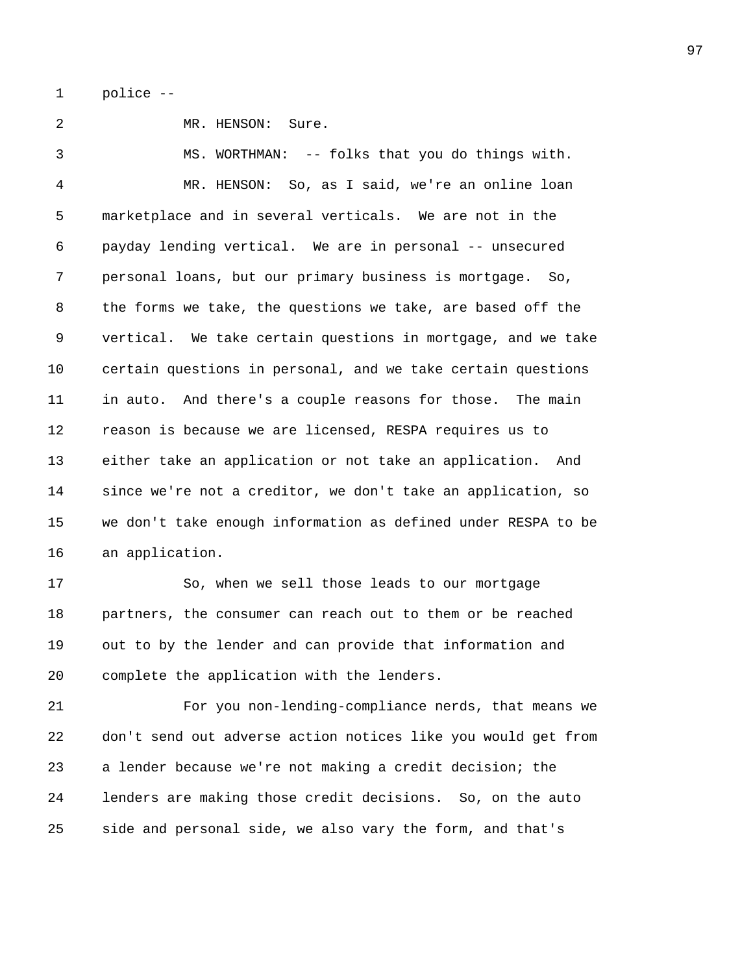1 police --

2 MR. HENSON: Sure.

3 MS. WORTHMAN: -- folks that you do things with. 4 MR. HENSON: So, as I said, we're an online loan 5 marketplace and in several verticals. We are not in the 6 payday lending vertical. We are in personal -- unsecured 7 personal loans, but our primary business is mortgage. So, 8 the forms we take, the questions we take, are based off the 9 vertical. We take certain questions in mortgage, and we take 10 certain questions in personal, and we take certain questions 11 in auto. And there's a couple reasons for those. The main 12 reason is because we are licensed, RESPA requires us to 13 either take an application or not take an application. And 14 since we're not a creditor, we don't take an application, so 15 we don't take enough information as defined under RESPA to be 16 an application.

17 So, when we sell those leads to our mortgage 18 partners, the consumer can reach out to them or be reached 19 out to by the lender and can provide that information and 20 complete the application with the lenders.

21 For you non-lending-compliance nerds, that means we 22 don't send out adverse action notices like you would get from 23 a lender because we're not making a credit decision; the 24 lenders are making those credit decisions. So, on the auto 25 side and personal side, we also vary the form, and that's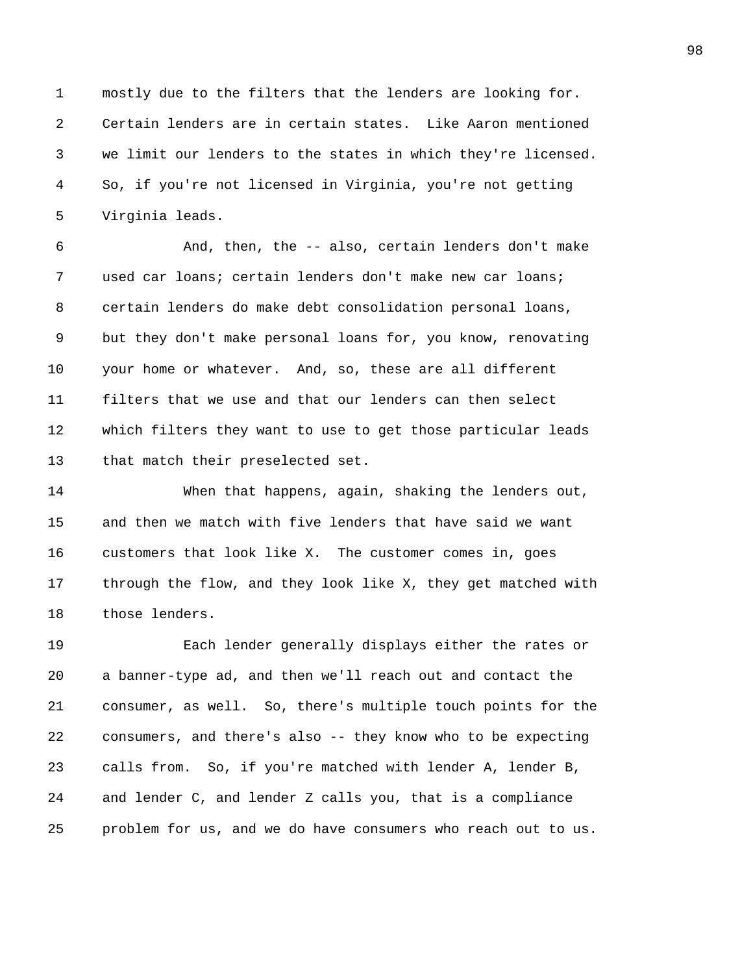1 mostly due to the filters that the lenders are looking for. 2 Certain lenders are in certain states. Like Aaron mentioned 3 we limit our lenders to the states in which they're licensed. 4 So, if you're not licensed in Virginia, you're not getting 5 Virginia leads.

6 And, then, the -- also, certain lenders don't make 7 used car loans; certain lenders don't make new car loans; 8 certain lenders do make debt consolidation personal loans, 9 but they don't make personal loans for, you know, renovating 10 your home or whatever. And, so, these are all different 11 filters that we use and that our lenders can then select 12 which filters they want to use to get those particular leads 13 that match their preselected set.

14 When that happens, again, shaking the lenders out, 15 and then we match with five lenders that have said we want 16 customers that look like X. The customer comes in, goes 17 through the flow, and they look like X, they get matched with 18 those lenders.

19 Each lender generally displays either the rates or 20 a banner-type ad, and then we'll reach out and contact the 21 consumer, as well. So, there's multiple touch points for the 22 consumers, and there's also -- they know who to be expecting 23 calls from. So, if you're matched with lender A, lender B, 24 and lender C, and lender Z calls you, that is a compliance 25 problem for us, and we do have consumers who reach out to us.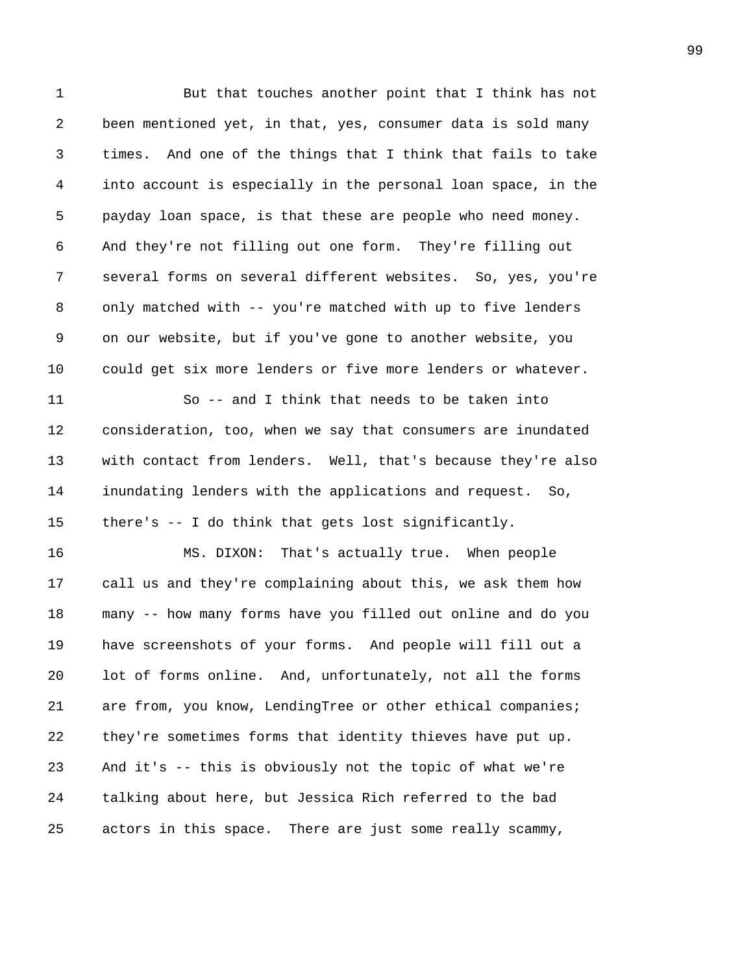1 But that touches another point that I think has not 2 been mentioned yet, in that, yes, consumer data is sold many 3 times. And one of the things that I think that fails to take 4 into account is especially in the personal loan space, in the 5 payday loan space, is that these are people who need money. 6 And they're not filling out one form. They're filling out 7 several forms on several different websites. So, yes, you're 8 only matched with -- you're matched with up to five lenders 9 on our website, but if you've gone to another website, you 10 could get six more lenders or five more lenders or whatever. 11 So -- and I think that needs to be taken into 12 consideration, too, when we say that consumers are inundated 13 with contact from lenders. Well, that's because they're also 14 inundating lenders with the applications and request. So, 15 there's -- I do think that gets lost significantly. 16 MS. DIXON: That's actually true. When people 17 call us and they're complaining about this, we ask them how 18 many -- how many forms have you filled out online and do you 19 have screenshots of your forms. And people will fill out a 20 lot of forms online. And, unfortunately, not all the forms 21 are from, you know, LendingTree or other ethical companies; 22 they're sometimes forms that identity thieves have put up. 23 And it's -- this is obviously not the topic of what we're 24 talking about here, but Jessica Rich referred to the bad 25 actors in this space. There are just some really scammy,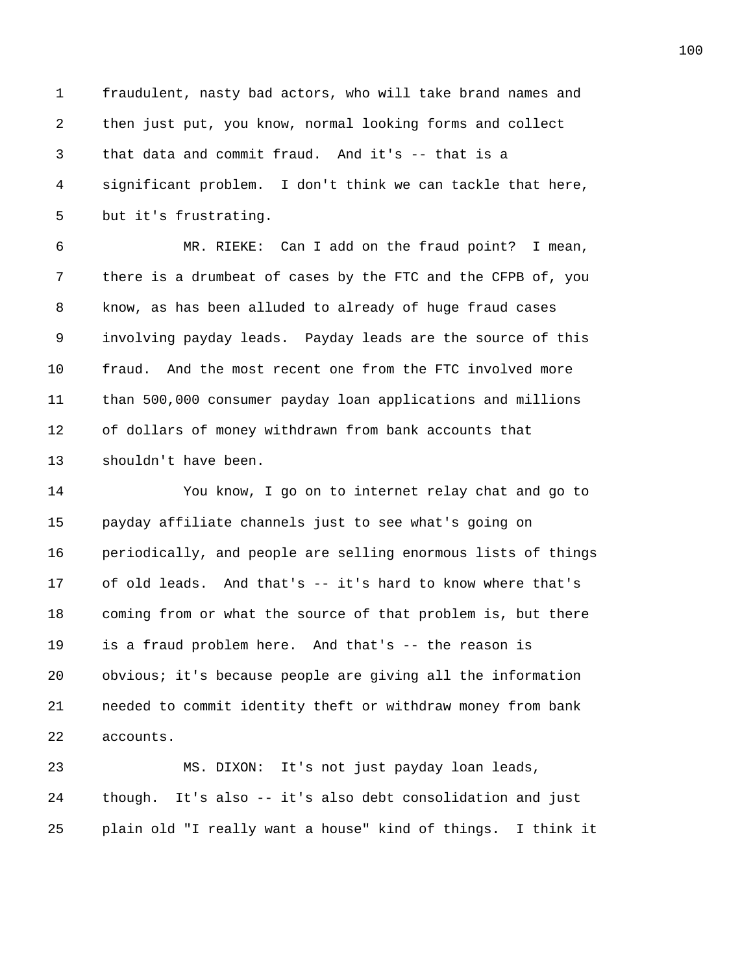1 fraudulent, nasty bad actors, who will take brand names and 2 then just put, you know, normal looking forms and collect 3 that data and commit fraud. And it's -- that is a 4 significant problem. I don't think we can tackle that here, 5 but it's frustrating.

6 MR. RIEKE: Can I add on the fraud point? I mean, 7 there is a drumbeat of cases by the FTC and the CFPB of, you 8 know, as has been alluded to already of huge fraud cases 9 involving payday leads. Payday leads are the source of this 10 fraud. And the most recent one from the FTC involved more 11 than 500,000 consumer payday loan applications and millions 12 of dollars of money withdrawn from bank accounts that 13 shouldn't have been.

14 You know, I go on to internet relay chat and go to 15 payday affiliate channels just to see what's going on 16 periodically, and people are selling enormous lists of things 17 of old leads. And that's -- it's hard to know where that's 18 coming from or what the source of that problem is, but there 19 is a fraud problem here. And that's -- the reason is 20 obvious; it's because people are giving all the information 21 needed to commit identity theft or withdraw money from bank 22 accounts.

23 MS. DIXON: It's not just payday loan leads, 24 though. It's also -- it's also debt consolidation and just 25 plain old "I really want a house" kind of things. I think it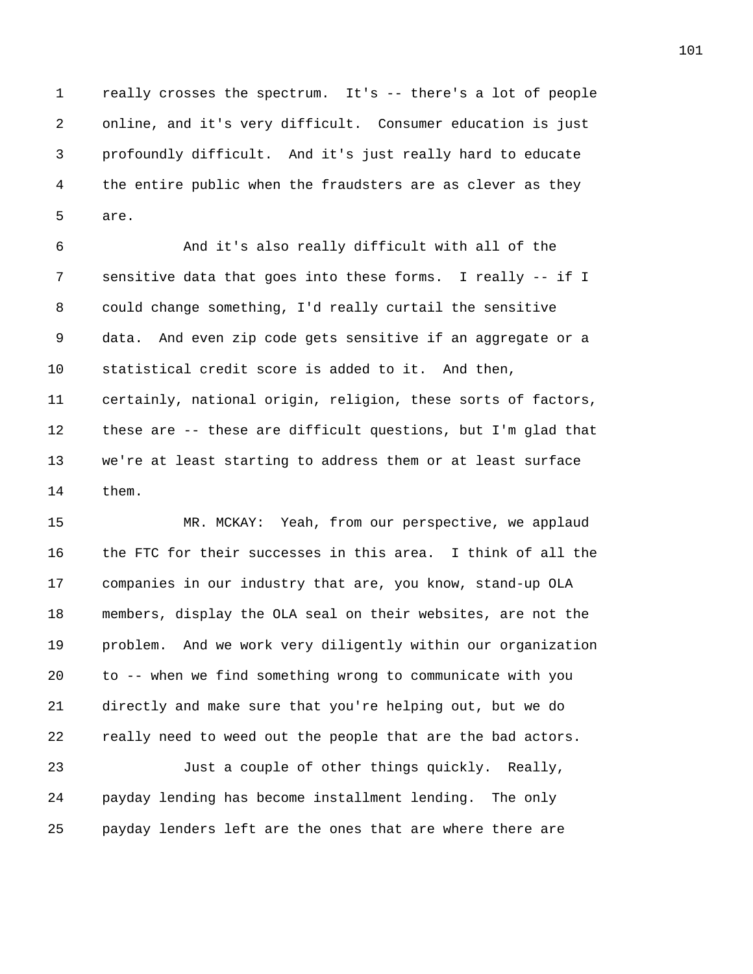1 really crosses the spectrum. It's -- there's a lot of people 2 online, and it's very difficult. Consumer education is just 3 profoundly difficult. And it's just really hard to educate 4 the entire public when the fraudsters are as clever as they 5 are.

6 And it's also really difficult with all of the 7 sensitive data that goes into these forms. I really -- if I 8 could change something, I'd really curtail the sensitive 9 data. And even zip code gets sensitive if an aggregate or a 10 statistical credit score is added to it. And then, 11 certainly, national origin, religion, these sorts of factors, 12 these are -- these are difficult questions, but I'm glad that 13 we're at least starting to address them or at least surface 14 them.

15 MR. MCKAY: Yeah, from our perspective, we applaud 16 the FTC for their successes in this area. I think of all the 17 companies in our industry that are, you know, stand-up OLA 18 members, display the OLA seal on their websites, are not the 19 problem. And we work very diligently within our organization 20 to -- when we find something wrong to communicate with you 21 directly and make sure that you're helping out, but we do 22 really need to weed out the people that are the bad actors. 23 Just a couple of other things quickly. Really, 24 payday lending has become installment lending. The only 25 payday lenders left are the ones that are where there are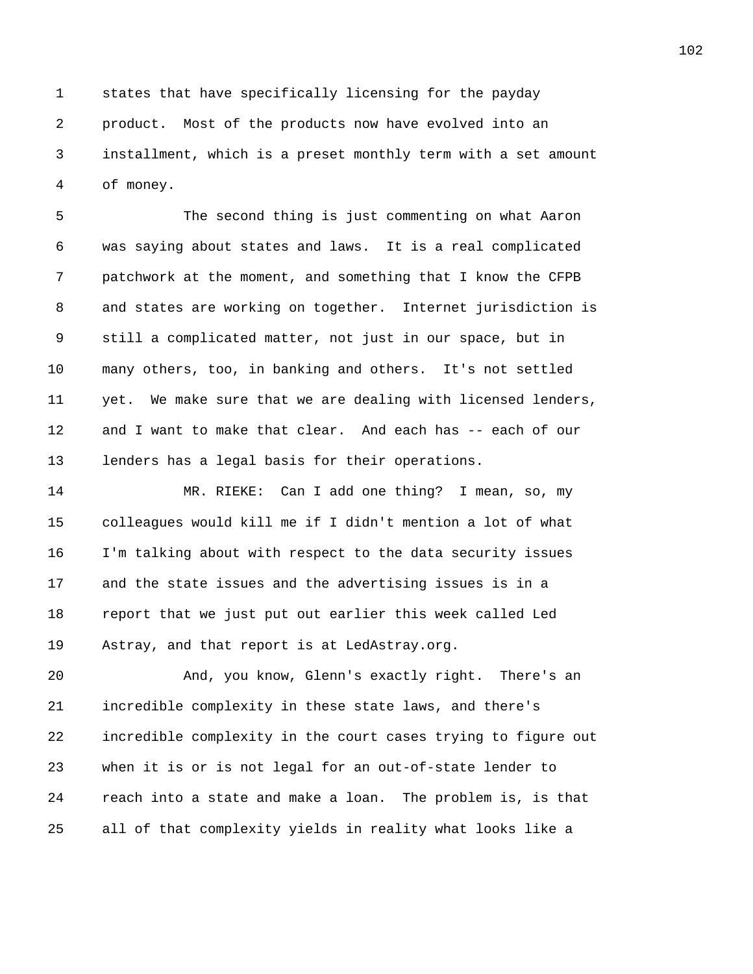1 states that have specifically licensing for the payday 2 product. Most of the products now have evolved into an 3 installment, which is a preset monthly term with a set amount 4 of money.

5 The second thing is just commenting on what Aaron 6 was saying about states and laws. It is a real complicated 7 patchwork at the moment, and something that I know the CFPB 8 and states are working on together. Internet jurisdiction is 9 still a complicated matter, not just in our space, but in 10 many others, too, in banking and others. It's not settled 11 yet. We make sure that we are dealing with licensed lenders, 12 and I want to make that clear. And each has -- each of our 13 lenders has a legal basis for their operations.

14 MR. RIEKE: Can I add one thing? I mean, so, my 15 colleagues would kill me if I didn't mention a lot of what 16 I'm talking about with respect to the data security issues 17 and the state issues and the advertising issues is in a 18 report that we just put out earlier this week called Led 19 Astray, and that report is at LedAstray.org.

20 And, you know, Glenn's exactly right. There's an 21 incredible complexity in these state laws, and there's 22 incredible complexity in the court cases trying to figure out 23 when it is or is not legal for an out-of-state lender to 24 reach into a state and make a loan. The problem is, is that 25 all of that complexity yields in reality what looks like a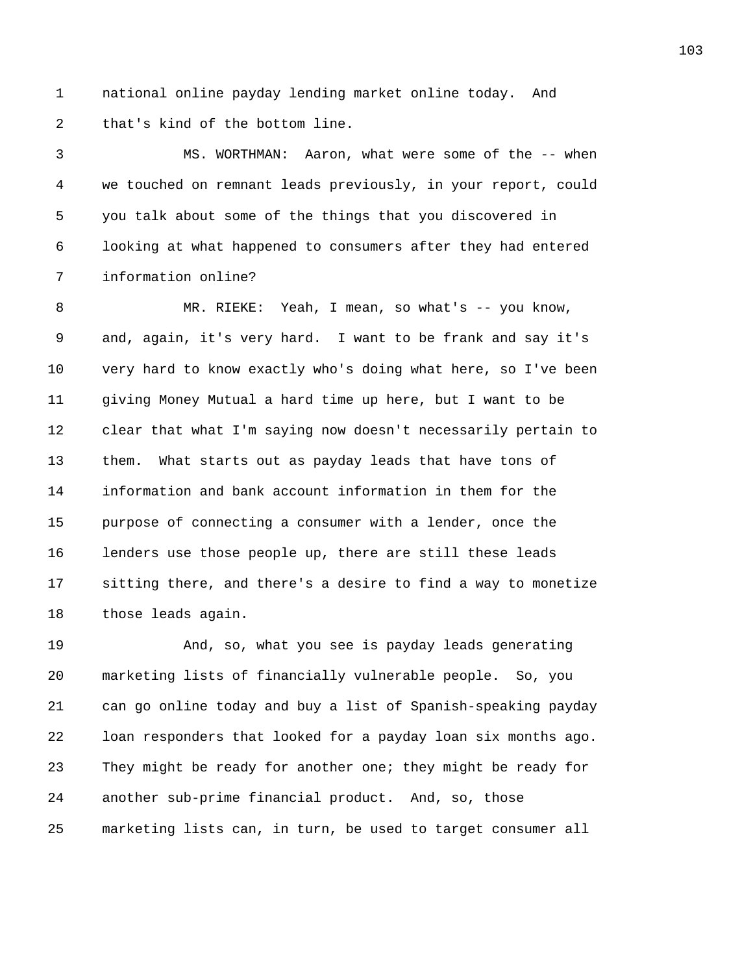1 national online payday lending market online today. And 2 that's kind of the bottom line.

3 MS. WORTHMAN: Aaron, what were some of the -- when 4 we touched on remnant leads previously, in your report, could 5 you talk about some of the things that you discovered in 6 looking at what happened to consumers after they had entered 7 information online?

8 MR. RIEKE: Yeah, I mean, so what's -- you know, 9 and, again, it's very hard. I want to be frank and say it's 10 very hard to know exactly who's doing what here, so I've been 11 giving Money Mutual a hard time up here, but I want to be 12 clear that what I'm saying now doesn't necessarily pertain to 13 them. What starts out as payday leads that have tons of 14 information and bank account information in them for the 15 purpose of connecting a consumer with a lender, once the 16 lenders use those people up, there are still these leads 17 sitting there, and there's a desire to find a way to monetize 18 those leads again.

19 And, so, what you see is payday leads generating 20 marketing lists of financially vulnerable people. So, you 21 can go online today and buy a list of Spanish-speaking payday 22 loan responders that looked for a payday loan six months ago. 23 They might be ready for another one; they might be ready for 24 another sub-prime financial product. And, so, those 25 marketing lists can, in turn, be used to target consumer all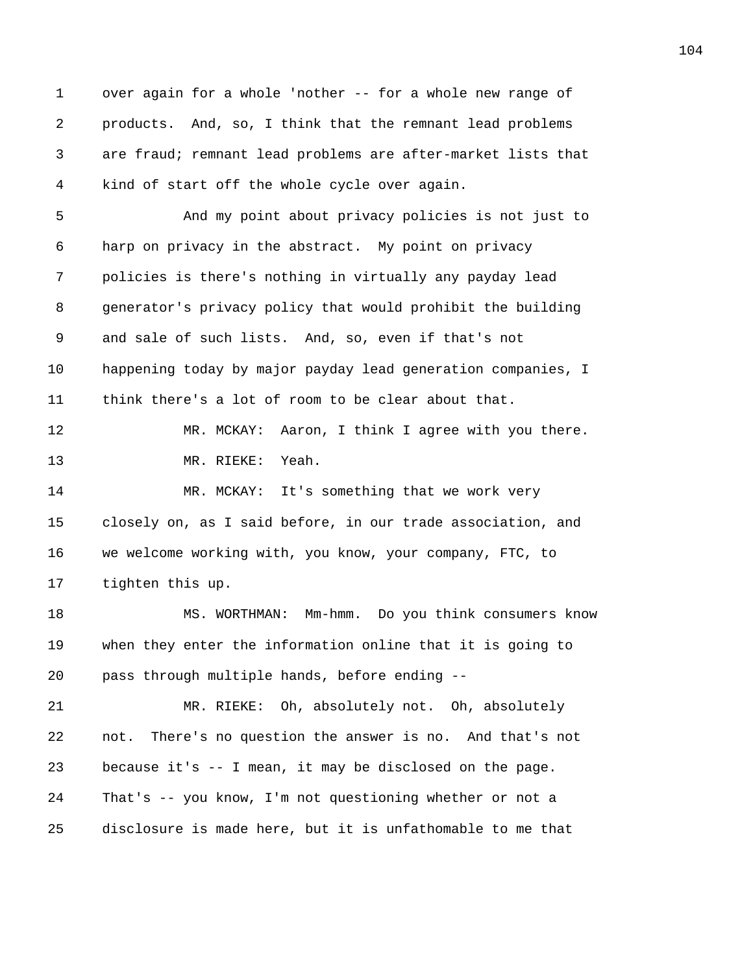1 over again for a whole 'nother -- for a whole new range of 2 products. And, so, I think that the remnant lead problems 3 are fraud; remnant lead problems are after-market lists that 4 kind of start off the whole cycle over again. 5 And my point about privacy policies is not just to 6 harp on privacy in the abstract. My point on privacy 7 policies is there's nothing in virtually any payday lead 8 generator's privacy policy that would prohibit the building 9 and sale of such lists. And, so, even if that's not 10 happening today by major payday lead generation companies, I 11 think there's a lot of room to be clear about that. 12 MR. MCKAY: Aaron, I think I agree with you there. 13 MR. RIEKE: Yeah. 14 MR. MCKAY: It's something that we work very 15 closely on, as I said before, in our trade association, and 16 we welcome working with, you know, your company, FTC, to 17 tighten this up. 18 MS. WORTHMAN: Mm-hmm. Do you think consumers know 19 when they enter the information online that it is going to 20 pass through multiple hands, before ending -- 21 MR. RIEKE: Oh, absolutely not. Oh, absolutely 22 not. There's no question the answer is no. And that's not 23 because it's -- I mean, it may be disclosed on the page. 24 That's -- you know, I'm not questioning whether or not a 25 disclosure is made here, but it is unfathomable to me that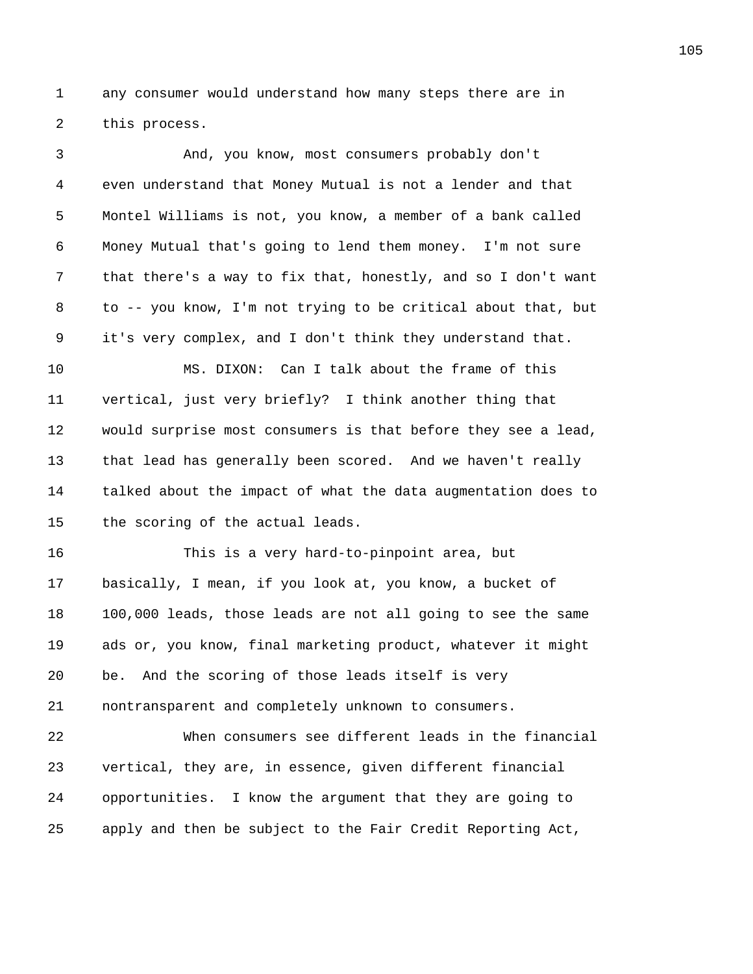1 any consumer would understand how many steps there are in 2 this process.

3 And, you know, most consumers probably don't 4 even understand that Money Mutual is not a lender and that 5 Montel Williams is not, you know, a member of a bank called 6 Money Mutual that's going to lend them money. I'm not sure 7 that there's a way to fix that, honestly, and so I don't want 8 to -- you know, I'm not trying to be critical about that, but 9 it's very complex, and I don't think they understand that. 10 MS. DIXON: Can I talk about the frame of this 11 vertical, just very briefly? I think another thing that 12 would surprise most consumers is that before they see a lead, 13 that lead has generally been scored. And we haven't really 14 talked about the impact of what the data augmentation does to 15 the scoring of the actual leads. 16 This is a very hard-to-pinpoint area, but 17 basically, I mean, if you look at, you know, a bucket of 18 100,000 leads, those leads are not all going to see the same 19 ads or, you know, final marketing product, whatever it might 20 be. And the scoring of those leads itself is very 21 nontransparent and completely unknown to consumers. 22 When consumers see different leads in the financial 23 vertical, they are, in essence, given different financial 24 opportunities. I know the argument that they are going to 25 apply and then be subject to the Fair Credit Reporting Act,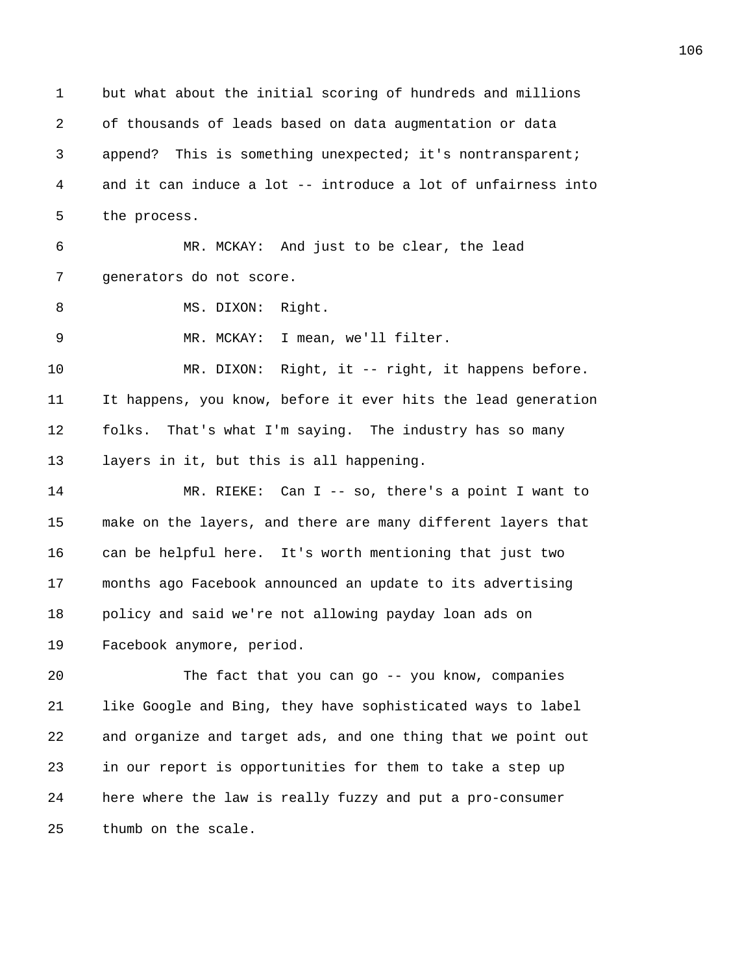1 but what about the initial scoring of hundreds and millions 2 of thousands of leads based on data augmentation or data 3 append? This is something unexpected; it's nontransparent; 4 and it can induce a lot -- introduce a lot of unfairness into 5 the process. 6 MR. MCKAY: And just to be clear, the lead 7 generators do not score. 8 MS. DIXON: Right. 9 MR. MCKAY: I mean, we'll filter. 10 MR. DIXON: Right, it -- right, it happens before. 11 It happens, you know, before it ever hits the lead generation 12 folks. That's what I'm saying. The industry has so many 13 layers in it, but this is all happening. 14 MR. RIEKE: Can I -- so, there's a point I want to 15 make on the layers, and there are many different layers that 16 can be helpful here. It's worth mentioning that just two 17 months ago Facebook announced an update to its advertising 18 policy and said we're not allowing payday loan ads on 19 Facebook anymore, period. 20 The fact that you can go -- you know, companies

21 like Google and Bing, they have sophisticated ways to label 22 and organize and target ads, and one thing that we point out 23 in our report is opportunities for them to take a step up 24 here where the law is really fuzzy and put a pro-consumer 25 thumb on the scale.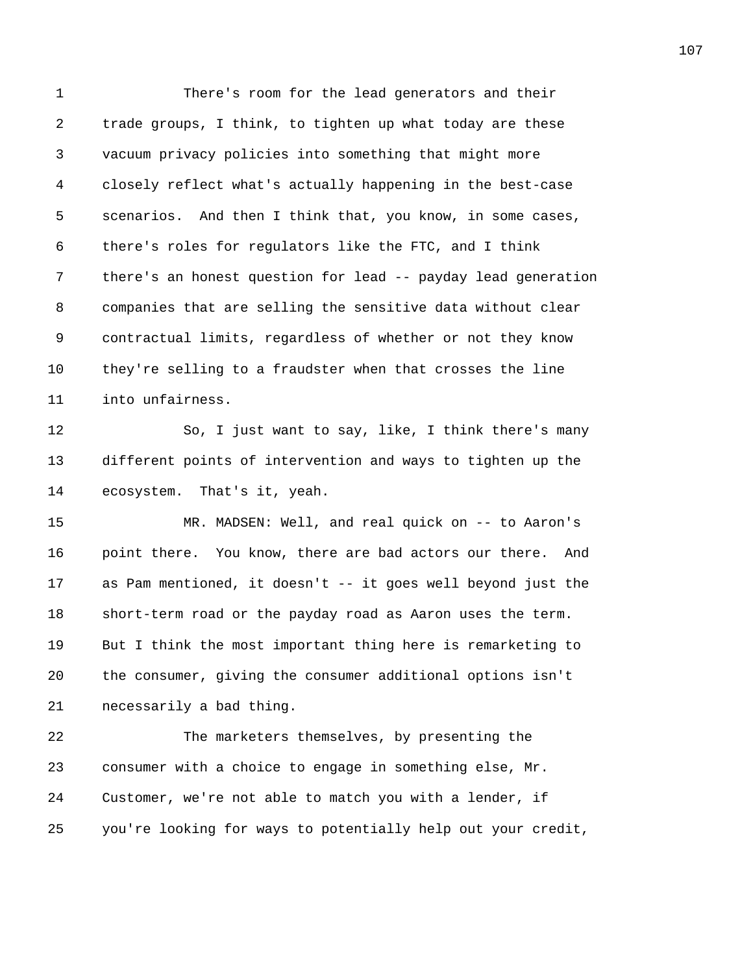1 There's room for the lead generators and their 2 trade groups, I think, to tighten up what today are these 3 vacuum privacy policies into something that might more 4 closely reflect what's actually happening in the best-case 5 scenarios. And then I think that, you know, in some cases, 6 there's roles for regulators like the FTC, and I think 7 there's an honest question for lead -- payday lead generation 8 companies that are selling the sensitive data without clear 9 contractual limits, regardless of whether or not they know 10 they're selling to a fraudster when that crosses the line 11 into unfairness. 12 So, I just want to say, like, I think there's many 13 different points of intervention and ways to tighten up the 14 ecosystem. That's it, yeah. 15 MR. MADSEN: Well, and real quick on -- to Aaron's 16 point there. You know, there are bad actors our there. And 17 as Pam mentioned, it doesn't -- it goes well beyond just the 18 short-term road or the payday road as Aaron uses the term. 19 But I think the most important thing here is remarketing to 20 the consumer, giving the consumer additional options isn't 21 necessarily a bad thing. 22 The marketers themselves, by presenting the 23 consumer with a choice to engage in something else, Mr. 24 Customer, we're not able to match you with a lender, if 25 you're looking for ways to potentially help out your credit,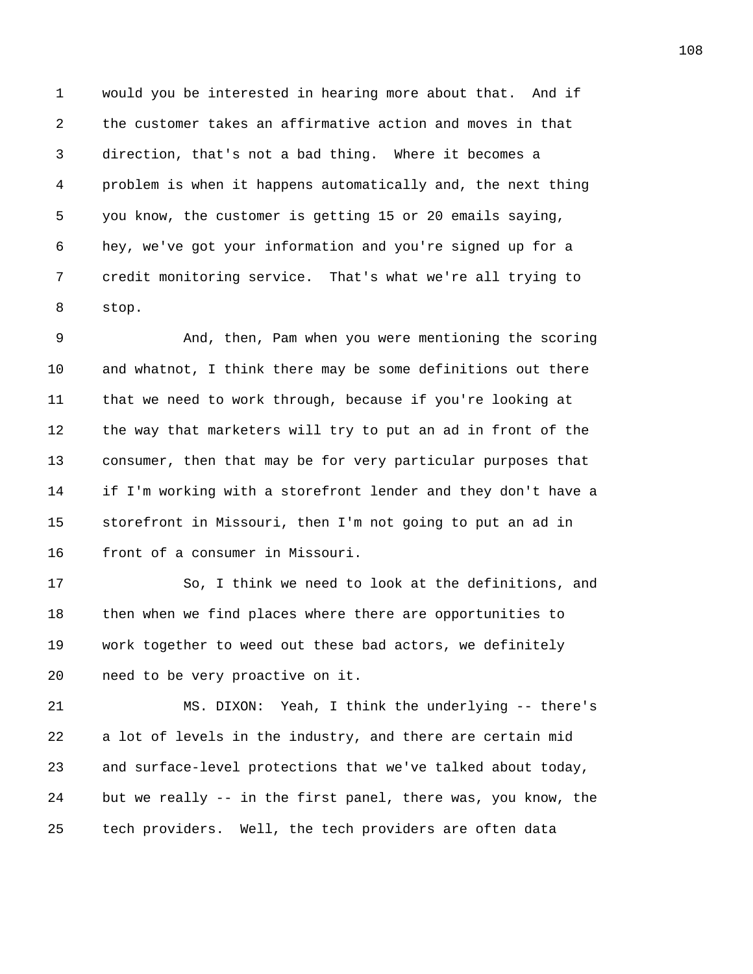1 would you be interested in hearing more about that. And if 2 the customer takes an affirmative action and moves in that 3 direction, that's not a bad thing. Where it becomes a 4 problem is when it happens automatically and, the next thing 5 you know, the customer is getting 15 or 20 emails saying, 6 hey, we've got your information and you're signed up for a 7 credit monitoring service. That's what we're all trying to 8 stop.

9 And, then, Pam when you were mentioning the scoring 10 and whatnot, I think there may be some definitions out there 11 that we need to work through, because if you're looking at 12 the way that marketers will try to put an ad in front of the 13 consumer, then that may be for very particular purposes that 14 if I'm working with a storefront lender and they don't have a 15 storefront in Missouri, then I'm not going to put an ad in 16 front of a consumer in Missouri.

17 So, I think we need to look at the definitions, and 18 then when we find places where there are opportunities to 19 work together to weed out these bad actors, we definitely 20 need to be very proactive on it.

21 MS. DIXON: Yeah, I think the underlying -- there's 22 a lot of levels in the industry, and there are certain mid 23 and surface-level protections that we've talked about today, 24 but we really -- in the first panel, there was, you know, the 25 tech providers. Well, the tech providers are often data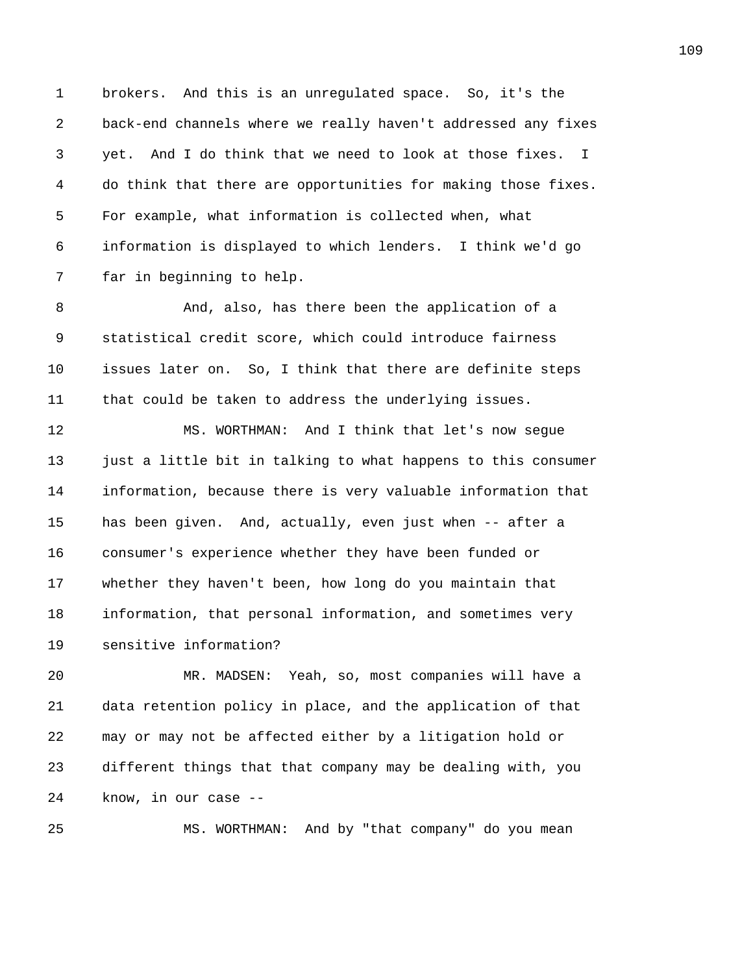1 brokers. And this is an unregulated space. So, it's the 2 back-end channels where we really haven't addressed any fixes 3 yet. And I do think that we need to look at those fixes. I 4 do think that there are opportunities for making those fixes. 5 For example, what information is collected when, what 6 information is displayed to which lenders. I think we'd go 7 far in beginning to help.

8 And, also, has there been the application of a 9 statistical credit score, which could introduce fairness 10 issues later on. So, I think that there are definite steps 11 that could be taken to address the underlying issues.

12 MS. WORTHMAN: And I think that let's now segue 13 just a little bit in talking to what happens to this consumer 14 information, because there is very valuable information that 15 has been given. And, actually, even just when -- after a 16 consumer's experience whether they have been funded or 17 whether they haven't been, how long do you maintain that 18 information, that personal information, and sometimes very 19 sensitive information?

20 MR. MADSEN: Yeah, so, most companies will have a 21 data retention policy in place, and the application of that 22 may or may not be affected either by a litigation hold or 23 different things that that company may be dealing with, you 24 know, in our case --

25 MS. WORTHMAN: And by "that company" do you mean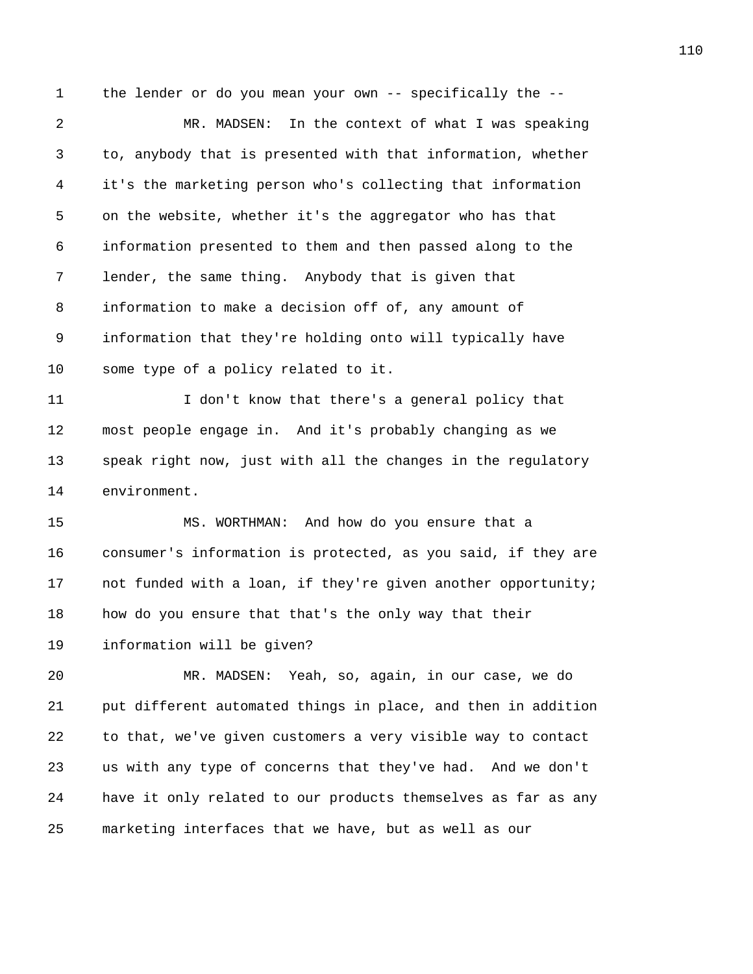1 the lender or do you mean your own -- specifically the --

2 MR. MADSEN: In the context of what I was speaking 3 to, anybody that is presented with that information, whether 4 it's the marketing person who's collecting that information 5 on the website, whether it's the aggregator who has that 6 information presented to them and then passed along to the 7 lender, the same thing. Anybody that is given that 8 information to make a decision off of, any amount of 9 information that they're holding onto will typically have 10 some type of a policy related to it.

11 I don't know that there's a general policy that 12 most people engage in. And it's probably changing as we 13 speak right now, just with all the changes in the regulatory 14 environment.

15 MS. WORTHMAN: And how do you ensure that a 16 consumer's information is protected, as you said, if they are 17 not funded with a loan, if they're given another opportunity; 18 how do you ensure that that's the only way that their 19 information will be given?

20 MR. MADSEN: Yeah, so, again, in our case, we do 21 put different automated things in place, and then in addition 22 to that, we've given customers a very visible way to contact 23 us with any type of concerns that they've had. And we don't 24 have it only related to our products themselves as far as any 25 marketing interfaces that we have, but as well as our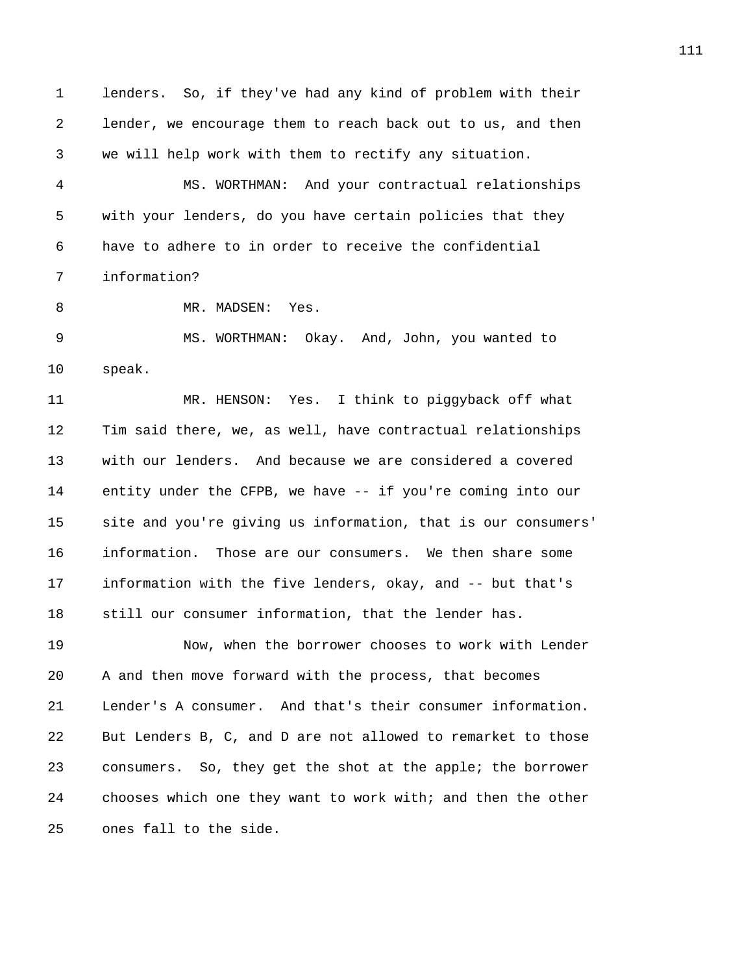1 lenders. So, if they've had any kind of problem with their 2 lender, we encourage them to reach back out to us, and then 3 we will help work with them to rectify any situation. 4 MS. WORTHMAN: And your contractual relationships 5 with your lenders, do you have certain policies that they 6 have to adhere to in order to receive the confidential 7 information? 8 MR. MADSEN: Yes. 9 MS. WORTHMAN: Okay. And, John, you wanted to 10 speak. 11 MR. HENSON: Yes. I think to piggyback off what 12 Tim said there, we, as well, have contractual relationships 13 with our lenders. And because we are considered a covered 14 entity under the CFPB, we have -- if you're coming into our 15 site and you're giving us information, that is our consumers' 16 information. Those are our consumers. We then share some 17 information with the five lenders, okay, and -- but that's 18 still our consumer information, that the lender has. 19 Now, when the borrower chooses to work with Lender 20 A and then move forward with the process, that becomes 21 Lender's A consumer. And that's their consumer information. 22 But Lenders B, C, and D are not allowed to remarket to those 23 consumers. So, they get the shot at the apple; the borrower 24 chooses which one they want to work with; and then the other 25 ones fall to the side.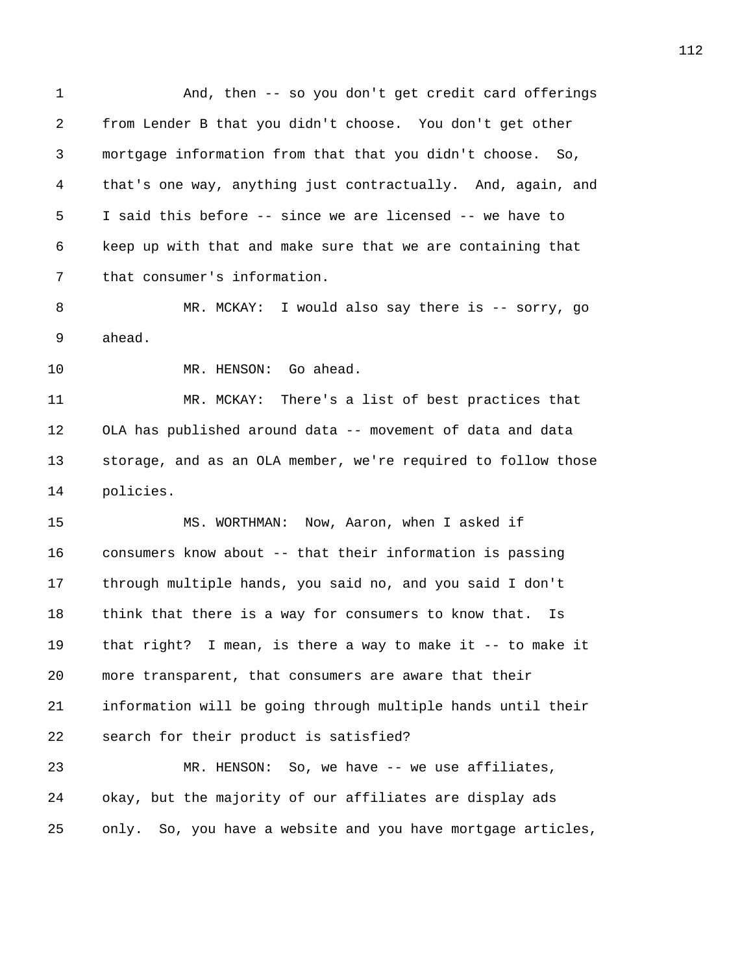1 And, then -- so you don't get credit card offerings 2 from Lender B that you didn't choose. You don't get other 3 mortgage information from that that you didn't choose. So, 4 that's one way, anything just contractually. And, again, and 5 I said this before -- since we are licensed -- we have to 6 keep up with that and make sure that we are containing that 7 that consumer's information. 8 MR. MCKAY: I would also say there is -- sorry, go 9 ahead. 10 MR. HENSON: Go ahead. 11 MR. MCKAY: There's a list of best practices that 12 OLA has published around data -- movement of data and data 13 storage, and as an OLA member, we're required to follow those 14 policies. 15 MS. WORTHMAN: Now, Aaron, when I asked if 16 consumers know about -- that their information is passing 17 through multiple hands, you said no, and you said I don't 18 think that there is a way for consumers to know that. Is 19 that right? I mean, is there a way to make it -- to make it 20 more transparent, that consumers are aware that their 21 information will be going through multiple hands until their 22 search for their product is satisfied? 23 MR. HENSON: So, we have -- we use affiliates, 24 okay, but the majority of our affiliates are display ads 25 only. So, you have a website and you have mortgage articles,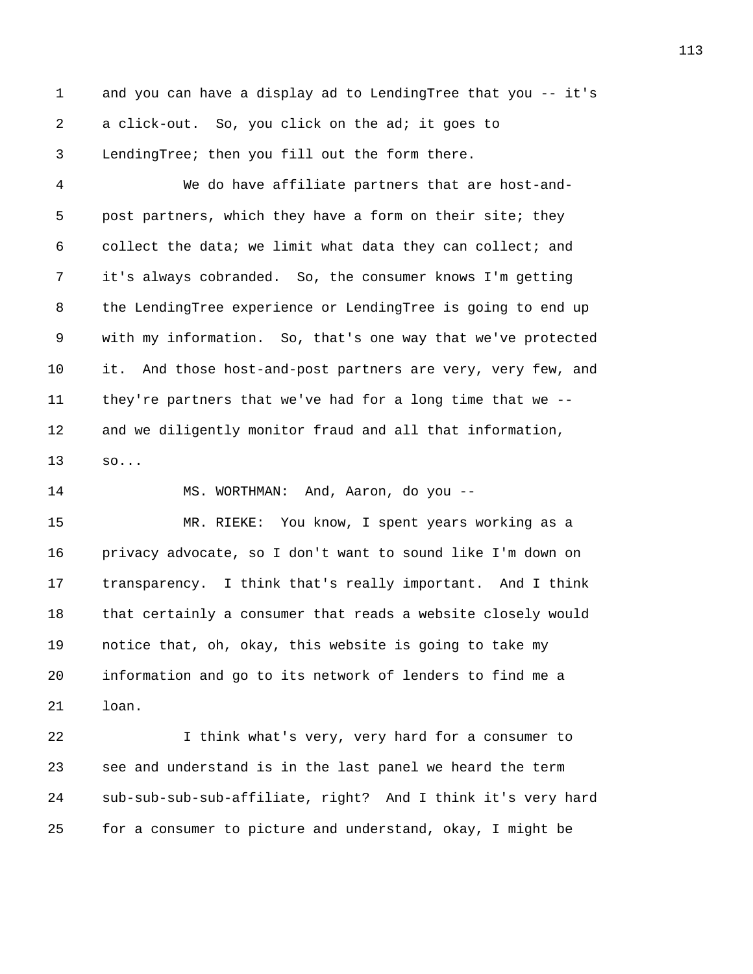1 and you can have a display ad to LendingTree that you -- it's 2 a click-out. So, you click on the ad; it goes to 3 LendingTree; then you fill out the form there.

4 We do have affiliate partners that are host-and-5 post partners, which they have a form on their site; they 6 collect the data; we limit what data they can collect; and 7 it's always cobranded. So, the consumer knows I'm getting 8 the LendingTree experience or LendingTree is going to end up 9 with my information. So, that's one way that we've protected 10 it. And those host-and-post partners are very, very few, and 11 they're partners that we've had for a long time that we -- 12 and we diligently monitor fraud and all that information, 13 so...

14 MS. WORTHMAN: And, Aaron, do you --

15 MR. RIEKE: You know, I spent years working as a 16 privacy advocate, so I don't want to sound like I'm down on 17 transparency. I think that's really important. And I think 18 that certainly a consumer that reads a website closely would 19 notice that, oh, okay, this website is going to take my 20 information and go to its network of lenders to find me a 21 loan.

22 I think what's very, very hard for a consumer to 23 see and understand is in the last panel we heard the term 24 sub-sub-sub-sub-affiliate, right? And I think it's very hard 25 for a consumer to picture and understand, okay, I might be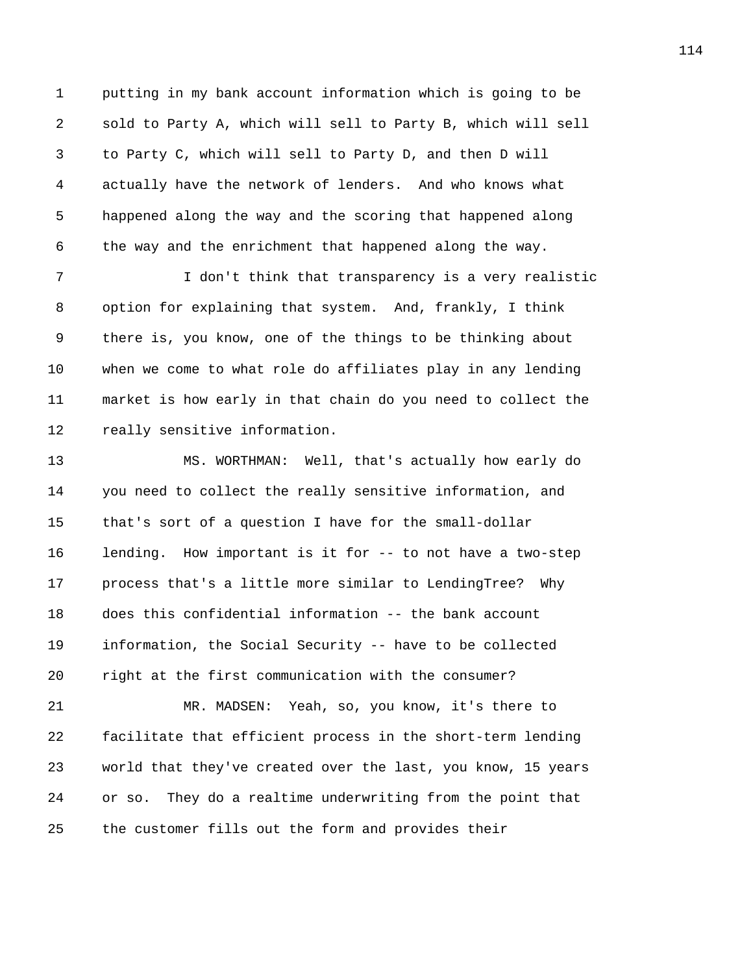1 putting in my bank account information which is going to be 2 sold to Party A, which will sell to Party B, which will sell 3 to Party C, which will sell to Party D, and then D will 4 actually have the network of lenders. And who knows what 5 happened along the way and the scoring that happened along 6 the way and the enrichment that happened along the way.

7 I don't think that transparency is a very realistic 8 option for explaining that system. And, frankly, I think 9 there is, you know, one of the things to be thinking about 10 when we come to what role do affiliates play in any lending 11 market is how early in that chain do you need to collect the 12 really sensitive information.

13 MS. WORTHMAN: Well, that's actually how early do 14 you need to collect the really sensitive information, and 15 that's sort of a question I have for the small-dollar 16 lending. How important is it for -- to not have a two-step 17 process that's a little more similar to LendingTree? Why 18 does this confidential information -- the bank account 19 information, the Social Security -- have to be collected 20 right at the first communication with the consumer?

21 MR. MADSEN: Yeah, so, you know, it's there to 22 facilitate that efficient process in the short-term lending 23 world that they've created over the last, you know, 15 years 24 or so. They do a realtime underwriting from the point that 25 the customer fills out the form and provides their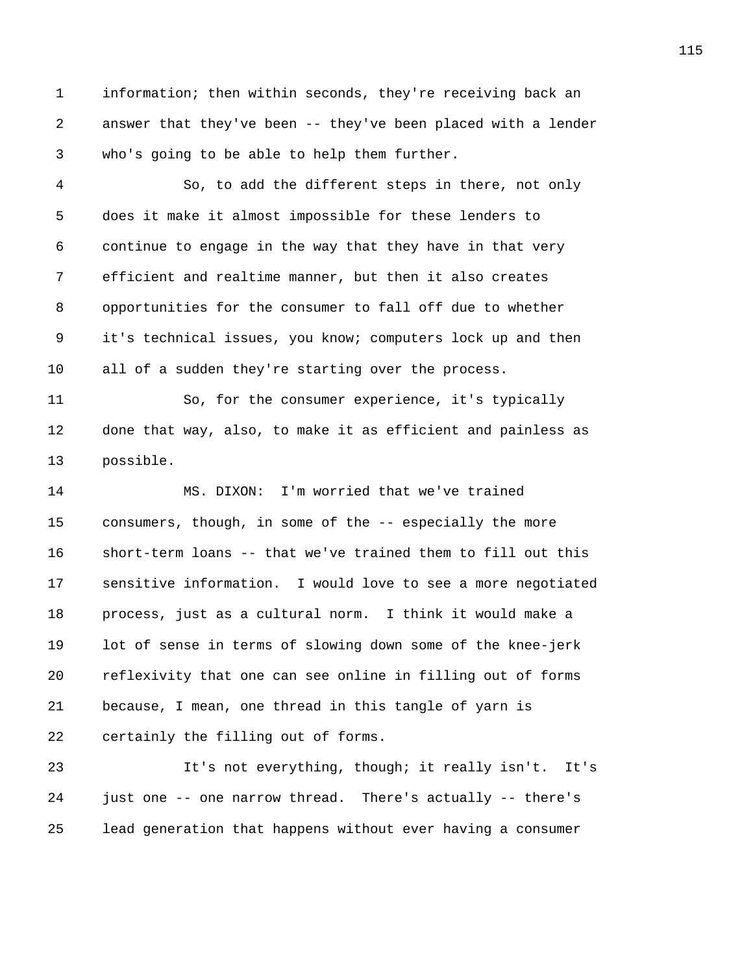1 information; then within seconds, they're receiving back an 2 answer that they've been -- they've been placed with a lender 3 who's going to be able to help them further.

4 So, to add the different steps in there, not only 5 does it make it almost impossible for these lenders to 6 continue to engage in the way that they have in that very 7 efficient and realtime manner, but then it also creates 8 opportunities for the consumer to fall off due to whether 9 it's technical issues, you know; computers lock up and then 10 all of a sudden they're starting over the process.

11 So, for the consumer experience, it's typically 12 done that way, also, to make it as efficient and painless as 13 possible.

14 MS. DIXON: I'm worried that we've trained 15 consumers, though, in some of the -- especially the more 16 short-term loans -- that we've trained them to fill out this 17 sensitive information. I would love to see a more negotiated 18 process, just as a cultural norm. I think it would make a 19 lot of sense in terms of slowing down some of the knee-jerk 20 reflexivity that one can see online in filling out of forms 21 because, I mean, one thread in this tangle of yarn is 22 certainly the filling out of forms.

23 It's not everything, though; it really isn't. It's 24 just one -- one narrow thread. There's actually -- there's 25 lead generation that happens without ever having a consumer